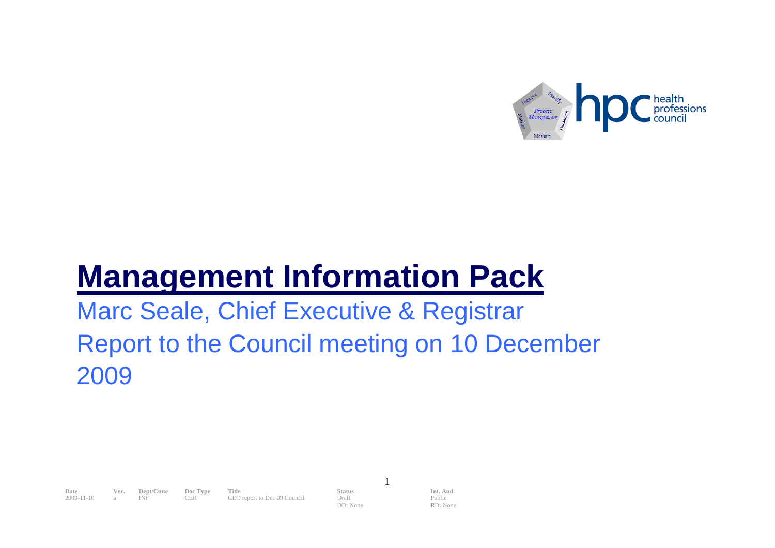

# **Management Information Pack**

Marc Seale, Chief Executive & Registrar Report to the Council meeting on 10 December 2009

**Date Ver. Dept/Cmte Doc Type Title Status Status Int. Aud. 2009-11-10 a INF CER CEO** report to Dec 09 Council **Deptify Deptify Deptify** 2009-11-10 a INF CER CEO report to Dec 09 Council Draft

DD: None

1

Public RD: None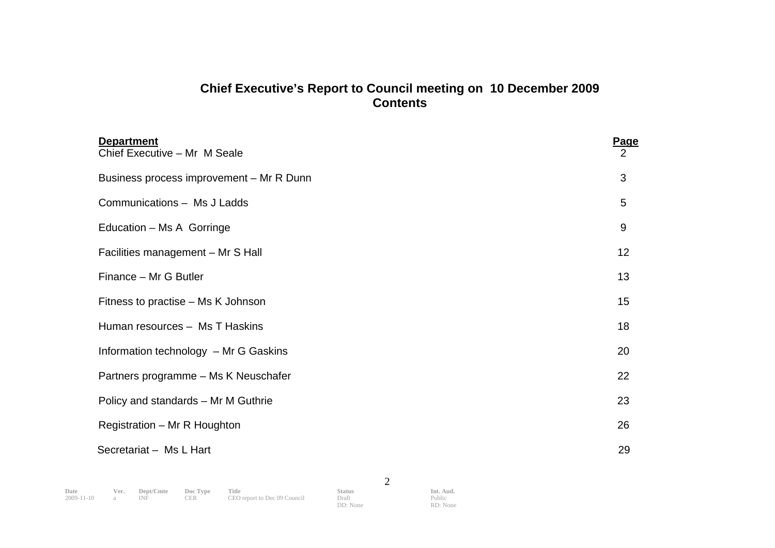# **Chief Executive's Report to Council meeting on 10 December 2009 Contents**

| <b>Department</b><br>Chief Executive - Mr M Seale | Page<br>2 |
|---------------------------------------------------|-----------|
| Business process improvement - Mr R Dunn          | 3         |
| Communications - Ms J Ladds                       | 5         |
| Education – Ms A Gorringe                         | 9         |
| Facilities management - Mr S Hall                 | 12        |
| Finance - Mr G Butler                             | 13        |
| Fitness to practise – Ms K Johnson                | 15        |
| Human resources - Ms T Haskins                    | 18        |
| Information technology - Mr G Gaskins             | 20        |
| Partners programme - Ms K Neuschafer              | 22        |
| Policy and standards - Mr M Guthrie               | 23        |
| Registration - Mr R Houghton                      | 26        |
| Secretariat - Ms L Hart                           | 29        |

DD: None

2

Public RD: None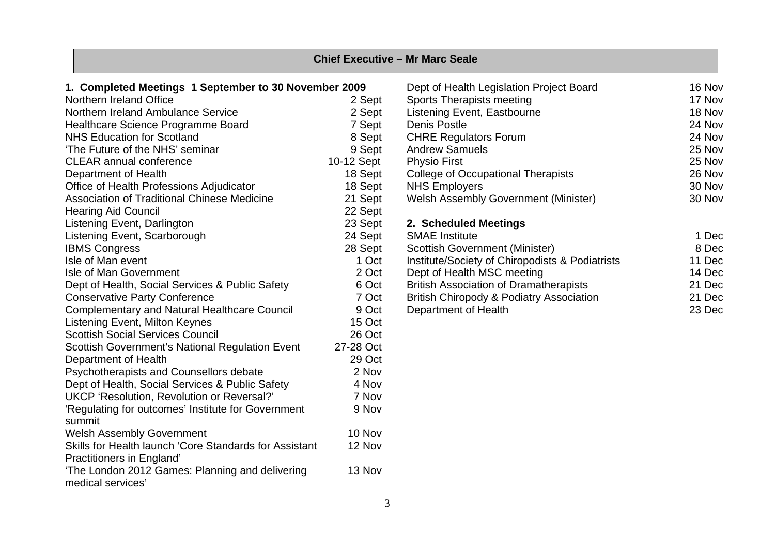| <b>Chief Executive - Mr Marc Seale</b>                                              |            |                                                     |        |  |  |  |  |  |  |  |  |  |  |
|-------------------------------------------------------------------------------------|------------|-----------------------------------------------------|--------|--|--|--|--|--|--|--|--|--|--|
| 1. Completed Meetings 1 September to 30 November 2009                               |            | Dept of Health Legislation Project Board            | 16 Nov |  |  |  |  |  |  |  |  |  |  |
| Northern Ireland Office                                                             | 2 Sept     | Sports Therapists meeting                           | 17 Nov |  |  |  |  |  |  |  |  |  |  |
| Northern Ireland Ambulance Service                                                  | 2 Sept     | Listening Event, Eastbourne                         | 18 Nov |  |  |  |  |  |  |  |  |  |  |
| Healthcare Science Programme Board                                                  | 7 Sept     | Denis Postle                                        | 24 Nov |  |  |  |  |  |  |  |  |  |  |
| <b>NHS Education for Scotland</b>                                                   | 8 Sept     | <b>CHRE Regulators Forum</b>                        | 24 Nov |  |  |  |  |  |  |  |  |  |  |
| 'The Future of the NHS' seminar                                                     | 9 Sept     | <b>Andrew Samuels</b>                               | 25 Nov |  |  |  |  |  |  |  |  |  |  |
| <b>CLEAR annual conference</b>                                                      | 10-12 Sept | <b>Physio First</b>                                 | 25 Nov |  |  |  |  |  |  |  |  |  |  |
| Department of Health                                                                | 18 Sept    | <b>College of Occupational Therapists</b>           | 26 Nov |  |  |  |  |  |  |  |  |  |  |
| Office of Health Professions Adjudicator                                            | 18 Sept    | <b>NHS Employers</b>                                | 30 Nov |  |  |  |  |  |  |  |  |  |  |
| Association of Traditional Chinese Medicine                                         | 21 Sept    | <b>Welsh Assembly Government (Minister)</b>         | 30 Nov |  |  |  |  |  |  |  |  |  |  |
| <b>Hearing Aid Council</b>                                                          | 22 Sept    |                                                     |        |  |  |  |  |  |  |  |  |  |  |
| Listening Event, Darlington                                                         | 23 Sept    | 2. Scheduled Meetings                               |        |  |  |  |  |  |  |  |  |  |  |
| Listening Event, Scarborough                                                        | 24 Sept    | <b>SMAE</b> Institute                               | 1 Dec  |  |  |  |  |  |  |  |  |  |  |
| <b>IBMS Congress</b>                                                                | 28 Sept    | <b>Scottish Government (Minister)</b>               | 8 Dec  |  |  |  |  |  |  |  |  |  |  |
| Isle of Man event                                                                   | 1 Oct      | Institute/Society of Chiropodists & Podiatrists     | 11 Dec |  |  |  |  |  |  |  |  |  |  |
| Isle of Man Government                                                              | 2 Oct      | Dept of Health MSC meeting                          | 14 Dec |  |  |  |  |  |  |  |  |  |  |
| Dept of Health, Social Services & Public Safety                                     | 6 Oct      | <b>British Association of Dramatherapists</b>       | 21 Dec |  |  |  |  |  |  |  |  |  |  |
| <b>Conservative Party Conference</b>                                                | 7 Oct      | <b>British Chiropody &amp; Podiatry Association</b> | 21 Dec |  |  |  |  |  |  |  |  |  |  |
| <b>Complementary and Natural Healthcare Council</b>                                 | 9 Oct      | Department of Health                                | 23 Dec |  |  |  |  |  |  |  |  |  |  |
| Listening Event, Milton Keynes                                                      | 15 Oct     |                                                     |        |  |  |  |  |  |  |  |  |  |  |
| <b>Scottish Social Services Council</b>                                             | 26 Oct     |                                                     |        |  |  |  |  |  |  |  |  |  |  |
| Scottish Government's National Regulation Event                                     | 27-28 Oct  |                                                     |        |  |  |  |  |  |  |  |  |  |  |
| Department of Health                                                                | 29 Oct     |                                                     |        |  |  |  |  |  |  |  |  |  |  |
| Psychotherapists and Counsellors debate                                             | 2 Nov      |                                                     |        |  |  |  |  |  |  |  |  |  |  |
| Dept of Health, Social Services & Public Safety                                     | 4 Nov      |                                                     |        |  |  |  |  |  |  |  |  |  |  |
| UKCP 'Resolution, Revolution or Reversal?'                                          | 7 Nov      |                                                     |        |  |  |  |  |  |  |  |  |  |  |
| 'Regulating for outcomes' Institute for Government                                  | 9 Nov      |                                                     |        |  |  |  |  |  |  |  |  |  |  |
| summit                                                                              |            |                                                     |        |  |  |  |  |  |  |  |  |  |  |
| <b>Welsh Assembly Government</b>                                                    | 10 Nov     |                                                     |        |  |  |  |  |  |  |  |  |  |  |
| Skills for Health launch 'Core Standards for Assistant<br>Practitioners in England' | 12 Nov     |                                                     |        |  |  |  |  |  |  |  |  |  |  |
| 'The London 2012 Games: Planning and delivering<br>medical services'                | 13 Nov     |                                                     |        |  |  |  |  |  |  |  |  |  |  |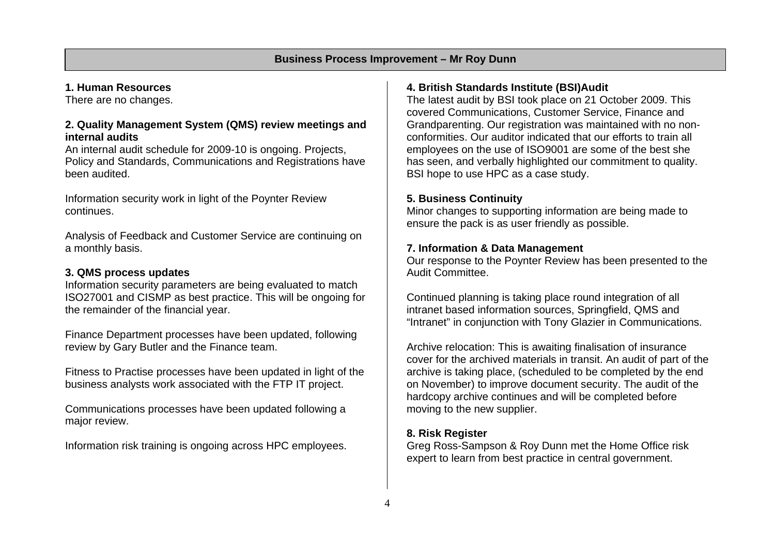#### **1. Human Resources**

There are no changes.

#### **2. Quality Management System (QMS) review meetings and internal audits**

An internal audit schedule for 2009-10 is ongoing. Projects, Policy and Standards, Communications and Registrations have been audited.

Information security work in light of the Poynter Review continues.

Analysis of Feedback and Customer Service are continuing on a monthly basis.

#### **3. QMS process updates**

Information security parameters are being evaluated to match ISO27001 and CISMP as best practice. This will be ongoing for the remainder of the financial year.

Finance Department processes have been updated, following review by Gary Butler and the Finance team.

Fitness to Practise processes have been updated in light of the business analysts work associated with the FTP IT project.

Communications processes have been updated following a major review.

Information risk training is ongoing across HPC employees.

# **4. British Standards Institute (BSI)Audit**

The latest audit by BSI took place on 21 October 2009. This covered Communications, Customer Service, Finance and Grandparenting. Our registration was maintained with no nonconformities. Our auditor indicated that our efforts to train all employees on the use of ISO9001 are some of the best she has seen, and verbally highlighted our commitment to quality. BSI hope to use HPC as a case study.

#### **5. Business Continuity**

Minor changes to supporting information are being made to ensure the pack is as user friendly as possible.

#### **7. Information & Data Management**

Our response to the Poynter Review has been presented to the Audit Committee.

Continued planning is taking place round integration of all intranet based information sources, Springfield, QMS and "Intranet" in conjunction with Tony Glazier in Communications.

Archive relocation: This is awaiting finalisation of insurance cover for the archived materials in transit. An audit of part of the archive is taking place, (scheduled to be completed by the end on November) to improve document security. The audit of the hardcopy archive continues and will be completed before moving to the new supplier.

#### **8. Risk Register**

Greg Ross-Sampson & Roy Dunn met the Home Office risk expert to learn from best practice in central government.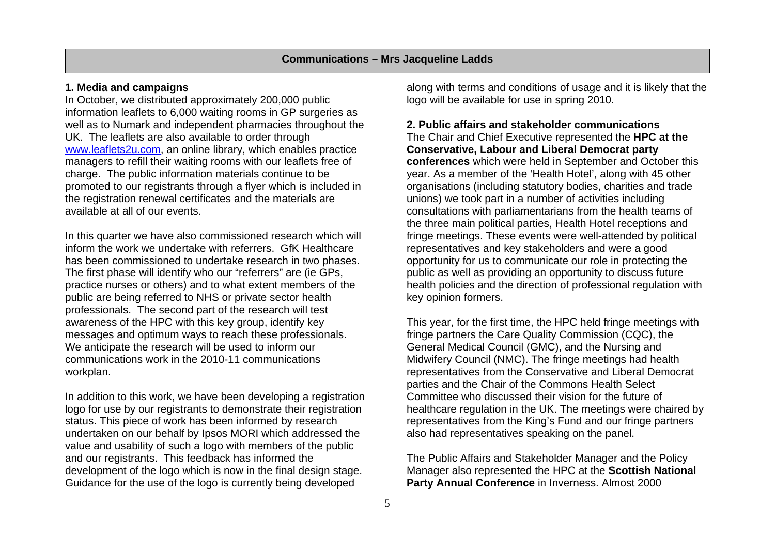#### **1. Media and campaigns**

In October, we distributed approximately 200,000 public information leaflets to 6,000 waiting rooms in GP surgeries as well as to Numark and independent pharmacies throughout the UK. The leaflets are also available to order through www.leaflets2u.com, an online library, which enables practice managers to refill their waiting rooms with our leaflets free of charge. The public information materials continue to be promoted to our registrants through a flyer which is included in the registration renewal certificates and the materials are available at all of our events.

In this quarter we have also commissioned research which will inform the work we undertake with referrers. GfK Healthcare has been commissioned to undertake research in two phases. The first phase will identify who our "referrers" are (ie GPs, practice nurses or others) and to what extent members of the public are being referred to NHS or private sector health professionals. The second part of the research will test awareness of the HPC with this key group, identify key messages and optimum ways to reach these professionals. We anticipate the research will be used to inform our communications work in the 2010-11 communications workplan.

In addition to this work, we have been developing a registration logo for use by our registrants to demonstrate their registration status. This piece of work has been informed by research undertaken on our behalf by Ipsos MORI which addressed the value and usability of such a logo with members of the public and our registrants. This feedback has informed the development of the logo which is now in the final design stage. Guidance for the use of the logo is currently being developed

along with terms and conditions of usage and it is likely that the logo will be available for use in spring 2010.

## **2. Public affairs and stakeholder communications**

The Chair and Chief Executive represented the **HPC at the Conservative, Labour and Liberal Democrat party conferences** which were held in September and October this year. As a member of the 'Health Hotel', along with 45 other organisations (including statutory bodies, charities and trade unions) we took part in a number of activities including consultations with parliamentarians from the health teams of the three main political parties, Health Hotel receptions and fringe meetings. These events were well-attended by political representatives and key stakeholders and were a good opportunity for us to communicate our role in protecting the public as well as providing an opportunity to discuss future health policies and the direction of professional regulation with key opinion formers.

This year, for the first time, the HPC held fringe meetings with fringe partners the Care Quality Commission (CQC), the General Medical Council (GMC), and the Nursing and Midwifery Council (NMC). The fringe meetings had health representatives from the Conservative and Liberal Democrat parties and the Chair of the Commons Health Select Committee who discussed their vision for the future of healthcare regulation in the UK. The meetings were chaired by representatives from the King's Fund and our fringe partners also had representatives speaking on the panel.

The Public Affairs and Stakeholder Manager and the Policy Manager also represented the HPC at the **Scottish National Party Annual Conference** in Inverness. Almost 2000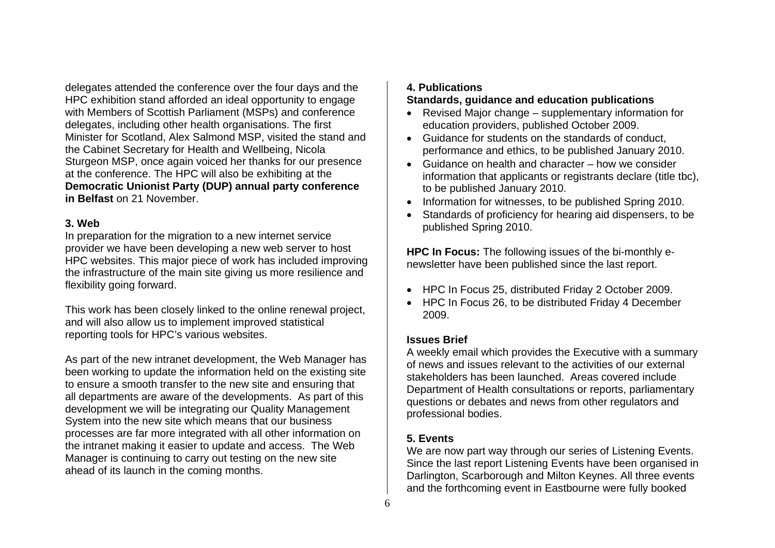delegates attended the conference over the four days and the HPC exhibition stand afforded an ideal opportunity to engage with Members of Scottish Parliament (MSPs) and conference delegates, including other health organisations. The first Minister for Scotland, Alex Salmond MSP, visited the stand and the Cabinet Secretary for Health and Wellbeing, Nicola Sturgeon MSP, once again voiced her thanks for our presence at the conference. The HPC will also be exhibiting at the **Democratic Unionist Party (DUP) annual party conference in Belfast** on 21 November.

#### **3. Web**

In preparation for the migration to a new internet service provider we have been developing a new web server to host HPC websites. This major piece of work has included improving the infrastructure of the main site giving us more resilience and flexibility going forward.

This work has been closely linked to the online renewal project, and will also allow us to implement improved statistical reporting tools for HPC's various websites.

As part of the new intranet development, the Web Manager has been working to update the information held on the existing site to ensure a smooth transfer to the new site and ensuring that all departments are aware of the developments. As part of this development we will be integrating our Quality Management System into the new site which means that our business processes are far more integrated with all other information on the intranet making it easier to update and access. The Web Manager is continuing to carry out testing on the new site ahead of its launch in the coming months.

# **4. Publications**

#### **Standards, guidance and education publications**

- Revised Major change supplementary information for education providers, published October 2009.
- Guidance for students on the standards of conduct, performance and ethics, to be published January 2010.
- Guidance on health and character how we consider information that applicants or registrants declare (title tbc), to be published January 2010.
- Information for witnesses, to be published Spring 2010.
- Standards of proficiency for hearing aid dispensers, to be published Spring 2010.

**HPC In Focus:** The following issues of the bi-monthly enewsletter have been published since the last report.

- HPC In Focus 25, distributed Friday 2 October 2009.
- HPC In Focus 26, to be distributed Friday 4 December 2009.

#### **Issues Brief**

A weekly email which provides the Executive with a summary of news and issues relevant to the activities of our external stakeholders has been launched. Areas covered include Department of Health consultations or reports, parliamentary questions or debates and news from other regulators and professional bodies.

# **5. Events**

We are now part way through our series of Listening Events. Since the last report Listening Events have been organised in Darlington, Scarborough and Milton Keynes. All three events and the forthcoming event in Eastbourne were fully booked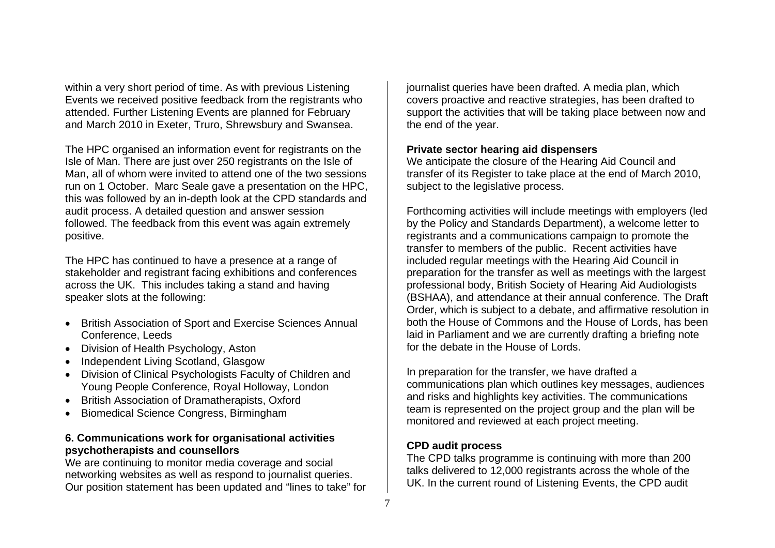within a very short period of time. As with previous Listening Events we received positive feedback from the registrants who attended. Further Listening Events are planned for February and March 2010 in Exeter, Truro, Shrewsbury and Swansea.

The HPC organised an information event for registrants on the Isle of Man. There are just over 250 registrants on the Isle of Man, all of whom were invited to attend one of the two sessions run on 1 October. Marc Seale gave a presentation on the HPC, this was followed by an in-depth look at the CPD standards and audit process. A detailed question and answer session followed. The feedback from this event was again extremely positive.

The HPC has continued to have a presence at a range of stakeholder and registrant facing exhibitions and conferences across the UK. This includes taking a stand and having speaker slots at the following:

- British Association of Sport and Exercise Sciences Annual Conference, Leeds
- Division of Health Psychology, Aston
- Independent Living Scotland, Glasgow
- Division of Clinical Psychologists Faculty of Children and Young People Conference, Royal Holloway, London
- British Association of Dramatherapists, Oxford
- Biomedical Science Congress, Birmingham

#### **6. Communications work for organisational activities psychotherapists and counsellors**

We are continuing to monitor media coverage and social networking websites as well as respond to journalist queries. Our position statement has been updated and "lines to take" for journalist queries have been drafted. A media plan, which covers proactive and reactive strategies, has been drafted to support the activities that will be taking place between now and the end of the year.

#### **Private sector hearing aid dispensers**

We anticipate the closure of the Hearing Aid Council and transfer of its Register to take place at the end of March 2010, subject to the legislative process.

Forthcoming activities will include meetings with employers (led by the Policy and Standards Department), a welcome letter to registrants and a communications campaign to promote the transfer to members of the public. Recent activities have included regular meetings with the Hearing Aid Council in preparation for the transfer as well as meetings with the largest professional body, British Society of Hearing Aid Audiologists (BSHAA), and attendance at their annual conference. The Draft Order, which is subject to a debate, and affirmative resolution in both the House of Commons and the House of Lords, has been laid in Parliament and we are currently drafting a briefing note for the debate in the House of Lords.

In preparation for the transfer, we have drafted a communications plan which outlines key messages, audiences and risks and highlights key activities. The communications team is represented on the project group and the plan will be monitored and reviewed at each project meeting.

# **CPD audit process**

The CPD talks programme is continuing with more than 200 talks delivered to 12,000 registrants across the whole of the UK. In the current round of Listening Events, the CPD audit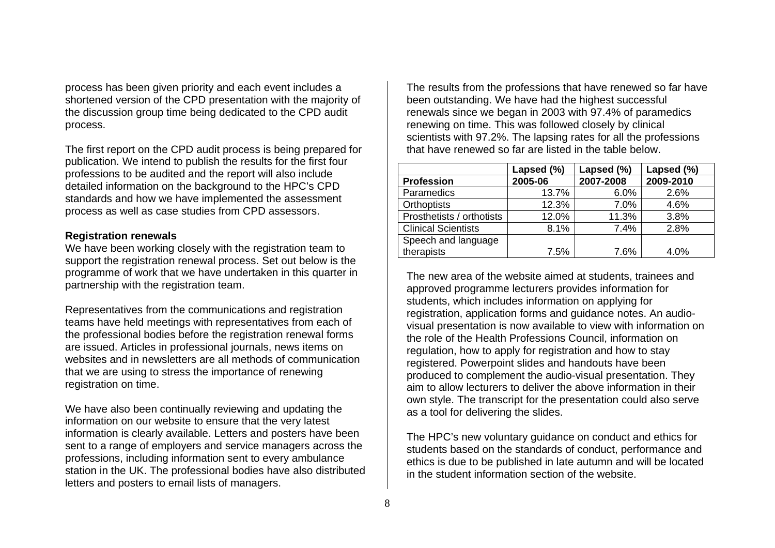process has been given priority and each event includes a shortened version of the CPD presentation with the majority of the discussion group time being dedicated to the CPD audit process.

The first report on the CPD audit process is being prepared for publication. We intend to publish the results for the first four professions to be audited and the report will also include detailed information on the background to the HPC's CPD standards and how we have implemented the assessment process as well as case studies from CPD assessors.

#### **Registration renewals**

We have been working closely with the registration team to support the registration renewal process. Set out below is the programme of work that we have undertaken in this quarter in partnership with the registration team.

Representatives from the communications and registration teams have held meetings with representatives from each of the professional bodies before the registration renewal forms are issued. Articles in professional journals, news items on websites and in newsletters are all methods of communication that we are using to stress the importance of renewing registration on time.

We have also been continually reviewing and updating the information on our website to ensure that the very latest information is clearly available. Letters and posters have been sent to a range of employers and service managers across the professions, including information sent to every ambulance station in the UK. The professional bodies have also distributed letters and posters to email lists of managers.

The results from the professions that have renewed so far have been outstanding. We have had the highest successful renewals since we began in 2003 with 97.4% of paramedics renewing on time. This was followed closely by clinical scientists with 97.2%. The lapsing rates for all the professions that have renewed so far are listed in the table below.

|                            | Lapsed (%) | Lapsed (%) | Lapsed (%) |
|----------------------------|------------|------------|------------|
| <b>Profession</b>          | 2005-06    | 2007-2008  | 2009-2010  |
| Paramedics                 | 13.7%      | 6.0%       | 2.6%       |
| <b>Orthoptists</b>         | 12.3%      | 7.0%       | 4.6%       |
| Prosthetists / orthotists  | 12.0%      | 11.3%      | 3.8%       |
| <b>Clinical Scientists</b> | 8.1%       | 7.4%       | 2.8%       |
| Speech and language        |            |            |            |
| therapists                 | 7.5%       | 7.6%       | 4.0%       |

The new area of the website aimed at students, trainees and approved programme lecturers provides information for students, which includes information on applying for registration, application forms and guidance notes. An audiovisual presentation is now available to view with information on the role of the Health Professions Council, information on regulation, how to apply for registration and how to stay registered. Powerpoint slides and handouts have been produced to complement the audio-visual presentation. They aim to allow lecturers to deliver the above information in their own style. The transcript for the presentation could also serve as a tool for delivering the slides.

The HPC's new voluntary guidance on conduct and ethics for students based on the standards of conduct, performance and ethics is due to be published in late autumn and will be located in the student information section of the website.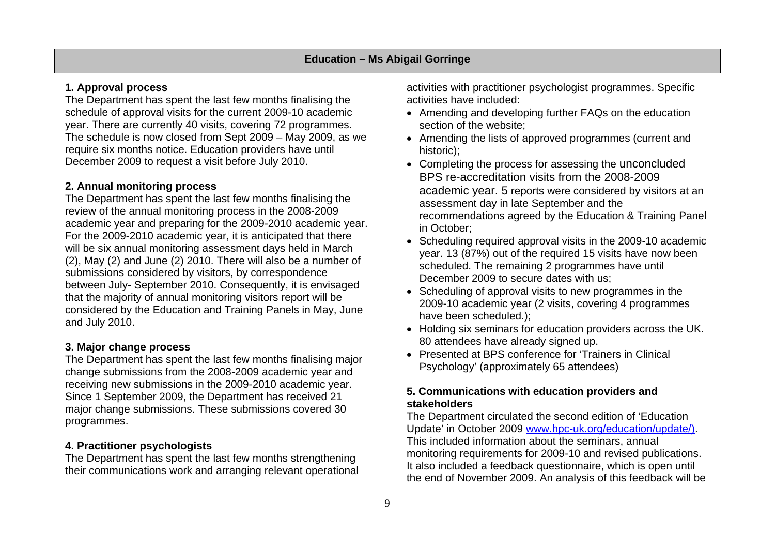# **1. Approval process**

The Department has spent the last few months finalising the schedule of approval visits for the current 2009-10 academic year. There are currently 40 visits, covering 72 programmes. The schedule is now closed from Sept 2009 – May 2009, as we require six months notice. Education providers have until December 2009 to request a visit before July 2010.

# **2. Annual monitoring process**

The Department has spent the last few months finalising the review of the annual monitoring process in the 2008-2009 academic year and preparing for the 2009-2010 academic year. For the 2009-2010 academic year, it is anticipated that there will be six annual monitoring assessment days held in March (2), May (2) and June (2) 2010. There will also be a number of submissions considered by visitors, by correspondence between July- September 2010. Consequently, it is envisaged that the majority of annual monitoring visitors report will be considered by the Education and Training Panels in May, June and July 2010.

# **3. Major change process**

The Department has spent the last few months finalising major change submissions from the 2008-2009 academic year and receiving new submissions in the 2009-2010 academic year. Since 1 September 2009, the Department has received 21 major change submissions. These submissions covered 30 programmes.

# **4. Practitioner psychologists**

The Department has spent the last few months strengthening their communications work and arranging relevant operational activities with practitioner psychologist programmes. Specific activities have included:

- Amending and developing further FAQs on the education section of the website;
- Amending the lists of approved programmes (current and historic);
- Completing the process for assessing the unconcluded BPS re-accreditation visits from the 2008-2009 academic year. 5 reports were considered by visitors at an assessment day in late September and the recommendations agreed by the Education & Training Panel in October;
- Scheduling required approval visits in the 2009-10 academic year. 13 (87%) out of the required 15 visits have now been scheduled. The remaining 2 programmes have until December 2009 to secure dates with us;
- Scheduling of approval visits to new programmes in the 2009-10 academic year (2 visits, covering 4 programmes have been scheduled.);
- Holding six seminars for education providers across the UK. 80 attendees have already signed up.
- Presented at BPS conference for 'Trainers in Clinical Psychology' (approximately 65 attendees)

# **5. Communications with education providers and stakeholders**

The Department circulated the second edition of 'Education Update' in October 2009 www.hpc-uk.org/education/update/). This included information about the seminars, annual monitoring requirements for 2009-10 and revised publications. It also included a feedback questionnaire, which is open until the end of November 2009. An analysis of this feedback will be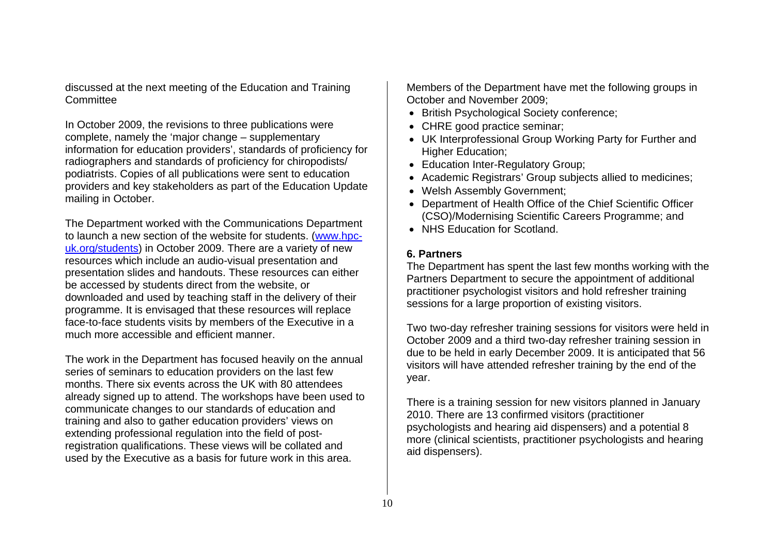discussed at the next meeting of the Education and Training **Committee** 

In October 2009, the revisions to three publications were complete, namely the 'major change – supplementary information for education providers', standards of proficiency for radiographers and standards of proficiency for chiropodists/ podiatrists. Copies of all publications were sent to education providers and key stakeholders as part of the Education Update mailing in October.

The Department worked with the Communications Department to launch a new section of the website for students. (www.hpcuk.org/students) in October 2009. There are a variety of new resources which include an audio-visual presentation and presentation slides and handouts. These resources can either be accessed by students direct from the website, or downloaded and used by teaching staff in the delivery of their programme. It is envisaged that these resources will replace face-to-face students visits by members of the Executive in a much more accessible and efficient manner.

The work in the Department has focused heavily on the annual series of seminars to education providers on the last few months. There six events across the UK with 80 attendees already signed up to attend. The workshops have been used to communicate changes to our standards of education and training and also to gather education providers' views on extending professional regulation into the field of postregistration qualifications. These views will be collated and used by the Executive as a basis for future work in this area.

Members of the Department have met the following groups in October and November 2009;

- British Psychological Society conference;
- CHRE good practice seminar;
- UK Interprofessional Group Working Party for Further and Higher Education;
- Education Inter-Regulatory Group;
- Academic Registrars' Group subjects allied to medicines;
- Welsh Assembly Government;
- Department of Health Office of the Chief Scientific Officer (CSO)/Modernising Scientific Careers Programme; and
- NHS Education for Scotland.

#### **6. Partners**

The Department has spent the last few months working with the Partners Department to secure the appointment of additional practitioner psychologist visitors and hold refresher training sessions for a large proportion of existing visitors.

Two two-day refresher training sessions for visitors were held in October 2009 and a third two-day refresher training session in due to be held in early December 2009. It is anticipated that 56 visitors will have attended refresher training by the end of the year.

There is a training session for new visitors planned in January 2010. There are 13 confirmed visitors (practitioner psychologists and hearing aid dispensers) and a potential 8 more (clinical scientists, practitioner psychologists and hearing aid dispensers).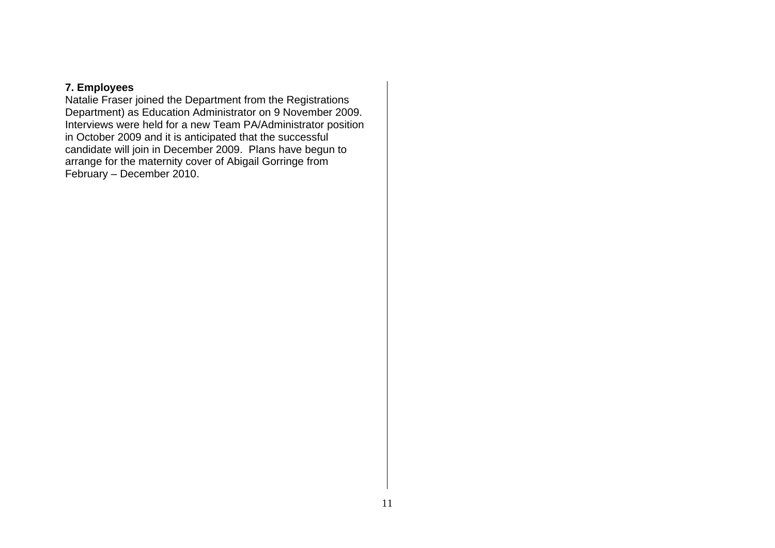#### **7. Employees**

Natalie Fraser joined the Department from the Registrations Department) as Education Administrator on 9 November 2009. Interviews were held for a new Team PA/Administrator position in October 2009 and it is anticipated that the successful candidate will join in December 2009. Plans have begun to arrange for the maternity cover of Abigail Gorringe from February – December 2010.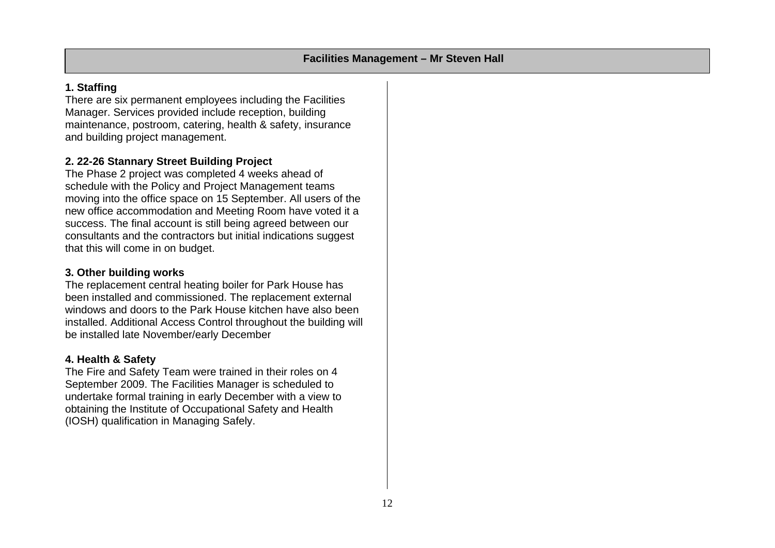#### **1. Staffing**

There are six permanent employees including the Facilities Manager. Services provided include reception, building maintenance, postroom, catering, health & safety, insurance and building project management.

# **2. 22-26 Stannary Street Building Project**

The Phase 2 project was completed 4 weeks ahead of schedule with the Policy and Project Management teams moving into the office space on 15 September. All users of the new office accommodation and Meeting Room have voted it a success. The final account is still being agreed between our consultants and the contractors but initial indications suggest that this will come in on budget.

#### **3. Other building works**

The replacement central heating boiler for Park House has been installed and commissioned. The replacement external windows and doors to the Park House kitchen have also been installed. Additional Access Control throughout the building will be installed late November/early December

#### **4. Health & Safety**

The Fire and Safety Team were trained in their roles on 4 September 2009. The Facilities Manager is scheduled to undertake formal training in early December with a view to obtaining the Institute of Occupational Safety and Health (IOSH) qualification in Managing Safely.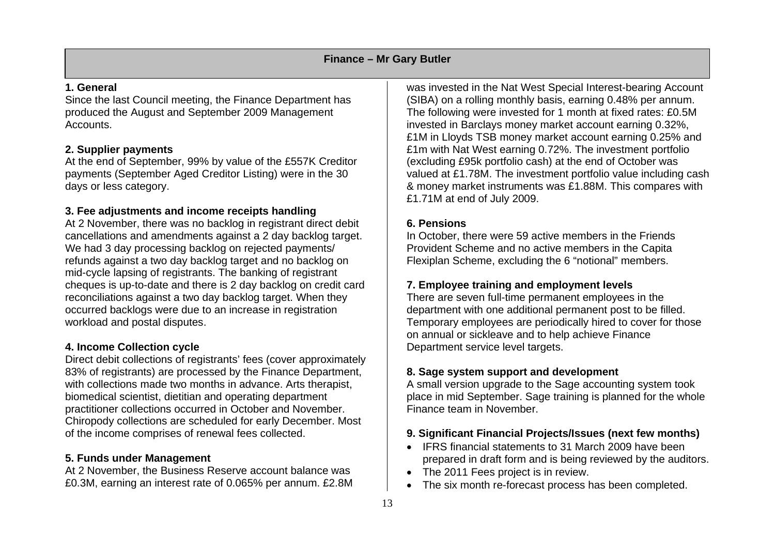#### **1. General**

Since the last Council meeting, the Finance Department has produced the August and September 2009 Management Accounts.

#### **2. Supplier payments**

At the end of September, 99% by value of the £557K Creditor payments (September Aged Creditor Listing) were in the 30 days or less category.

# **3. Fee adjustments and income receipts handling**

At 2 November, there was no backlog in registrant direct debit cancellations and amendments against a 2 day backlog target. We had 3 day processing backlog on rejected payments/ refunds against a two day backlog target and no backlog on mid-cycle lapsing of registrants. The banking of registrant cheques is up-to-date and there is 2 day backlog on credit card reconciliations against a two day backlog target. When they occurred backlogs were due to an increase in registration workload and postal disputes.

# **4. Income Collection cycle**

Direct debit collections of registrants' fees (cover approximately 83% of registrants) are processed by the Finance Department, with collections made two months in advance. Arts therapist, biomedical scientist, dietitian and operating department practitioner collections occurred in October and November. Chiropody collections are scheduled for early December. Most of the income comprises of renewal fees collected.

#### **5. Funds under Management**

At 2 November, the Business Reserve account balance was £0.3M, earning an interest rate of 0.065% per annum. £2.8M

was invested in the Nat West Special Interest-bearing Account (SIBA) on a rolling monthly basis, earning 0.48% per annum. The following were invested for 1 month at fixed rates: £0.5M invested in Barclays money market account earning 0.32%, £1M in Lloyds TSB money market account earning 0.25% and £1m with Nat West earning 0.72%. The investment portfolio (excluding £95k portfolio cash) at the end of October was valued at £1.78M. The investment portfolio value including cash & money market instruments was £1.88M. This compares with £1.71M at end of July 2009.

# **6. Pensions**

In October, there were 59 active members in the Friends Provident Scheme and no active members in the Capita Flexiplan Scheme, excluding the 6 "notional" members.

# **7. Employee training and employment levels**

There are seven full-time permanent employees in the department with one additional permanent post to be filled. Temporary employees are periodically hired to cover for those on annual or sickleave and to help achieve Finance Department service level targets.

# **8. Sage system support and development**

A small version upgrade to the Sage accounting system took place in mid September. Sage training is planned for the whole Finance team in November.

# **9. Significant Financial Projects/Issues (next few months)**

- IFRS financial statements to 31 March 2009 have been prepared in draft form and is being reviewed by the auditors.
- The 2011 Fees project is in review.
- The six month re-forecast process has been completed.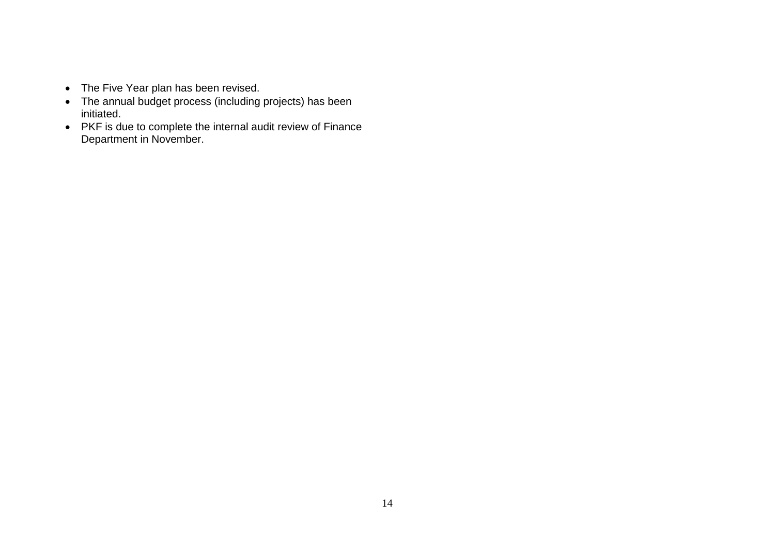- The Five Year plan has been revised.
- The annual budget process (including projects) has been initiated.
- PKF is due to complete the internal audit review of Finance Department in November.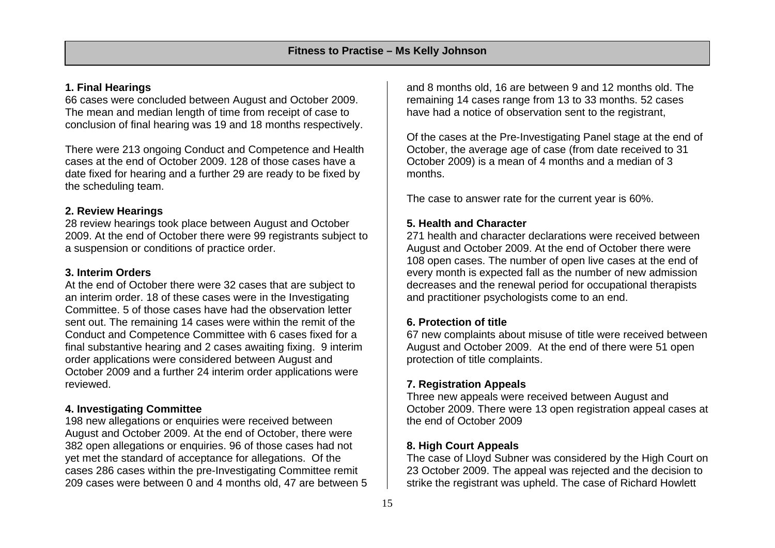#### **1. Final Hearings**

66 cases were concluded between August and October 2009. The mean and median length of time from receipt of case to conclusion of final hearing was 19 and 18 months respectively.

There were 213 ongoing Conduct and Competence and Health cases at the end of October 2009. 128 of those cases have a date fixed for hearing and a further 29 are ready to be fixed by the scheduling team.

#### **2. Review Hearings**

28 review hearings took place between August and October 2009. At the end of October there were 99 registrants subject to a suspension or conditions of practice order.

#### **3. Interim Orders**

At the end of October there were 32 cases that are subject to an interim order. 18 of these cases were in the Investigating Committee. 5 of those cases have had the observation letter sent out. The remaining 14 cases were within the remit of the Conduct and Competence Committee with 6 cases fixed for a final substantive hearing and 2 cases awaiting fixing. 9 interim order applications were considered between August and October 2009 and a further 24 interim order applications were reviewed.

#### **4. Investigating Committee**

198 new allegations or enquiries were received between August and October 2009. At the end of October, there were 382 open allegations or enquiries. 96 of those cases had not yet met the standard of acceptance for allegations. Of the cases 286 cases within the pre-Investigating Committee remit 209 cases were between 0 and 4 months old, 47 are between 5 and 8 months old, 16 are between 9 and 12 months old. The remaining 14 cases range from 13 to 33 months. 52 cases have had a notice of observation sent to the registrant,

Of the cases at the Pre-Investigating Panel stage at the end of October, the average age of case (from date received to 31 October 2009) is a mean of 4 months and a median of 3 months.

The case to answer rate for the current year is 60%.

# **5. Health and Character**

271 health and character declarations were received between August and October 2009. At the end of October there were 108 open cases. The number of open live cases at the end of every month is expected fall as the number of new admission decreases and the renewal period for occupational therapists and practitioner psychologists come to an end.

#### **6. Protection of title**

67 new complaints about misuse of title were received between August and October 2009. At the end of there were 51 open protection of title complaints.

# **7. Registration Appeals**

Three new appeals were received between August and October 2009. There were 13 open registration appeal cases at the end of October 2009

#### **8. High Court Appeals**

The case of Lloyd Subner was considered by the High Court on 23 October 2009. The appeal was rejected and the decision to strike the registrant was upheld. The case of Richard Howlett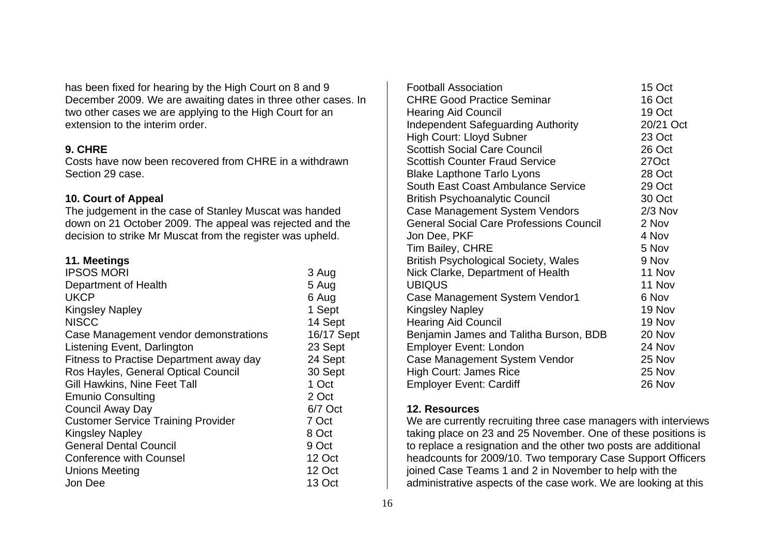has been fixed for hearing by the High Court on 8 and 9 December 2009. We are awaiting dates in three other cases. In two other cases we are applying to the High Court for an extension to the interim order.

#### **9. CHRE**

Costs have now been recovered from CHRE in a withdrawn Section 29 case.

#### **10. Court of Appeal**

The judgement in the case of Stanley Muscat was handed down on 21 October 2009. The appeal was rejected and the decision to strike Mr Muscat from the register was upheld.

#### **11. Meetings**

| 3 Aug      |
|------------|
| 5 Aug      |
| 6 Aug      |
| 1 Sept     |
| 14 Sept    |
| 16/17 Sept |
| 23 Sept    |
| 24 Sept    |
| 30 Sept    |
| 1 Oct      |
| 2 Oct      |
| 6/7 Oct    |
| 7 Oct      |
| 8 Oct      |
| 9 Oct      |
| 12 Oct     |
| 12 Oct     |
| 13 Oct     |
|            |

| <b>Football Association</b>                    | 15 Oct    |
|------------------------------------------------|-----------|
| <b>CHRE Good Practice Seminar</b>              | 16 Oct    |
| <b>Hearing Aid Council</b>                     | 19 Oct    |
| <b>Independent Safeguarding Authority</b>      | 20/21 Oct |
| High Court: Lloyd Subner                       | 23 Oct    |
| <b>Scottish Social Care Council</b>            | 26 Oct    |
| <b>Scottish Counter Fraud Service</b>          | 27Oct     |
| <b>Blake Lapthone Tarlo Lyons</b>              | 28 Oct    |
| South East Coast Ambulance Service             | 29 Oct    |
| <b>British Psychoanalytic Council</b>          | 30 Oct    |
| Case Management System Vendors                 | $2/3$ Nov |
| <b>General Social Care Professions Council</b> | 2 Nov     |
| Jon Dee, PKF                                   | 4 Nov     |
| <b>Tim Bailey, CHRE</b>                        | 5 Nov     |
| <b>British Psychological Society, Wales</b>    | 9 Nov     |
| Nick Clarke, Department of Health              | 11 Nov    |
| <b>UBIQUS</b>                                  | 11 Nov    |
| Case Management System Vendor1                 | 6 Nov     |
| <b>Kingsley Napley</b>                         | 19 Nov    |
| <b>Hearing Aid Council</b>                     | 19 Nov    |
| Benjamin James and Talitha Burson, BDB         | 20 Nov    |
| <b>Employer Event: London</b>                  | 24 Nov    |
| Case Management System Vendor                  | 25 Nov    |
| High Court: James Rice                         | 25 Nov    |
| <b>Employer Event: Cardiff</b>                 | 26 Nov    |

#### **12. Resources**

We are currently recruiting three case managers with interviews taking place on 23 and 25 November. One of these positions is to replace a resignation and the other two posts are additional headcounts for 2009/10. Two temporary Case Support Officers joined Case Teams 1 and 2 in November to help with the administrative aspects of the case work. We are looking at this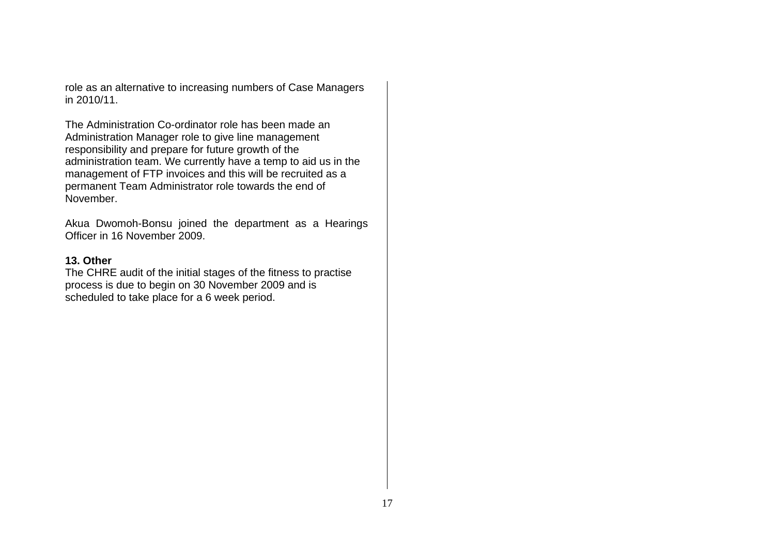role as an alternative to increasing numbers of Case Managers in 2010/11.

The Administration Co-ordinator role has been made an Administration Manager role to give line management responsibility and prepare for future growth of the administration team. We currently have a temp to aid us in the management of FTP invoices and this will be recruited as a permanent Team Administrator role towards the end of November.

Akua Dwomoh-Bonsu joined the department as a Hearings Officer in 16 November 2009.

#### **13. Other**

The CHRE audit of the initial stages of the fitness to practise process is due to begin on 30 November 2009 and is scheduled to take place for a 6 week period.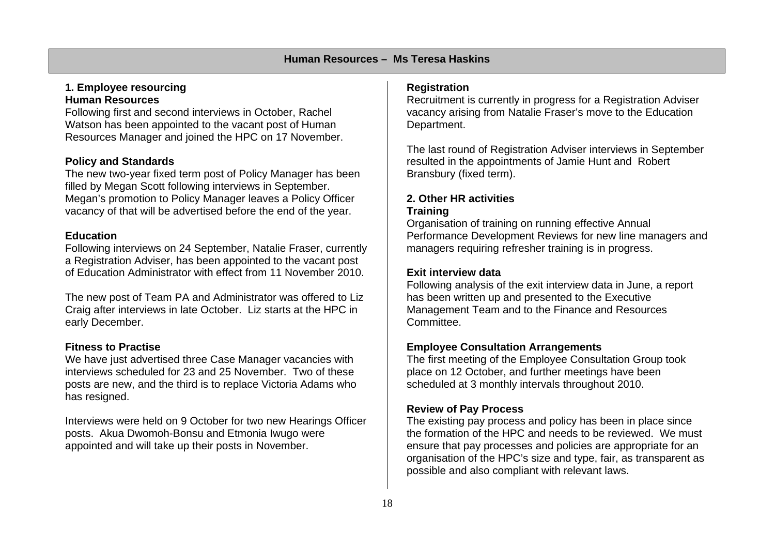#### **1. Employee resourcing Human Resources**

Following first and second interviews in October, Rachel Watson has been appointed to the vacant post of Human Resources Manager and joined the HPC on 17 November.

# **Policy and Standards**

The new two-year fixed term post of Policy Manager has been filled by Megan Scott following interviews in September. Megan's promotion to Policy Manager leaves a Policy Officer vacancy of that will be advertised before the end of the year.

#### **Education**

Following interviews on 24 September, Natalie Fraser, currently a Registration Adviser, has been appointed to the vacant post of Education Administrator with effect from 11 November 2010.

The new post of Team PA and Administrator was offered to Liz Craig after interviews in late October. Liz starts at the HPC in early December.

# **Fitness to Practise**

We have just advertised three Case Manager vacancies with interviews scheduled for 23 and 25 November. Two of these posts are new, and the third is to replace Victoria Adams who has resigned.

Interviews were held on 9 October for two new Hearings Officer posts. Akua Dwomoh-Bonsu and Etmonia Iwugo were appointed and will take up their posts in November.

#### **Registration**

Recruitment is currently in progress for a Registration Adviser vacancy arising from Natalie Fraser's move to the Education Department.

The last round of Registration Adviser interviews in September resulted in the appointments of Jamie Hunt and Robert Bransbury (fixed term).

#### **2. Other HR activities Training**

Organisation of training on running effective Annual Performance Development Reviews for new line managers and managers requiring refresher training is in progress.

#### **Exit interview data**

Following analysis of the exit interview data in June, a report has been written up and presented to the Executive Management Team and to the Finance and Resources Committee.

#### **Employee Consultation Arrangements**

The first meeting of the Employee Consultation Group took place on 12 October, and further meetings have been scheduled at 3 monthly intervals throughout 2010.

#### **Review of Pay Process**

The existing pay process and policy has been in place since the formation of the HPC and needs to be reviewed. We must ensure that pay processes and policies are appropriate for an organisation of the HPC's size and type, fair, as transparent as possible and also compliant with relevant laws.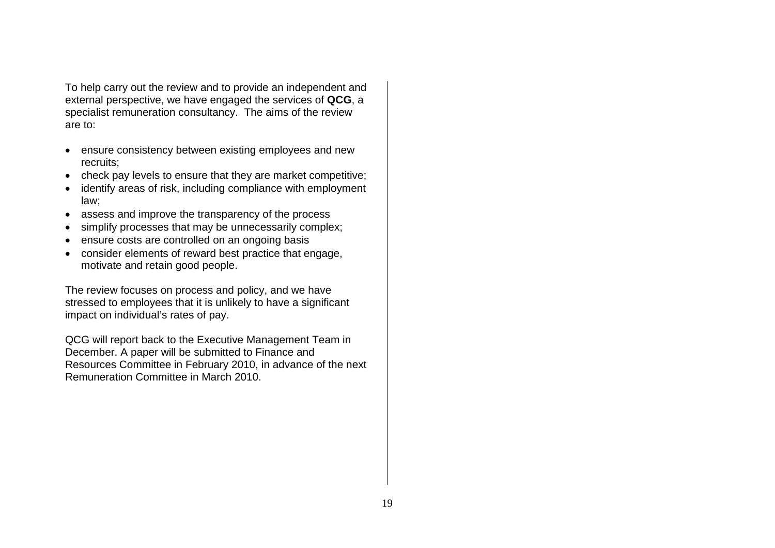To help carry out the review and to provide an independent and external perspective, we have engaged the services of **QCG**, <sup>a</sup> specialist remuneration consultancy. The aims of the review are to:

- ensure consistency between existing employees and new recruits;
- check pay levels to ensure that they are market competitive;
- identify areas of risk, including compliance with employment law;
- assess and improve the transparency of the process
- simplify processes that may be unnecessarily complex;
- ensure costs are controlled on an ongoing basis
- consider elements of reward best practice that engage, motivate and retain good people.

The review focuses on process and policy, and we have stressed to employees that it is unlikely to have a significant impact on individual's rates of pay.

QCG will report back to the Executive Management Team in December. A paper will be submitted to Finance and Resources Committee in February 2010, in advance of the next Remuneration Committee in March 2010.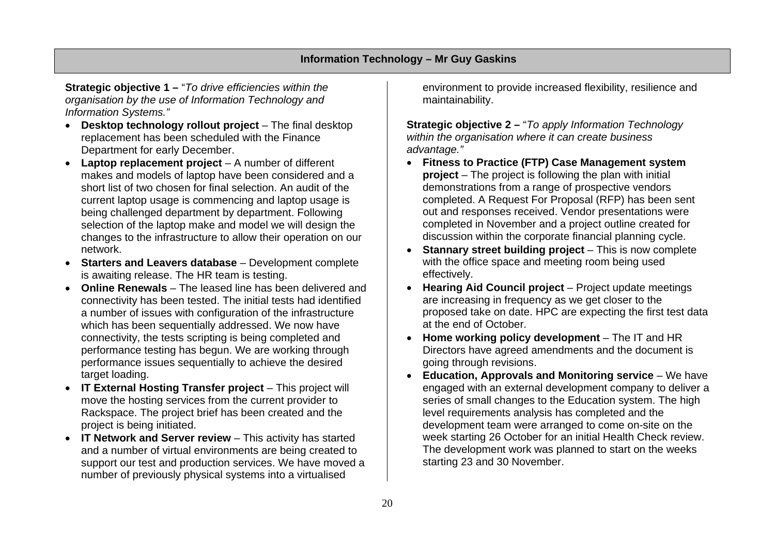#### **Information Technology – Mr Guy Gaskins**

**Strategic objective 1 –** "*To drive efficiencies within the organisation by the use of Information Technology and Information Systems."* 

- **Desktop technology rollout project** The final desktop replacement has been scheduled with the Finance Department for early December.
- **Laptop replacement project** A number of different makes and models of laptop have been considered and a short list of two chosen for final selection. An audit of the current laptop usage is commencing and laptop usage is being challenged department by department. Following selection of the laptop make and model we will design the changes to the infrastructure to allow their operation on our network.
- **Starters and Leavers database** Development complete is awaiting release. The HR team is testing.
- **Online Renewals** The leased line has been delivered and connectivity has been tested. The initial tests had identified a number of issues with configuration of the infrastructure which has been sequentially addressed. We now have connectivity, the tests scripting is being completed and performance testing has begun. We are working through performance issues sequentially to achieve the desired target loading.
- **IT External Hosting Transfer project** This project will move the hosting services from the current provider to Rackspace. The project brief has been created and the project is being initiated.
- **IT Network and Server review** This activity has started and a number of virtual environments are being created to support our test and production services. We have moved a number of previously physical systems into a virtualised

environment to provide increased flexibility, resilience and maintainability.

**Strategic objective 2 –** "*To apply Information Technology within the organisation where it can create business advantage."*

- **Fitness to Practice (FTP) Case Management system project** – The project is following the plan with initial demonstrations from a range of prospective vendors completed. A Request For Proposal (RFP) has been sent out and responses received. Vendor presentations were completed in November and a project outline created for discussion within the corporate financial planning cycle.
- • **Stannary street building project** – This is now complete with the office space and meeting room being used effectively.
- $\bullet$  **Hearing Aid Council project** – Project update meetings are increasing in frequency as we get closer to the proposed take on date. HPC are expecting the first test data at the end of October.
- **Home working policy development** The IT and HR Directors have agreed amendments and the document is going through revisions.
- $\bullet$ **Education, Approvals and Monitoring service** – We have engaged with an external development company to deliver a series of small changes to the Education system. The high level requirements analysis has completed and the development team were arranged to come on-site on the week starting 26 October for an initial Health Check review. The development work was planned to start on the weeks starting 23 and 30 November.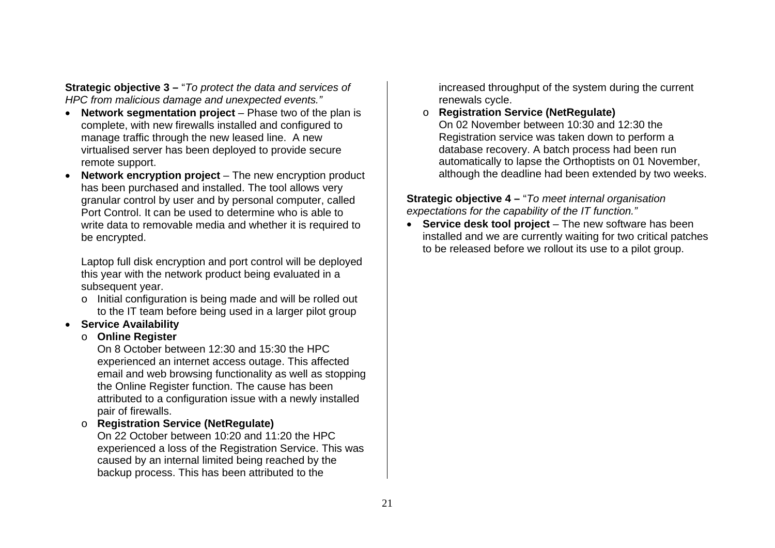**Strategic objective 3 –** "*To protect the data and services of HPC from malicious damage and unexpected events."* 

- **Network segmentation project** Phase two of the plan is complete, with new firewalls installed and configured to manage traffic through the new leased line. A new virtualised server has been deployed to provide secure remote support.
- **Network encryption project** The new encryption product has been purchased and installed. The tool allows very granular control by user and by personal computer, called Port Control. It can be used to determine who is able to write data to removable media and whether it is required to be encrypted.

Laptop full disk encryption and port control will be deployed this year with the network product being evaluated in a subsequent year.

<sup>o</sup> Initial configuration is being made and will be rolled out to the IT team before being used in a larger pilot group

# • **Service Availability**

# o **Online Register**

On 8 October between 12:30 and 15:30 the HPC experienced an internet access outage. This affected email and web browsing functionality as well as stopping the Online Register function. The cause has been attributed to a configuration issue with a newly installed pair of firewalls.

o **Registration Service (NetRegulate)**

On 22 October between 10:20 and 11:20 the HPC experienced a loss of the Registration Service. This was caused by an internal limited being reached by the backup process. This has been attributed to the

increased throughput of the system during the current renewals cycle.

although the deadline had been extended by two weeks.

o **Registration Service (NetRegulate)**  On 02 November between 10:30 and 12:30 the Registration service was taken down to perform a database recovery. A batch process had been run automatically to lapse the Orthoptists on 01 November,

**Strategic objective 4 –** "*To meet internal organisation expectations for the capability of the IT function."* 

• **Service desk tool project** – The new software has been installed and we are currently waiting for two critical patches to be released before we rollout its use to a pilot group.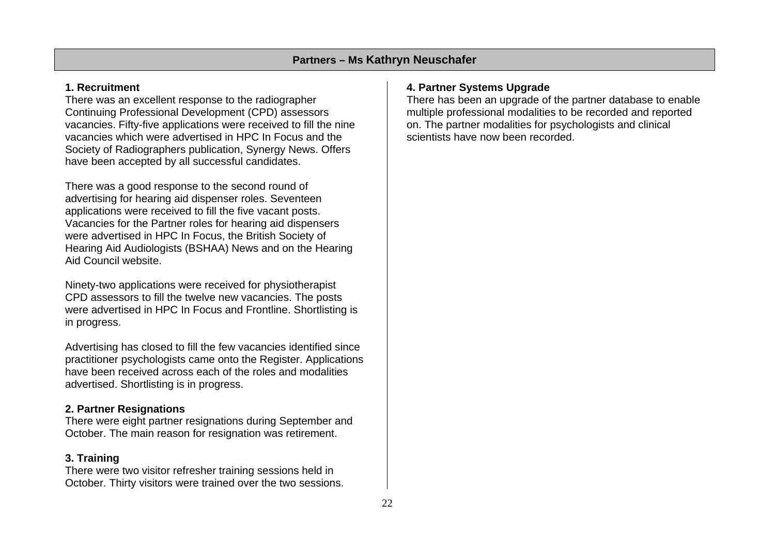## **1. Recruitment**

There was an excellent response to the radiographer Continuing Professional Development (CPD) assessors vacancies. Fifty-five applications were received to fill the nine vacancies which were advertised in HPC In Focus and the Society of Radiographers publication, Synergy News. Offers have been accepted by all successful candidates.

There was a good response to the second round of advertising for hearing aid dispenser roles. Seventeen applications were received to fill the five vacant posts. Vacancies for the Partner roles for hearing aid dispensers were advertised in HPC In Focus, the British Society of Hearing Aid Audiologists (BSHAA) News and on the Hearing Aid Council website.

Ninety-two applications were received for physiotherapist CPD assessors to fill the twelve new vacancies. The posts were advertised in HPC In Focus and Frontline. Shortlisting is in progress.

Advertising has closed to fill the few vacancies identified since practitioner psychologists came onto the Register. Applications have been received across each of the roles and modalities advertised. Shortlisting is in progress.

# **2. Partner Resignations**

There were eight partner resignations during September and October. The main reason for resignation was retirement.

# **3. Training**

There were two visitor refresher training sessions held in October. Thirty visitors were trained over the two sessions.

# **4. Partner Systems Upgrade**

There has been an upgrade of the partner database to enable multiple professional modalities to be recorded and reported on. The partner modalities for psychologists and clinical scientists have now been recorded.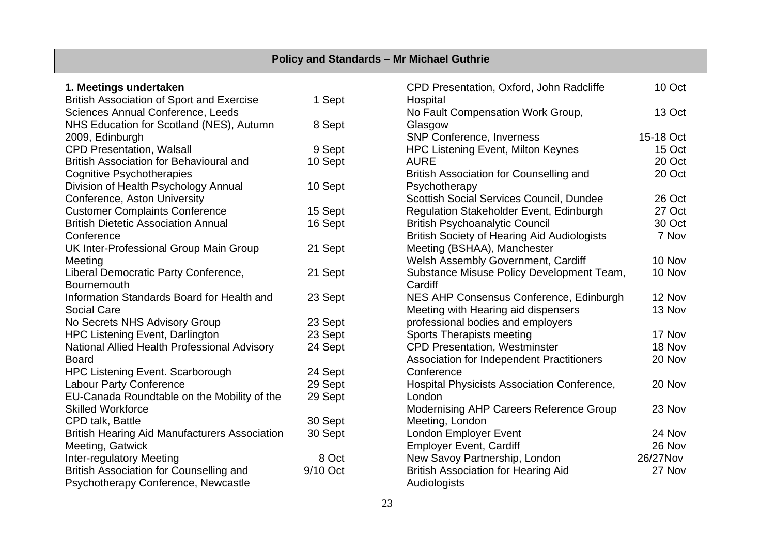| <b>Policy and Standards - Mr Michael Guthrie</b>     |          |                                                    |           |  |  |  |  |  |  |  |  |  |  |
|------------------------------------------------------|----------|----------------------------------------------------|-----------|--|--|--|--|--|--|--|--|--|--|
| 1. Meetings undertaken                               |          | CPD Presentation, Oxford, John Radcliffe           | 10 Oct    |  |  |  |  |  |  |  |  |  |  |
| <b>British Association of Sport and Exercise</b>     | 1 Sept   | Hospital                                           |           |  |  |  |  |  |  |  |  |  |  |
| Sciences Annual Conference, Leeds                    |          | No Fault Compensation Work Group,                  | 13 Oct    |  |  |  |  |  |  |  |  |  |  |
| NHS Education for Scotland (NES), Autumn             | 8 Sept   | Glasgow                                            |           |  |  |  |  |  |  |  |  |  |  |
| 2009, Edinburgh                                      |          | <b>SNP Conference, Inverness</b>                   | 15-18 Oct |  |  |  |  |  |  |  |  |  |  |
| <b>CPD Presentation, Walsall</b>                     | 9 Sept   | <b>HPC Listening Event, Milton Keynes</b>          | 15 Oct    |  |  |  |  |  |  |  |  |  |  |
| British Association for Behavioural and              | 10 Sept  | <b>AURE</b>                                        | 20 Oct    |  |  |  |  |  |  |  |  |  |  |
| <b>Cognitive Psychotherapies</b>                     |          | British Association for Counselling and            | 20 Oct    |  |  |  |  |  |  |  |  |  |  |
| Division of Health Psychology Annual                 | 10 Sept  | Psychotherapy                                      |           |  |  |  |  |  |  |  |  |  |  |
| Conference, Aston University                         |          | Scottish Social Services Council, Dundee           | 26 Oct    |  |  |  |  |  |  |  |  |  |  |
| <b>Customer Complaints Conference</b>                | 15 Sept  | Regulation Stakeholder Event, Edinburgh            | 27 Oct    |  |  |  |  |  |  |  |  |  |  |
| <b>British Dietetic Association Annual</b>           | 16 Sept  | <b>British Psychoanalytic Council</b>              | 30 Oct    |  |  |  |  |  |  |  |  |  |  |
| Conference                                           |          | <b>British Society of Hearing Aid Audiologists</b> | 7 Nov     |  |  |  |  |  |  |  |  |  |  |
| UK Inter-Professional Group Main Group               | 21 Sept  | Meeting (BSHAA), Manchester                        |           |  |  |  |  |  |  |  |  |  |  |
| Meeting                                              |          | Welsh Assembly Government, Cardiff                 | 10 Nov    |  |  |  |  |  |  |  |  |  |  |
| Liberal Democratic Party Conference,                 | 21 Sept  | Substance Misuse Policy Development Team,          | 10 Nov    |  |  |  |  |  |  |  |  |  |  |
| Bournemouth                                          |          | Cardiff                                            |           |  |  |  |  |  |  |  |  |  |  |
| Information Standards Board for Health and           | 23 Sept  | NES AHP Consensus Conference, Edinburgh            | 12 Nov    |  |  |  |  |  |  |  |  |  |  |
| <b>Social Care</b>                                   |          | Meeting with Hearing aid dispensers                | 13 Nov    |  |  |  |  |  |  |  |  |  |  |
| No Secrets NHS Advisory Group                        | 23 Sept  | professional bodies and employers                  |           |  |  |  |  |  |  |  |  |  |  |
| <b>HPC Listening Event, Darlington</b>               | 23 Sept  | <b>Sports Therapists meeting</b>                   | 17 Nov    |  |  |  |  |  |  |  |  |  |  |
| National Allied Health Professional Advisory         | 24 Sept  | <b>CPD Presentation, Westminster</b>               | 18 Nov    |  |  |  |  |  |  |  |  |  |  |
| <b>Board</b>                                         |          | Association for Independent Practitioners          | 20 Nov    |  |  |  |  |  |  |  |  |  |  |
| HPC Listening Event. Scarborough                     | 24 Sept  | Conference                                         |           |  |  |  |  |  |  |  |  |  |  |
| <b>Labour Party Conference</b>                       | 29 Sept  | Hospital Physicists Association Conference,        | 20 Nov    |  |  |  |  |  |  |  |  |  |  |
| EU-Canada Roundtable on the Mobility of the          | 29 Sept  | London                                             |           |  |  |  |  |  |  |  |  |  |  |
| <b>Skilled Workforce</b>                             |          | Modernising AHP Careers Reference Group            | 23 Nov    |  |  |  |  |  |  |  |  |  |  |
| CPD talk, Battle                                     | 30 Sept  | Meeting, London                                    |           |  |  |  |  |  |  |  |  |  |  |
| <b>British Hearing Aid Manufacturers Association</b> | 30 Sept  | London Employer Event                              | 24 Nov    |  |  |  |  |  |  |  |  |  |  |
| Meeting, Gatwick                                     |          | <b>Employer Event, Cardiff</b>                     | 26 Nov    |  |  |  |  |  |  |  |  |  |  |
| Inter-regulatory Meeting                             | 8 Oct    | New Savoy Partnership, London                      | 26/27Nov  |  |  |  |  |  |  |  |  |  |  |
| British Association for Counselling and              | 9/10 Oct | <b>British Association for Hearing Aid</b>         | 27 Nov    |  |  |  |  |  |  |  |  |  |  |
| Psychotherapy Conference, Newcastle                  |          | Audiologists                                       |           |  |  |  |  |  |  |  |  |  |  |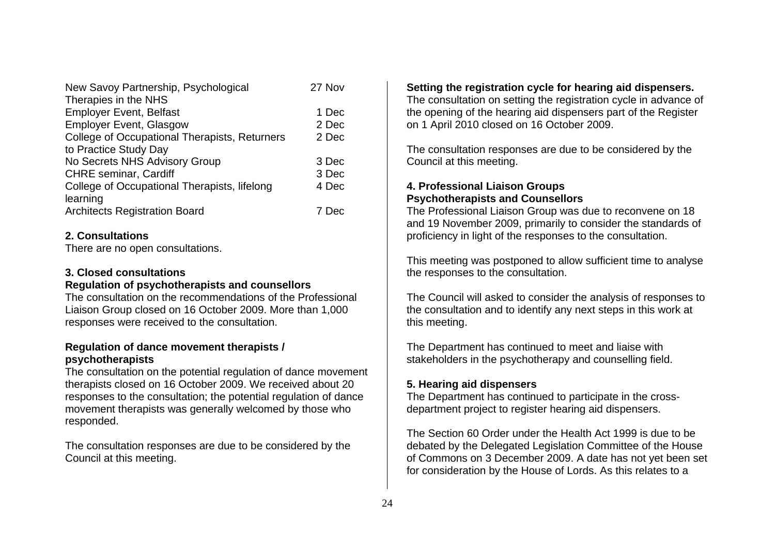| New Savoy Partnership, Psychological                 | 27 Nov |
|------------------------------------------------------|--------|
| Therapies in the NHS                                 |        |
| <b>Employer Event, Belfast</b>                       | 1 Dec  |
| <b>Employer Event, Glasgow</b>                       | 2 Dec  |
| <b>College of Occupational Therapists, Returners</b> | 2 Dec  |
| to Practice Study Day                                |        |
| No Secrets NHS Advisory Group                        | 3 Dec  |
| <b>CHRE</b> seminar, Cardiff                         | 3 Dec  |
| College of Occupational Therapists, lifelong         | 4 Dec  |
| learning                                             |        |
| <b>Architects Registration Board</b>                 | 7 Dec  |

#### **2. Consultations**

There are no open consultations.

#### **3. Closed consultations**

#### **Regulation of psychotherapists and counsellors**

The consultation on the recommendations of the Professional Liaison Group closed on 16 October 2009. More than 1,000 responses were received to the consultation.

#### **Regulation of dance movement therapists / psychotherapists**

The consultation on the potential regulation of dance movement therapists closed on 16 October 2009. We received about 20 responses to the consultation; the potential regulation of dance movement therapists was generally welcomed by those who responded.

The consultation responses are due to be considered by the Council at this meeting.

# **Setting the registration cycle for hearing aid dispensers.**

The consultation on setting the registration cycle in advance of the opening of the hearing aid dispensers part of the Register on 1 April 2010 closed on 16 October 2009.

The consultation responses are due to be considered by the Council at this meeting.

#### **4. Professional Liaison Groups Psychotherapists and Counsellors**

The Professional Liaison Group was due to reconvene on 18 and 19 November 2009, primarily to consider the standards of proficiency in light of the responses to the consultation.

This meeting was postponed to allow sufficient time to analyse the responses to the consultation.

The Council will asked to consider the analysis of responses to the consultation and to identify any next steps in this work at this meeting.

The Department has continued to meet and liaise with stakeholders in the psychotherapy and counselling field.

# **5. Hearing aid dispensers**

The Department has continued to participate in the crossdepartment project to register hearing aid dispensers.

The Section 60 Order under the Health Act 1999 is due to be debated by the Delegated Legislation Committee of the House of Commons on 3 December 2009. A date has not yet been set for consideration by the House of Lords. As this relates to a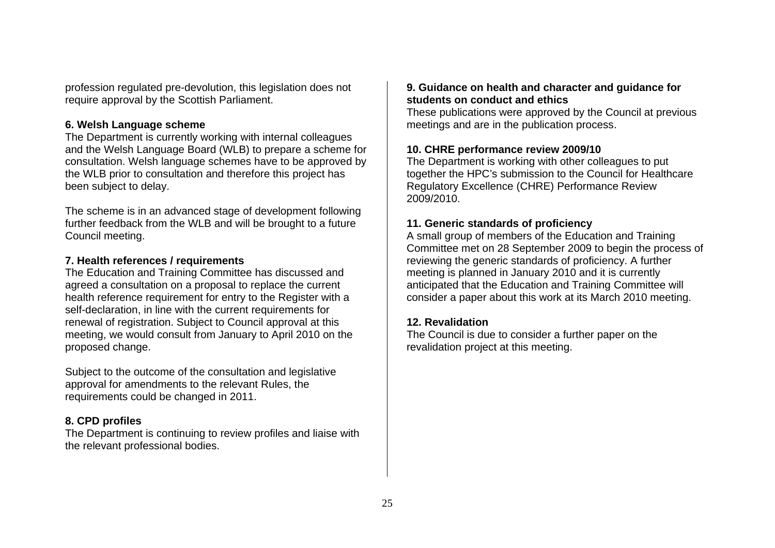profession regulated pre-devolution, this legislation does not require approval by the Scottish Parliament.

#### **6. Welsh Language scheme**

The Department is currently working with internal colleagues and the Welsh Language Board (WLB) to prepare a scheme for consultation. Welsh language schemes have to be approved by the WLB prior to consultation and therefore this project has been subject to delay.

The scheme is in an advanced stage of development following further feedback from the WLB and will be brought to a future Council meeting.

#### **7. Health references / requirements**

The Education and Training Committee has discussed and agreed a consultation on a proposal to replace the current health reference requirement for entry to the Register with a self-declaration, in line with the current requirements for renewal of registration. Subject to Council approval at this meeting, we would consult from January to April 2010 on the proposed change.

Subject to the outcome of the consultation and legislative approval for amendments to the relevant Rules, the requirements could be changed in 2011.

#### **8. CPD profiles**

The Department is continuing to review profiles and liaise with the relevant professional bodies.

#### **9. Guidance on health and character and guidance for students on conduct and ethics**

These publications were approved by the Council at previous meetings and are in the publication process.

#### **10. CHRE performance review 2009/10**

The Department is working with other colleagues to put together the HPC's submission to the Council for Healthcare Regulatory Excellence (CHRE) Performance Review 2009/2010.

#### **11. Generic standards of proficiency**

A small group of members of the Education and Training Committee met on 28 September 2009 to begin the process of reviewing the generic standards of proficiency. A further meeting is planned in January 2010 and it is currently anticipated that the Education and Training Committee will consider a paper about this work at its March 2010 meeting.

#### **12. Revalidation**

The Council is due to consider a further paper on the revalidation project at this meeting.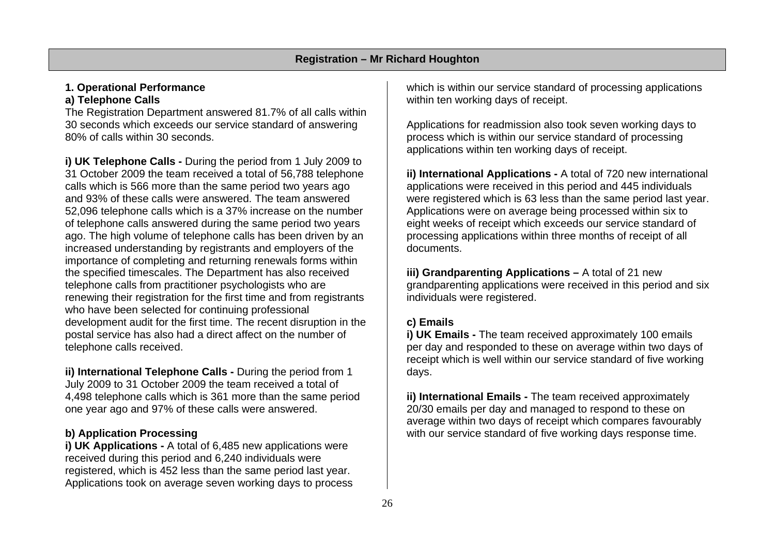#### **1. Operational Performance a) Telephone Calls**

The Registration Department answered 81.7% of all calls within 30 seconds which exceeds our service standard of answering 80% of calls within 30 seconds.

**i) UK Telephone Calls -** During the period from 1 July 2009 to 31 October 2009 the team received a total of 56,788 telephone calls which is 566 more than the same period two years ago and 93% of these calls were answered. The team answered 52,096 telephone calls which is a 37% increase on the number of telephone calls answered during the same period two years ago. The high volume of telephone calls has been driven by an increased understanding by registrants and employers of the importance of completing and returning renewals forms within the specified timescales. The Department has also received telephone calls from practitioner psychologists who are renewing their registration for the first time and from registrants who have been selected for continuing professional development audit for the first time. The recent disruption in the postal service has also had a direct affect on the number of telephone calls received.

**ii) International Telephone Calls -** During the period from 1 July 2009 to 31 October 2009 the team received a total of 4,498 telephone calls which is 361 more than the same period one year ago and 97% of these calls were answered.

#### **b) Application Processing**

**i) UK Applications -** A total of 6,485 new applications were received during this period and 6,240 individuals were registered, which is 452 less than the same period last year. Applications took on average seven working days to process

which is within our service standard of processing applications within ten working days of receipt.

Applications for readmission also took seven working days to process which is within our service standard of processing applications within ten working days of receipt.

**ii) International Applications -** A total of 720 new international applications were received in this period and 445 individuals were registered which is 63 less than the same period last year. Applications were on average being processed within six to eight weeks of receipt which exceeds our service standard of processing applications within three months of receipt of all documents.

**iii) Grandparenting Applications - A total of 21 new** grandparenting applications were received in this period and six individuals were registered.

# **c) Emails**

**i) UK Emails - The team received approximately 100 emails** per day and responded to these on average within two days of receipt which is well within our service standard of five working days.

**ii) International Emails -** The team received approximately 20/30 emails per day and managed to respond to these on average within two days of receipt which compares favourably with our service standard of five working days response time.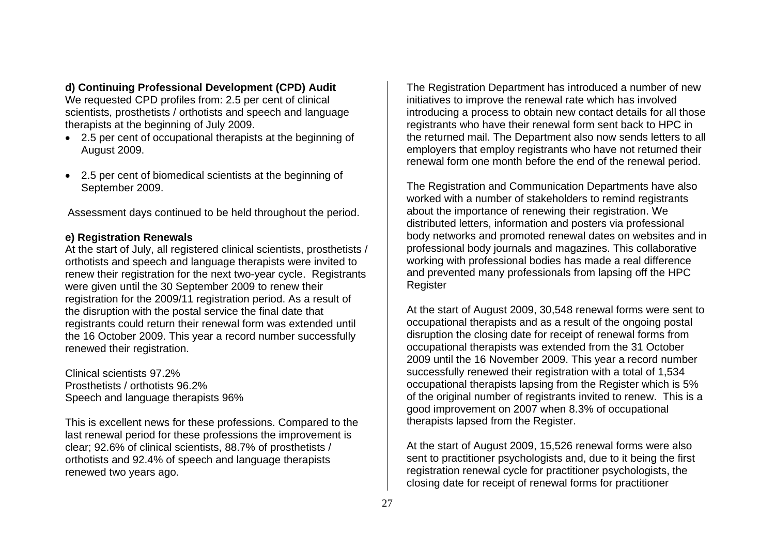#### **d) Continuing Professional Development (CPD) Audit**

We requested CPD profiles from: 2.5 per cent of clinical scientists, prosthetists / orthotists and speech and language therapists at the beginning of July 2009.

- 2.5 per cent of occupational therapists at the beginning of August 2009.
- 2.5 per cent of biomedical scientists at the beginning of September 2009.

Assessment days continued to be held throughout the period.

#### **e) Registration Renewals**

At the start of July, all registered clinical scientists, prosthetists / orthotists and speech and language therapists were invited to renew their registration for the next two-year cycle. Registrants were given until the 30 September 2009 to renew their registration for the 2009/11 registration period. As a result of the disruption with the postal service the final date that registrants could return their renewal form was extended until the 16 October 2009. This year a record number successfully renewed their registration.

Clinical scientists 97.2% Prosthetists / orthotists 96.2% Speech and language therapists 96%

This is excellent news for these professions. Compared to the last renewal period for these professions the improvement is clear; 92.6% of clinical scientists, 88.7% of prosthetists / orthotists and 92.4% of speech and language therapists renewed two years ago.

The Registration Department has introduced a number of new initiatives to improve the renewal rate which has involved introducing a process to obtain new contact details for all those registrants who have their renewal form sent back to HPC in the returned mail. The Department also now sends letters to all employers that employ registrants who have not returned their renewal form one month before the end of the renewal period.

The Registration and Communication Departments have also worked with a number of stakeholders to remind registrants about the importance of renewing their registration. We distributed letters, information and posters via professional body networks and promoted renewal dates on websites and in professional body journals and magazines. This collaborative working with professional bodies has made a real difference and prevented many professionals from lapsing off the HPC Register

At the start of August 2009, 30,548 renewal forms were sent to occupational therapists and as a result of the ongoing postal disruption the closing date for receipt of renewal forms from occupational therapists was extended from the 31 October 2009 until the 16 November 2009. This year a record number successfully renewed their registration with a total of 1,534 occupational therapists lapsing from the Register which is 5% of the original number of registrants invited to renew. This is a good improvement on 2007 when 8.3% of occupational therapists lapsed from the Register.

At the start of August 2009, 15,526 renewal forms were also sent to practitioner psychologists and, due to it being the first registration renewal cycle for practitioner psychologists, the closing date for receipt of renewal forms for practitioner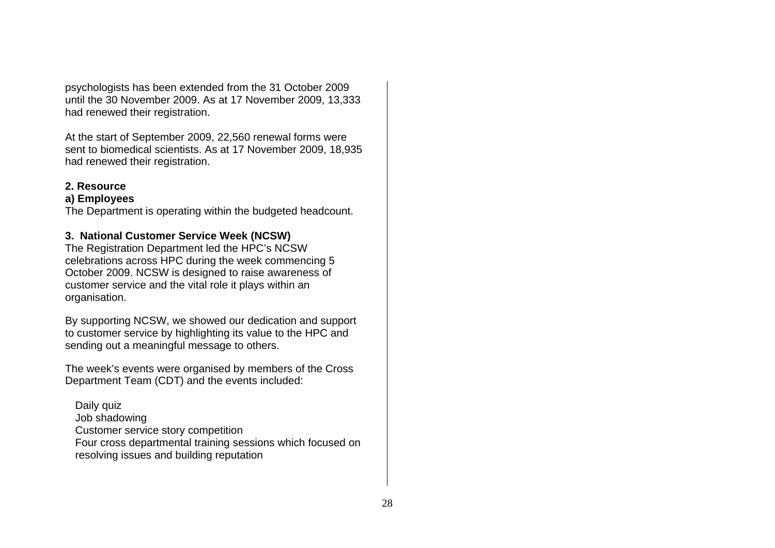psychologists has been extended from the 31 October 2009 until the 30 November 2009. As at 17 November 2009, 13,333 had renewed their registration.

At the start of September 2009, 22,560 renewal forms were sent to biomedical scientists. As at 17 November 2009, 18,935 had renewed their registration.

#### **2. Resource**

#### **a) Employees**

The Department is operating within the budgeted headcount.

#### **3. National Customer Service Week (NCSW)**

The Registration Department led the HPC's NCSW celebrations across HPC during the week commencing 5 October 2009. NCSW is designed to raise awareness of customer service and the vital role it plays within an organisation.

By supporting NCSW, we showed our dedication and support to customer service by highlighting its value to the HPC and sending out a meaningful message to others.

The week's events were organised by members of the Cross Department Team (CDT) and the events included:

Daily quiz Job shadowing Customer service story competition Four cross departmental training sessions which focused on resolving issues and building reputation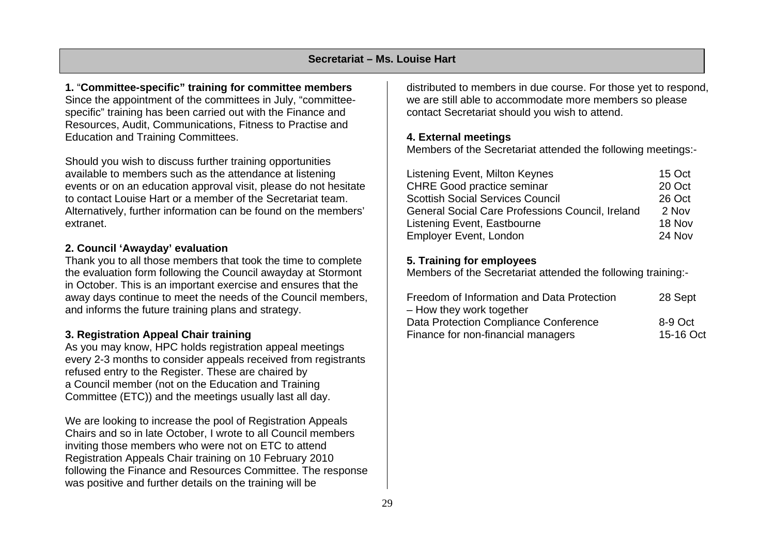#### **Secretariat – Ms. Louise Hart**

**1.** "**Committee-specific" training for committee members**  Since the appointment of the committees in July, "committeespecific" training has been carried out with the Finance and Resources, Audit, Communications, Fitness to Practise and Education and Training Committees.

Should you wish to discuss further training opportunities available to members such as the attendance at listening events or on an education approval visit, please do not hesitate to contact Louise Hart or a member of the Secretariat team. Alternatively, further information can be found on the members' extranet.

#### **2. Council 'Awayday' evaluation**

Thank you to all those members that took the time to complete the evaluation form following the Council awayday at Stormont in October. This is an important exercise and ensures that the away days continue to meet the needs of the Council members, and informs the future training plans and strategy.

#### **3. Registration Appeal Chair training**

As you may know, HPC holds registration appeal meetings every 2-3 months to consider appeals received from registrants refused entry to the Register. These are chaired by a Council member (not on the Education and Training Committee (ETC)) and the meetings usually last all day.

We are looking to increase the pool of Registration Appeals Chairs and so in late October, I wrote to all Council members inviting those members who were not on ETC to attend Registration Appeals Chair training on 10 February 2010 following the Finance and Resources Committee. The response was positive and further details on the training will be

distributed to members in due course. For those yet to respond, we are still able to accommodate more members so please contact Secretariat should you wish to attend.

#### **4. External meetings**

Members of the Secretariat attended the following meetings:-

| Listening Event, Milton Keynes                   | 15 Oct |
|--------------------------------------------------|--------|
| <b>CHRE Good practice seminar</b>                | 20 Oct |
| <b>Scottish Social Services Council</b>          | 26 Oct |
| General Social Care Professions Council, Ireland | 2 Nov  |
| Listening Event, Eastbourne                      | 18 Nov |
| <b>Employer Event, London</b>                    | 24 Nov |

#### **5. Training for employees**

Members of the Secretariat attended the following training:-

| Freedom of Information and Data Protection | 28 Sept   |
|--------------------------------------------|-----------|
| - How they work together                   |           |
| Data Protection Compliance Conference      | 8-9 Oct   |
| Finance for non-financial managers         | 15-16 Oct |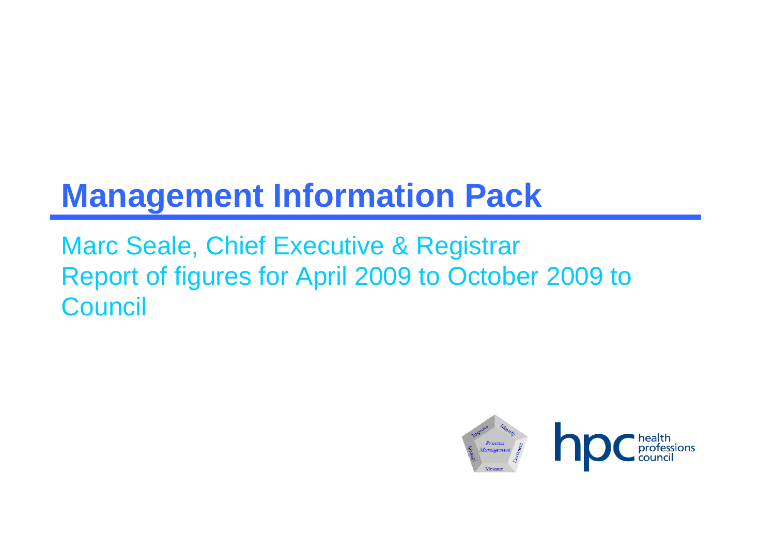# **Management Information Pack**

Marc Seale, Chief Executive & Registrar Report of figures for April 2009 to October 2009 to **Council** 

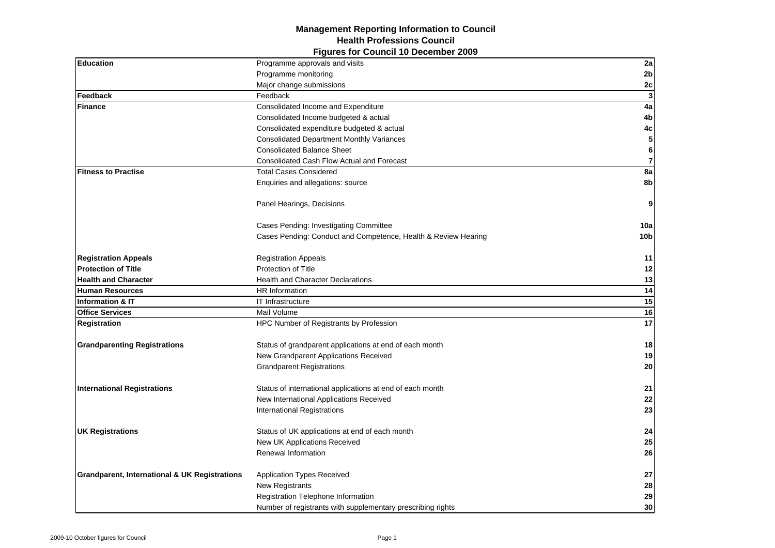#### **Figures for Council 10 December 2009 Management Reporting Information to Council Health Professions Council**

| <b>Education</b>                                         | Programme approvals and visits                                 | 2a                      |
|----------------------------------------------------------|----------------------------------------------------------------|-------------------------|
|                                                          | Programme monitoring                                           | 2 <sub>b</sub>          |
|                                                          | Major change submissions                                       | 2c                      |
| Feedback                                                 | Feedback                                                       | $\mathbf{3}$            |
| <b>Finance</b>                                           | Consolidated Income and Expenditure                            | 4a                      |
|                                                          | Consolidated Income budgeted & actual                          | 4 <sub>b</sub>          |
|                                                          | Consolidated expenditure budgeted & actual                     | 4c                      |
|                                                          | <b>Consolidated Department Monthly Variances</b>               | ${\bf 5}$               |
|                                                          | <b>Consolidated Balance Sheet</b>                              | $\bf 6$                 |
|                                                          | Consolidated Cash Flow Actual and Forecast                     | $\overline{\mathbf{7}}$ |
| <b>Fitness to Practise</b>                               | <b>Total Cases Considered</b>                                  | 8a                      |
|                                                          | Enquiries and allegations: source                              | 8b                      |
|                                                          | Panel Hearings, Decisions                                      | 9                       |
|                                                          | Cases Pending: Investigating Committee                         | 10a                     |
|                                                          | Cases Pending: Conduct and Competence, Health & Review Hearing | 10 <sub>b</sub>         |
| <b>Registration Appeals</b>                              | <b>Registration Appeals</b>                                    | 11                      |
| <b>Protection of Title</b>                               | Protection of Title                                            | 12                      |
| <b>Health and Character</b>                              | <b>Health and Character Declarations</b>                       | 13                      |
| <b>Human Resources</b>                                   | HR Information                                                 | 14                      |
| <b>Information &amp; IT</b>                              | IT Infrastructure                                              | 15                      |
| <b>Office Services</b>                                   | Mail Volume                                                    | 16                      |
| <b>Registration</b>                                      | HPC Number of Registrants by Profession                        | 17                      |
| <b>Grandparenting Registrations</b>                      | Status of grandparent applications at end of each month        | 18                      |
|                                                          | New Grandparent Applications Received                          | 19                      |
|                                                          | <b>Grandparent Registrations</b>                               | 20                      |
| <b>International Registrations</b>                       | Status of international applications at end of each month      | 21                      |
|                                                          | New International Applications Received                        | 22                      |
|                                                          | International Registrations                                    | 23                      |
| <b>UK Registrations</b>                                  | Status of UK applications at end of each month                 | 24                      |
|                                                          | New UK Applications Received                                   | 25                      |
|                                                          | Renewal Information                                            | 26                      |
| <b>Grandparent, International &amp; UK Registrations</b> | <b>Application Types Received</b>                              | 27                      |
|                                                          | New Registrants                                                | 28                      |
|                                                          | Registration Telephone Information                             | 29                      |
|                                                          | Number of registrants with supplementary prescribing rights    | 30                      |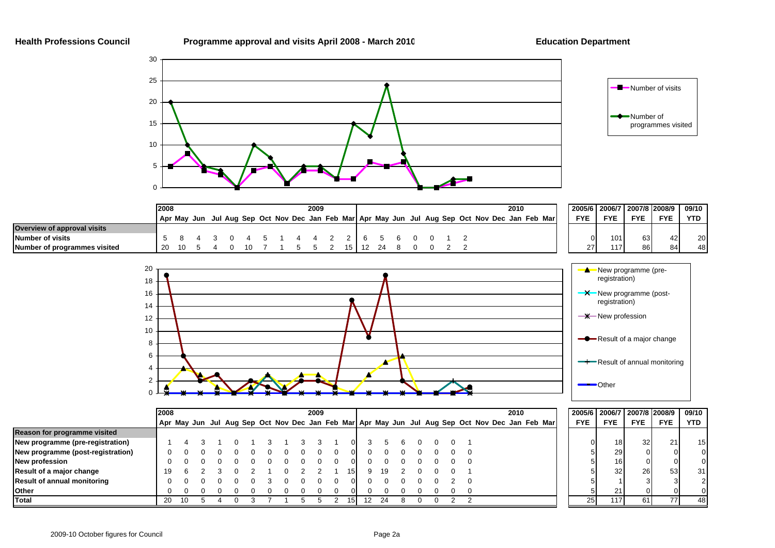



|                                    | 12008 |  |  |  |  |  |  | 2009 |  |  |  |  |  | 2010 |                                                                                                 | 2005/6   2006/7   2007/8   2008/9 |            |            |            | 09/10      |
|------------------------------------|-------|--|--|--|--|--|--|------|--|--|--|--|--|------|-------------------------------------------------------------------------------------------------|-----------------------------------|------------|------------|------------|------------|
|                                    |       |  |  |  |  |  |  |      |  |  |  |  |  |      | Apr May Jun Jul Aug Sep Oct Nov Dec Jan Feb Mar Apr May Jun Jul Aug Sep Oct Nov Dec Jan Feb Mar | <b>FYE</b>                        | <b>FYE</b> | <b>EVE</b> | <b>FYE</b> | <b>YTD</b> |
| <b>Overview of approval visits</b> |       |  |  |  |  |  |  |      |  |  |  |  |  |      |                                                                                                 |                                   |            |            |            |            |
| <b>Number of visits</b>            |       |  |  |  |  |  |  |      |  |  |  |  |  |      |                                                                                                 | $\overline{0}$                    | 101        | 63         | 12         | 20         |
| Number of programmes visited       |       |  |  |  |  |  |  |      |  |  |  |  |  |      |                                                                                                 | 27                                | 117        | 86         | 84         | 48         |



|                                    | 2008 |    |  |  |  |  |  |  | 2009 |  | 2010 |    |  |  |  |  |  |                                                                                                 |  |  |  |  |            |                 | 2005/6 2006/7 2007/8 2008/9 | 09/10      |            |
|------------------------------------|------|----|--|--|--|--|--|--|------|--|------|----|--|--|--|--|--|-------------------------------------------------------------------------------------------------|--|--|--|--|------------|-----------------|-----------------------------|------------|------------|
|                                    |      |    |  |  |  |  |  |  |      |  |      |    |  |  |  |  |  | Apr May Jun Jul Aug Sep Oct Nov Dec Jan Feb Mar Apr May Jun Jul Aug Sep Oct Nov Dec Jan Feb Mar |  |  |  |  | <b>FYE</b> | <b>FYE</b>      | <b>FYE</b>                  | <b>FYE</b> | <b>YTD</b> |
| Reason for programme visited       |      |    |  |  |  |  |  |  |      |  |      |    |  |  |  |  |  |                                                                                                 |  |  |  |  |            |                 |                             |            |            |
| New programme (pre-registration)   |      |    |  |  |  |  |  |  |      |  |      |    |  |  |  |  |  |                                                                                                 |  |  |  |  |            | 18 I            | 32 <sub>l</sub>             | 21         | 15         |
| New programme (post-registration)  |      |    |  |  |  |  |  |  |      |  |      |    |  |  |  |  |  |                                                                                                 |  |  |  |  |            | 29              |                             |            |            |
| New profession                     |      |    |  |  |  |  |  |  |      |  |      |    |  |  |  |  |  |                                                                                                 |  |  |  |  |            | 16 <sup>1</sup> |                             | $\Omega$   |            |
| Result of a major change           | 19   |    |  |  |  |  |  |  |      |  |      | 19 |  |  |  |  |  |                                                                                                 |  |  |  |  |            | 32 <sub>l</sub> | 26                          | 53         | -31        |
| <b>Result of annual monitoring</b> |      |    |  |  |  |  |  |  |      |  |      |    |  |  |  |  |  |                                                                                                 |  |  |  |  |            |                 |                             |            |            |
| <b>I</b> Other                     |      |    |  |  |  |  |  |  |      |  |      |    |  |  |  |  |  |                                                                                                 |  |  |  |  |            | 21              |                             |            |            |
| <b>Total</b>                       | 20   | 10 |  |  |  |  |  |  |      |  |      | 24 |  |  |  |  |  |                                                                                                 |  |  |  |  | <b>25</b>  | 117             | 61                          |            | 48         |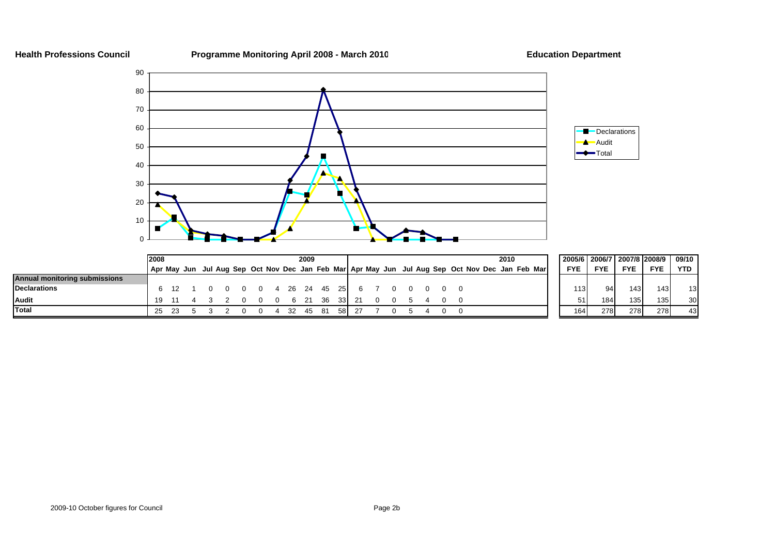**Health Professions Council Programme Monitoring April 2008 - March 201 0**

**Education Department**





|                               | 2008 |  |                     |   |  | 2009 |                |      |  |  |  |                                                                                                 | 2010 |  | 2005/6   2006/7   2007/8  2008/9   09/10 |            |                  |                  |            |
|-------------------------------|------|--|---------------------|---|--|------|----------------|------|--|--|--|-------------------------------------------------------------------------------------------------|------|--|------------------------------------------|------------|------------------|------------------|------------|
|                               |      |  |                     |   |  |      |                |      |  |  |  | Apr May Jun Jul Aug Sep Oct Nov Dec Jan Feb Mar Apr May Jun Jul Aug Sep Oct Nov Dec Jan Feb Mar |      |  | <b>FYE</b>                               | <b>FYE</b> | <b>FYE</b>       | <b>FYE</b>       | <b>YTD</b> |
| Annual monitoring submissions |      |  |                     |   |  |      |                |      |  |  |  |                                                                                                 |      |  |                                          |            |                  |                  |            |
| <b>Declarations</b>           |      |  | 0 0 0 4 26 24 45 25 |   |  |      |                |      |  |  |  |                                                                                                 |      |  | 113                                      | $Q_{A}$    | 143              | 1431             | 13         |
| Audit                         | 19.  |  |                     | റ |  |      | 0 0 6 21 36 33 |      |  |  |  |                                                                                                 |      |  | 51                                       |            | 135 <sub>1</sub> | 135 <sup>1</sup> | 30         |
| <b>Total</b>                  |      |  |                     |   |  | 45   |                | 58 I |  |  |  |                                                                                                 |      |  | 164                                      | 278        | 278              | 278              | 43         |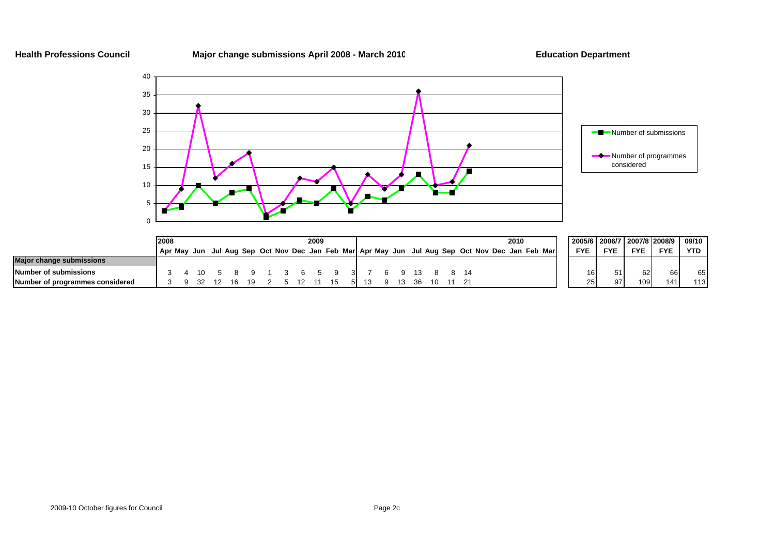**Health Professions Council Major change submissions April 2008 - March 201 0**

**Education Department**



|                                 | 2008 |  |  |  |  | 2009 |  |  |     |  | 2010                                                                                            | 2005/6   2006/7 |            | 2007/8 2008/9 |            | 09/10      |
|---------------------------------|------|--|--|--|--|------|--|--|-----|--|-------------------------------------------------------------------------------------------------|-----------------|------------|---------------|------------|------------|
|                                 |      |  |  |  |  |      |  |  |     |  | Apr May Jun Jul Aug Sep Oct Nov Dec Jan Feb Mar Apr May Jun Jul Aug Sep Oct Nov Dec Jan Feb Mar | <b>FYE</b>      | <b>FYE</b> | <b>FYE</b>    | <b>FYE</b> | <b>YTD</b> |
| <b>Major change submissions</b> |      |  |  |  |  |      |  |  |     |  |                                                                                                 |                 |            |               |            |            |
| Number of submissions           |      |  |  |  |  |      |  |  |     |  |                                                                                                 |                 |            | 62            |            | 65         |
| Number of programmes considered |      |  |  |  |  |      |  |  | ີາຂ |  |                                                                                                 | 25.             | 97         | 109           | 141.       | 113        |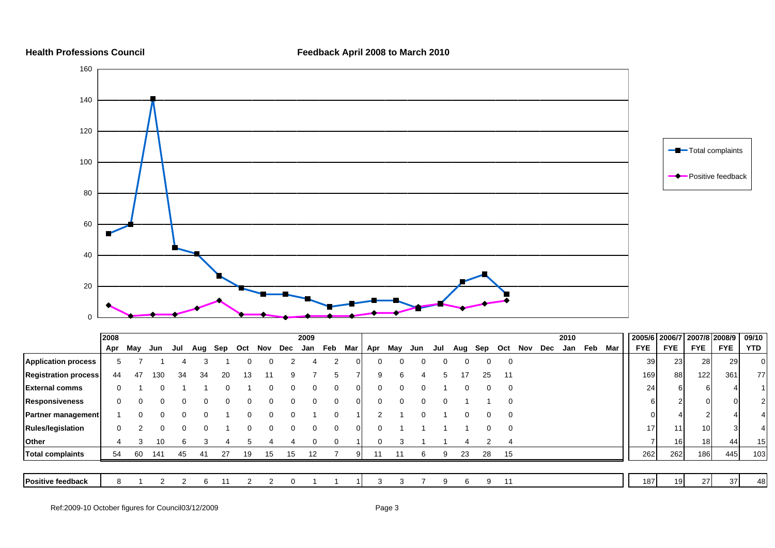**Health Professions Council Feedback April 2008 to March 2010**



|                             | 2008 |     |     |     |          |     |          |     |          | 2009 |          |          |     |          |     |          |    |          |     |          |         | 2010 |     |     |            |                 |                 | 2005/6   2006/7   2007/8   2008/9 |            | 09/10          |
|-----------------------------|------|-----|-----|-----|----------|-----|----------|-----|----------|------|----------|----------|-----|----------|-----|----------|----|----------|-----|----------|---------|------|-----|-----|------------|-----------------|-----------------|-----------------------------------|------------|----------------|
|                             | Apr  | May | Jun | Jul | Aug      | Sep | Oct      | Nov | Dec      | Jan  | Feb      | Mar      | Apr | May      | Jun | Jul      |    | Aug Sep  | Oct |          | Nov Dec | Jan  | Feb | Mar | <b>FYE</b> |                 | <b>FYE</b>      | <b>FYE</b>                        | <b>FYE</b> | <b>YTD</b>     |
| <b>Application process</b>  |      |     |     |     |          |     |          |     |          |      |          |          | ΩL  | $\Omega$ |     | $\Omega$ |    | $\Omega$ |     | 0        |         |      |     |     |            | 39 <sup>l</sup> | 23              | 28                                | 29         | $\overline{0}$ |
| <b>Registration process</b> | 44   | 47  | 130 | 34  | 34       | 20  | 13       | 11  |          |      |          |          | 9   | 6        |     | 5        | 17 | 25       |     | 11       |         |      |     |     |            | 169             | 88              | 122                               | 361        | 77             |
| <b>External comms</b>       |      |     | O   |     |          |     |          |     | 0        | 0    |          | ΟI       |     | $\Omega$ |     |          |    | 0        |     | 0        |         |      |     |     |            | 24              | 6               |                                   |            |                |
| <b>Responsiveness</b>       |      | 0   | 0   |     | 0        |     | $\Omega$ |     | 0        | 0    |          | ΟI       |     | $\Omega$ |     | $\Omega$ |    |          |     | 0        |         |      |     |     |            |                 |                 |                                   |            |                |
| <b>Partner management</b>   |      |     | 0   |     | $\Omega$ |     | 0        |     | $\Omega$ |      | $\Omega$ |          |     |          |     |          |    |          |     | 0        |         |      |     |     |            |                 |                 |                                   |            |                |
| <b>Rules/legislation</b>    |      |     | O   |     | $\Omega$ |     |          |     | $\Omega$ |      |          | $\Omega$ |     |          |     |          |    |          |     | $\Omega$ |         |      |     |     |            | 17              | 11              | 10                                |            |                |
| <b>Other</b>                |      | 3   | 10  |     |          |     |          |     |          |      |          |          |     |          |     |          |    |          |     |          |         |      |     |     |            |                 | 16              | 18 <sup>1</sup>                   |            | 15             |
| <b>Total complaints</b>     | 54   | 60  | 141 | 45  |          | 27  | 19       | 15  | 15       | 12   |          |          |     |          |     | 9        | 23 | 28       |     | 15       |         |      |     |     |            | 262             | 262             | 186                               | 445        | 103            |
|                             |      |     |     |     |          |     |          |     |          |      |          |          |     |          |     |          |    |          |     |          |         |      |     |     |            |                 |                 |                                   |            |                |
| Positive feedback           |      |     |     |     | 6        |     |          |     |          |      |          |          |     |          |     | 9        |    | 9<br>6   |     | 11       |         |      |     |     |            | 187             | 19 <sup>l</sup> | 27                                | 37         | 48             |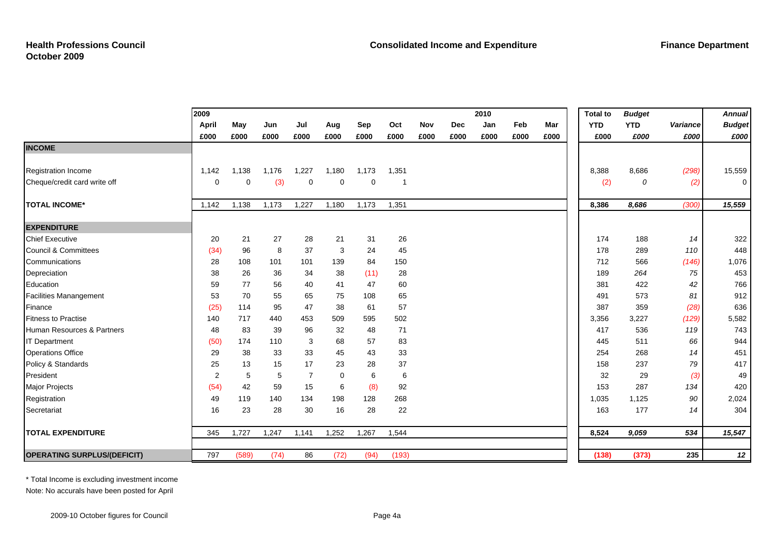|                                    | 2009           |          |       |                |             |          |       |      |      | 2010 |      |      | <b>Total to</b> | <b>Budget</b> |          | <b>Annual</b> |
|------------------------------------|----------------|----------|-------|----------------|-------------|----------|-------|------|------|------|------|------|-----------------|---------------|----------|---------------|
|                                    | April          | May      | Jun   | Jul            | Aug         | Sep      | Oct   | Nov  | Dec  | Jan  | Feb  | Mar  | <b>YTD</b>      | <b>YTD</b>    | Variance | <b>Budget</b> |
|                                    | £000           | £000     | £000  | £000           | £000        | £000     | £000  | £000 | £000 | £000 | £000 | £000 | £000            | £000          | £000     | £000          |
| <b>INCOME</b>                      |                |          |       |                |             |          |       |      |      |      |      |      |                 |               |          |               |
|                                    |                |          |       |                |             |          |       |      |      |      |      |      |                 |               |          |               |
| Registration Income                | 1,142          | 1,138    | 1,176 | 1,227          | 1,180       | 1,173    | 1,351 |      |      |      |      |      | 8,388           | 8,686         | (298)    | 15,559        |
| Cheque/credit card write off       | $\Omega$       | $\Omega$ | (3)   | 0              | $\mathbf 0$ | $\Omega$ |       |      |      |      |      |      | (2)             | 0             | (2)      | 0             |
| <b>TOTAL INCOME*</b>               | 1,142          | 1,138    | 1,173 | 1,227          | 1,180       | 1,173    | 1,351 |      |      |      |      |      | 8,386           | 8,686         | (300)    | 15,559        |
| <b>EXPENDITURE</b>                 |                |          |       |                |             |          |       |      |      |      |      |      |                 |               |          |               |
| <b>Chief Executive</b>             | 20             | 21       | 27    | 28             | 21          | 31       | 26    |      |      |      |      |      | 174             | 188           | 14       | 322           |
| Council & Committees               | (34)           | 96       | 8     | 37             | 3           | 24       | 45    |      |      |      |      |      | 178             | 289           | 110      | 448           |
| Communications                     | 28             | 108      | 101   | 101            | 139         | 84       | 150   |      |      |      |      |      | 712             | 566           | (146)    | 1,076         |
| Depreciation                       | 38             | 26       | 36    | 34             | 38          | (11)     | 28    |      |      |      |      |      | 189             | 264           | 75       | 453           |
| Education                          | 59             | 77       | 56    | 40             | 41          | 47       | 60    |      |      |      |      |      | 381             | 422           | 42       | 766           |
| <b>Facilities Manangement</b>      | 53             | 70       | 55    | 65             | 75          | 108      | 65    |      |      |      |      |      | 491             | 573           | 81       | 912           |
| Finance                            | (25)           | 114      | 95    | 47             | 38          | 61       | 57    |      |      |      |      |      | 387             | 359           | (28)     | 636           |
| <b>Fitness to Practise</b>         | 140            | 717      | 440   | 453            | 509         | 595      | 502   |      |      |      |      |      | 3,356           | 3,227         | (129)    | 5,582         |
| Human Resources & Partners         | 48             | 83       | 39    | 96             | 32          | 48       | 71    |      |      |      |      |      | 417             | 536           | 119      | 743           |
| <b>IT Department</b>               | (50)           | 174      | 110   | 3              | 68          | 57       | 83    |      |      |      |      |      | 445             | 511           | 66       | 944           |
| <b>Operations Office</b>           | 29             | 38       | 33    | 33             | 45          | 43       | 33    |      |      |      |      |      | 254             | 268           | 14       | 451           |
| Policy & Standards                 | 25             | 13       | 15    | 17             | 23          | 28       | 37    |      |      |      |      |      | 158             | 237           | 79       | 417           |
| President                          | $\overline{2}$ | 5        | 5     | $\overline{7}$ | $\mathbf 0$ | 6        | 6     |      |      |      |      |      | 32              | 29            | (3)      | 49            |
| Major Projects                     | (54)           | 42       | 59    | 15             | 6           | (8)      | 92    |      |      |      |      |      | 153             | 287           | 134      | 420           |
| Registration                       | 49             | 119      | 140   | 134            | 198         | 128      | 268   |      |      |      |      |      | 1,035           | 1,125         | 90       | 2,024         |
| Secretariat                        | 16             | 23       | 28    | 30             | 16          | 28       | 22    |      |      |      |      |      | 163             | 177           | 14       | 304           |
| <b>TOTAL EXPENDITURE</b>           | 345            | 1,727    | 1,247 | 1,141          | 1,252       | 1,267    | 1,544 |      |      |      |      |      | 8,524           | 9,059         | 534      | 15,547        |
| <b>OPERATING SURPLUS/(DEFICIT)</b> | 797            | (589)    | (74)  | 86             | (72)        | (94)     | (193) |      |      |      |      |      | (138)           | (373)         | 235      | 12            |

\* Total Income is excluding investment income

Note: No accurals have been posted for April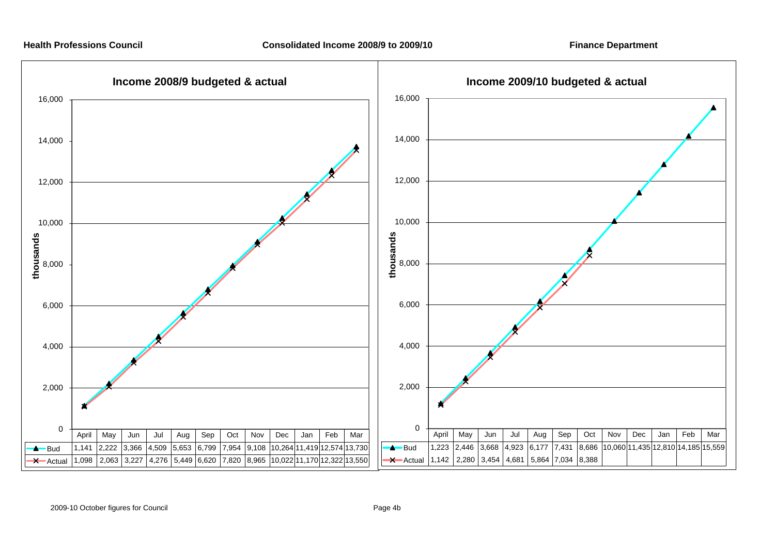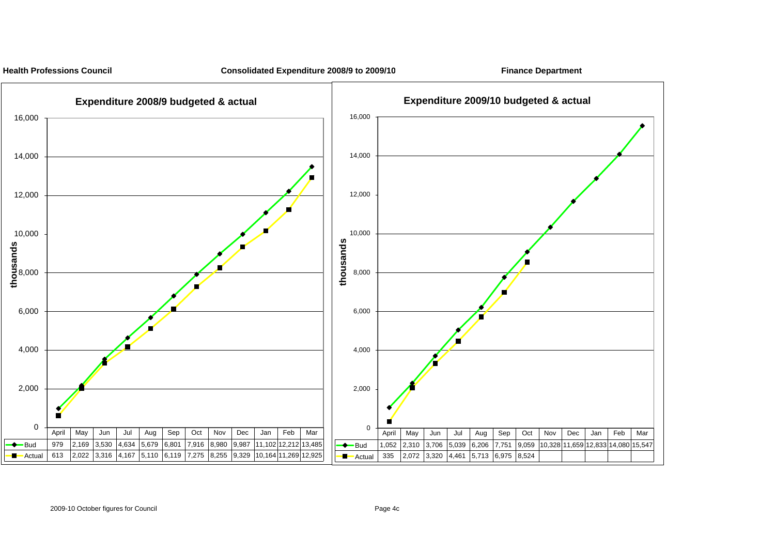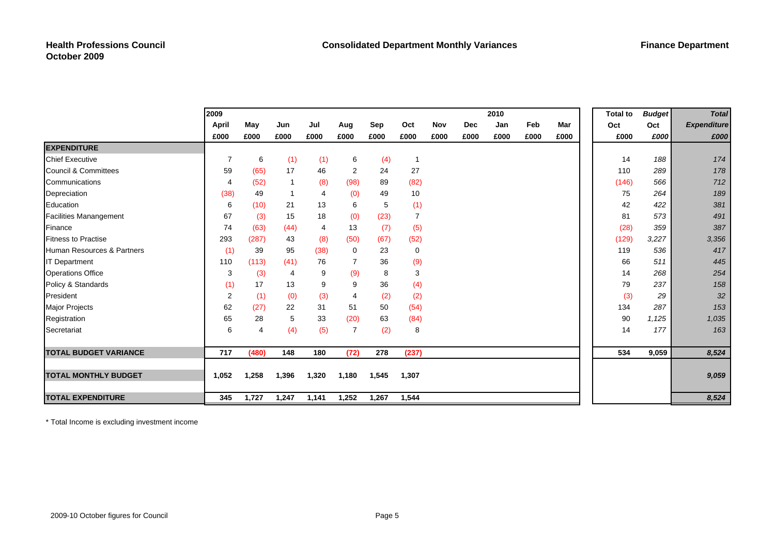|                               | 2009           |       |       |       |                |       |                |            |            | 2010 |      |      | <b>Total to</b> | <b>Budget</b> | <b>Total</b>       |
|-------------------------------|----------------|-------|-------|-------|----------------|-------|----------------|------------|------------|------|------|------|-----------------|---------------|--------------------|
|                               | April          | May   | Jun   | Jul   | Aug            | Sep   | Oct            | <b>Nov</b> | <b>Dec</b> | Jan  | Feb  | Mar  | Oct             | Oct           | <b>Expenditure</b> |
|                               | £000           | £000  | £000  | £000  | £000           | £000  | £000           | £000       | £000       | £000 | £000 | £000 | £000            | £000          | £000               |
| <b>EXPENDITURE</b>            |                |       |       |       |                |       |                |            |            |      |      |      |                 |               |                    |
| <b>Chief Executive</b>        | $\overline{7}$ | 6     | (1)   | (1)   | 6              | (4)   | $\overline{1}$ |            |            |      |      |      | 14              | 188           | 174                |
| Council & Committees          | 59             | (65)  | 17    | 46    | 2              | 24    | 27             |            |            |      |      |      | 110             | 289           | 178                |
| Communications                | $\overline{4}$ | (52)  | -1    | (8)   | (98)           | 89    | (82)           |            |            |      |      |      | (146)           | 566           | 712                |
| Depreciation                  | (38)           | 49    |       | 4     | (0)            | 49    | 10             |            |            |      |      |      | 75              | 264           | 189                |
| Education                     | 6              | (10)  | 21    | 13    | 6              | 5     | (1)            |            |            |      |      |      | 42              | 422           | 381                |
| <b>Facilities Manangement</b> | 67             | (3)   | 15    | 18    | (0)            | (23)  | $\overline{7}$ |            |            |      |      |      | 81              | 573           | 491                |
| <b>Finance</b>                | 74             | (63)  | (44)  | 4     | 13             | (7)   | (5)            |            |            |      |      |      | (28)            | 359           | 387                |
| <b>Fitness to Practise</b>    | 293            | (287) | 43    | (8)   | (50)           | (67)  | (52)           |            |            |      |      |      | (129)           | 3,227         | 3,356              |
| Human Resources & Partners    | (1)            | 39    | 95    | (38)  | 0              | 23    | $\mathbf 0$    |            |            |      |      |      | 119             | 536           | 417                |
| <b>IT Department</b>          | 110            | (113) | (41)  | 76    |                | 36    | (9)            |            |            |      |      |      | 66              | 511           | 445                |
| <b>Operations Office</b>      | 3              | (3)   | 4     | 9     | (9)            | 8     | 3              |            |            |      |      |      | 14              | 268           | 254                |
| Policy & Standards            | (1)            | 17    | 13    | 9     | 9              | 36    | (4)            |            |            |      |      |      | 79              | 237           | 158                |
| President                     | $\overline{2}$ | (1)   | (0)   | (3)   | 4              | (2)   | (2)            |            |            |      |      |      | (3)             | 29            | 32                 |
| <b>Major Projects</b>         | 62             | (27)  | 22    | 31    | 51             | 50    | (54)           |            |            |      |      |      | 134             | 287           | 153                |
| Registration                  | 65             | 28    | 5     | 33    | (20)           | 63    | (84)           |            |            |      |      |      | 90              | 1,125         | 1,035              |
| Secretariat                   | 6              | 4     | (4)   | (5)   | $\overline{7}$ | (2)   | 8              |            |            |      |      |      | 14              | 177           | 163                |
|                               |                |       |       |       |                |       |                |            |            |      |      |      |                 |               |                    |
| <b>TOTAL BUDGET VARIANCE</b>  | 717            | (480) | 148   | 180   | (72)           | 278   | (237)          |            |            |      |      |      | 534             | 9,059         | 8,524              |
| <b>TOTAL MONTHLY BUDGET</b>   | 1,052          | 1,258 | 1,396 | 1,320 | 1,180          | 1,545 | 1,307          |            |            |      |      |      |                 |               | 9,059              |
| <b>TOTAL EXPENDITURE</b>      | 345            | 1,727 | 1,247 | 1,141 | 1,252          | 1,267 | 1,544          |            |            |      |      |      |                 |               | 8,524              |

\* Total Income is excluding investment income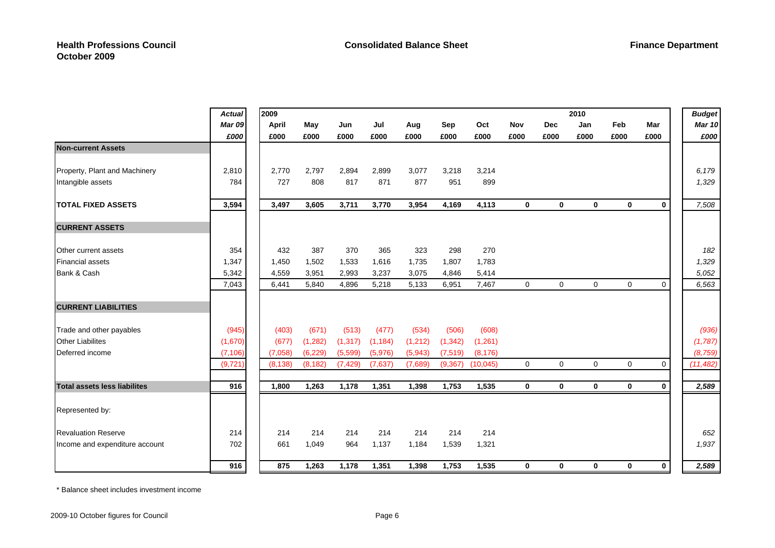|                                | <b>Actual</b> | 2009     |          |          |          |         |          |          |             |             | 2010        |             |             | <b>Budget</b> |
|--------------------------------|---------------|----------|----------|----------|----------|---------|----------|----------|-------------|-------------|-------------|-------------|-------------|---------------|
|                                | <b>Mar 09</b> | April    | May      | Jun      | Jul      | Aug     | Sep      | Oct      | Nov         | <b>Dec</b>  | Jan         | Feb         | Mar         | <b>Mar 10</b> |
|                                | £000          | £000     | £000     | £000     | £000     | £000    | £000     | £000     | £000        | £000        | £000        | £000        | £000        | £000          |
| <b>Non-current Assets</b>      |               |          |          |          |          |         |          |          |             |             |             |             |             |               |
| Property, Plant and Machinery  | 2,810         | 2.770    | 2.797    | 2.894    | 2.899    | 3,077   | 3,218    | 3,214    |             |             |             |             |             | 6,179         |
| Intangible assets              | 784           | 727      | 808      | 817      | 871      | 877     | 951      | 899      |             |             |             |             |             | 1,329         |
| <b>TOTAL FIXED ASSETS</b>      | 3,594         | 3,497    | 3,605    | 3,711    | 3,770    | 3,954   | 4,169    | 4,113    | $\mathbf 0$ | $\mathbf 0$ | 0           | $\mathbf 0$ | $\mathbf 0$ | 7,508         |
| <b>CURRENT ASSETS</b>          |               |          |          |          |          |         |          |          |             |             |             |             |             |               |
| Other current assets           | 354           | 432      | 387      | 370      | 365      | 323     | 298      | 270      |             |             |             |             |             | 182           |
| <b>Financial assets</b>        | 1,347         | 1,450    | 1,502    | 1,533    | 1,616    | 1,735   | 1,807    | 1,783    |             |             |             |             |             | 1,329         |
| Bank & Cash                    | 5,342         | 4,559    | 3,951    | 2,993    | 3,237    | 3,075   | 4,846    | 5,414    |             |             |             |             |             | 5,052         |
|                                | 7,043         | 6,441    | 5,840    | 4,896    | 5,218    | 5,133   | 6,951    | 7,467    | $\mathbf 0$ | $\mathbf 0$ | $\Omega$    | $\mathbf 0$ | $\mathbf 0$ | 6,563         |
| <b>CURRENT LIABILITIES</b>     |               |          |          |          |          |         |          |          |             |             |             |             |             |               |
| Trade and other payables       | (945)         | (403)    | (671)    | (513)    | (477)    | (534)   | (506)    | (608)    |             |             |             |             |             | (936)         |
| <b>Other Liabilites</b>        | (1,670)       | (677)    | (1, 282) | (1, 317) | (1, 184) | (1,212) | (1, 342) | (1,261)  |             |             |             |             |             | (1,787)       |
| Deferred income                | (7, 106)      | (7.058)  | (6, 229) | (5,599)  | (5,976)  | (5,943) | (7, 519) | (8, 176) |             |             |             |             |             | (8, 759)      |
|                                | (9, 721)      | (8, 138) | (8, 182) | (7, 429) | (7,637)  | (7,689) | (9, 367) | (10,045) | $\mathbf 0$ | $\Omega$    | $\Omega$    | $\mathbf 0$ | 0           | (11, 482)     |
| Total assets less liabilites   | 916           | 1,800    | 1,263    | 1,178    | 1,351    | 1,398   | 1,753    | 1,535    | $\mathbf 0$ | 0           | $\mathbf 0$ | $\mathbf 0$ | $\bf{0}$    | 2,589         |
| Represented by:                |               |          |          |          |          |         |          |          |             |             |             |             |             |               |
| <b>Revaluation Reserve</b>     | 214           | 214      | 214      | 214      | 214      | 214     | 214      | 214      |             |             |             |             |             | 652           |
| Income and expenditure account | 702           | 661      | 1,049    | 964      | 1,137    | 1,184   | 1,539    | 1,321    |             |             |             |             |             | 1,937         |
|                                | 916           | 875      | 1,263    | 1,178    | 1,351    | 1,398   | 1,753    | 1,535    | $\bf{0}$    | $\mathbf 0$ | 0           | $\mathbf 0$ | $\mathbf 0$ | 2,589         |

\* Balance sheet includes investment income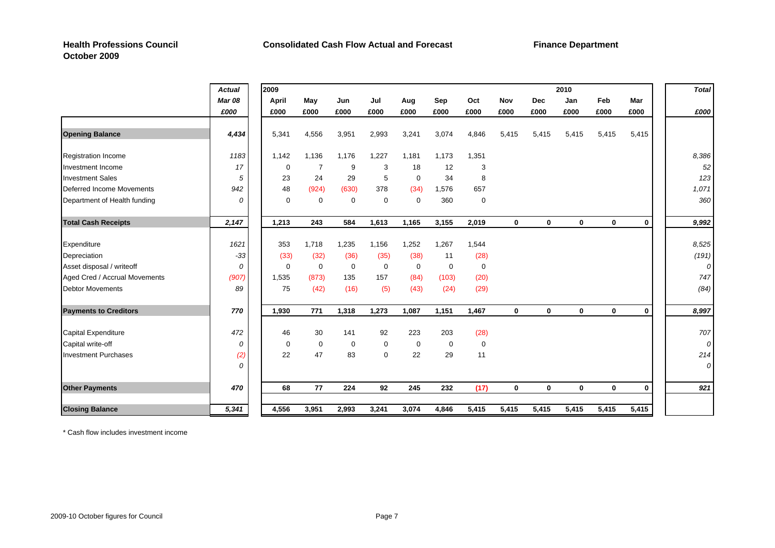# **October 2009**

|                               | <b>Actual</b> | 2009        |             |             |             |             |             |             |              |             | 2010         |              |              | <b>Total</b> |
|-------------------------------|---------------|-------------|-------------|-------------|-------------|-------------|-------------|-------------|--------------|-------------|--------------|--------------|--------------|--------------|
|                               | <b>Mar 08</b> | April       | May         | Jun         | Jul         | Aug         | Sep         | Oct         | <b>Nov</b>   | <b>Dec</b>  | Jan          | Feb          | Mar          |              |
|                               | £000          | £000        | £000        | £000        | £000        | £000        | £000        | £000        | £000         | £000        | £000         | £000         | £000         | £000         |
| <b>Opening Balance</b>        | 4,434         | 5,341       | 4,556       | 3,951       | 2,993       | 3,241       | 3,074       | 4,846       | 5,415        | 5,415       | 5,415        | 5,415        | 5,415        |              |
| <b>Registration Income</b>    | 1183          | 1,142       | 1,136       | 1,176       | 1,227       | 1,181       | 1,173       | 1,351       |              |             |              |              |              | 8,386        |
| Investment Income             | 17            | $\mathbf 0$ | 7           | 9           | 3           | 18          | 12          | 3           |              |             |              |              |              | 52           |
| <b>Investment Sales</b>       | 5             | 23          | 24          | 29          | 5           | $\mathbf 0$ | 34          | 8           |              |             |              |              |              | 123          |
| Deferred Income Movements     | 942           | 48          | (924)       | (630)       | 378         | (34)        | 1,576       | 657         |              |             |              |              |              | 1,071        |
| Department of Health funding  | 0             | $\mathbf 0$ | $\mathbf 0$ | $\mathbf 0$ | 0           | $\mathbf 0$ | 360         | $\mathbf 0$ |              |             |              |              |              | 360          |
| <b>Total Cash Receipts</b>    | 2,147         | 1,213       | 243         | 584         | 1,613       | 1,165       | 3,155       | 2,019       | 0            | $\mathbf 0$ | 0            | 0            | $\mathbf 0$  | 9,992        |
| Expenditure                   | 1621          | 353         | 1,718       | 1,235       | 1,156       | 1,252       | 1,267       | 1,544       |              |             |              |              |              | 8,525        |
| Depreciation                  | $-33$         | (33)        | (32)        | (36)        | (35)        | (38)        | 11          | (28)        |              |             |              |              |              | (191)        |
| Asset disposal / writeoff     | $\Omega$      | $\Omega$    | $\mathbf 0$ | $\mathbf 0$ | $\mathbf 0$ | $\mathbf 0$ | $\mathbf 0$ | $\mathbf 0$ |              |             |              |              |              |              |
| Aged Cred / Accrual Movements | (907)         | 1,535       | (873)       | 135         | 157         | (84)        | (103)       | (20)        |              |             |              |              |              | 747          |
| <b>Debtor Movements</b>       | 89            | 75          | (42)        | (16)        | (5)         | (43)        | (24)        | (29)        |              |             |              |              |              | (84)         |
| <b>Payments to Creditors</b>  | 770           | 1,930       | 771         | 1,318       | 1,273       | 1,087       | 1,151       | 1,467       | $\mathbf 0$  | $\Omega$    | $\mathbf{0}$ | $\mathbf{0}$ | $\mathbf{0}$ | 8,997        |
| Capital Expenditure           | 472           | 46          | 30          | 141         | 92          | 223         | 203         | (28)        |              |             |              |              |              | 707          |
| Capital write-off             | 0             | $\mathbf 0$ | $\mathbf 0$ | $\mathbf 0$ | 0           | $\mathbf 0$ | $\mathbf 0$ | $\mathbf 0$ |              |             |              |              |              | 0            |
| <b>Investment Purchases</b>   | (2)           | 22          | 47          | 83          | $\Omega$    | 22          | 29          | 11          |              |             |              |              |              | 214          |
|                               | 0             |             |             |             |             |             |             |             |              |             |              |              |              | 0            |
| <b>Other Payments</b>         | 470           | 68          | 77          | 224         | 92          | 245         | 232         | (17)        | $\mathbf{0}$ | $\mathbf 0$ | $\mathbf{0}$ | $\mathbf 0$  | $\mathbf 0$  | 921          |
| <b>Closing Balance</b>        | 5,341         | 4,556       | 3,951       | 2,993       | 3,241       | 3,074       | 4,846       | 5,415       | 5,415        | 5,415       | 5,415        | 5,415        | 5,415        |              |

\* Cash flow includes investment income

**Finance Department**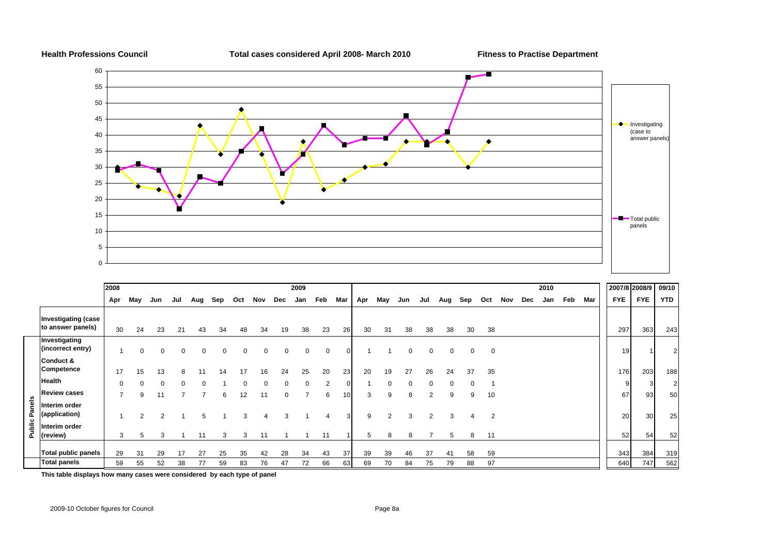

|        |                                                 | 2008                     |          |                |          |          |     |          |                  |     | 2009 |                |                 |     |                |              |                |              |                |                |     |     | 2010 |     |     | 2007/8 2008/9 |            | 09/10          |
|--------|-------------------------------------------------|--------------------------|----------|----------------|----------|----------|-----|----------|------------------|-----|------|----------------|-----------------|-----|----------------|--------------|----------------|--------------|----------------|----------------|-----|-----|------|-----|-----|---------------|------------|----------------|
|        |                                                 | Apr                      | May      | Jun            | Jul      | Aug      | Sep | Oct      | Nov              | Dec | Jan  | Feb            | Mar             | Apr | May            | Jun          | Jul            | Aug          | Sep            | Oct            | Nov | Dec | Jan  | Feb | Mar | <b>FYE</b>    | <b>FYE</b> | <b>YTD</b>     |
|        | <b>Investigating (case</b><br>to answer panels) | 30                       | 24       | 23             | 21       | 43       | 34  | 48       | 34               | 19  | 38   | 23             | 26              | 30  | 31             | 38           | 38             | 38           | 30             | 38             |     |     |      |     |     | 297           | 363        | 243            |
|        | Investigating<br>(incorrect entry)              |                          | $\Omega$ | 0              | $\Omega$ | $\Omega$ | 0   | $\Omega$ | 0                | 0   | 0    | 0              | $\Omega$        |     |                | 0            | $\mathbf 0$    | $\mathbf{0}$ | 0              | $\mathbf 0$    |     |     |      |     |     | 19            |            | $\overline{2}$ |
|        | Conduct &<br>Competence                         | 17                       | 15       | 13             | 8        |          | 14  | 17       | 16               | 24  | 25   | 20             | 23              | 20  | 19             | 27           | 26             | 24           | 37             | 35             |     |     |      |     |     | 176           | 203        | 188            |
|        | <b>Health</b>                                   | $\Omega$                 |          |                | $\Omega$ |          |     |          |                  |     |      | $\overline{2}$ | $\Omega$        |     |                | <sup>0</sup> |                |              |                |                |     |     |      |     |     | 9             |            | $\overline{2}$ |
|        | <b>Review cases</b>                             | $\overline{\phantom{a}}$ | 9        | 11             |          |          | 6   | 12       | 11               | 0   |      | 6              | 10 <sup>1</sup> | 3   | 9              | 8            | $\overline{2}$ | 9            | 9              | 10             |     |     |      |     |     | 67            | 93         | 50             |
| Panels | Interim order<br>(application)                  |                          | 2        | $\mathfrak{p}$ |          | 5        |     |          | $\boldsymbol{A}$ | 3   |      | 4              | 3               | 9   | $\overline{2}$ | 3            | 2              | 3            | $\overline{4}$ | $\overline{2}$ |     |     |      |     |     | 20            | 30         | 25             |
| Public | Interim order<br>(review)                       | 3                        |          | 3              |          | 11       | 3   | 3        | 11               |     |      | 11             |                 | 5   | 8              | 8            |                | 5            | 8              | 11             |     |     |      |     |     | 52            | 54         | 52             |
|        | <b>Total public panels</b>                      | 29                       | 31       | 29             |          | 27       | 25  | 35       | 42               | 28  | 34   | 43             | 37              | 39  | 39             | 46           | 37             | 41           | 58             | 59             |     |     |      |     |     | 343           | 384        | 319            |
|        | <b>Total panels</b>                             | 59                       | 55       | 52             | 38       | 77       | 59  | 83       | 76               | 47  | 72   | 66             | 63              | 69  | 70             | 84           | 75             | 79           | 88             | 97             |     |     |      |     |     | 640           | 747        | 562            |

**This table displays how many cases were considered by each type of panel**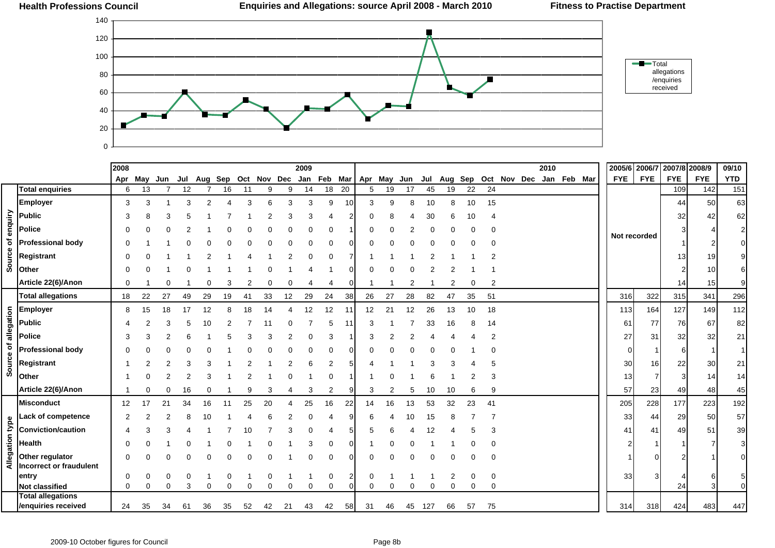

|                      |                           | 2008           |          |     |     |    |    |          |                                             |          | 2009 |    |              |    |    |    |     |    |    |                |                                     | 2010 |  | 2005/6 2006/7 |              | 2007/8 2008/9 |                 | 09/10                     |
|----------------------|---------------------------|----------------|----------|-----|-----|----|----|----------|---------------------------------------------|----------|------|----|--------------|----|----|----|-----|----|----|----------------|-------------------------------------|------|--|---------------|--------------|---------------|-----------------|---------------------------|
|                      |                           | Apr            | May      | Jun | Jul |    |    |          | Aug Sep Oct Nov Dec Jan Feb Mar Apr May Jun |          |      |    |              |    |    |    |     |    |    |                | Jul Aug Sep Oct Nov Dec Jan Feb Mar |      |  | <b>FYE</b>    | <b>FYE</b>   | <b>FYE</b>    | <b>FYE</b>      | <b>YTD</b>                |
|                      | <b>Total enquiries</b>    | 6              | 13       |     | 12  |    | 16 | 11       | 9                                           | 9        | 14   | 18 | 20           | 5  | 19 | 17 | 45  | 19 | 22 | 24             |                                     |      |  |               |              | 109           | 142             | 151                       |
|                      | <b>Employer</b>           | 3              | 3        |     | 3   |    |    | 3        |                                             | 3        | 3    | 9  | 10           | 3  | 9  | 8  | 10  | 8  | 10 | 15             |                                     |      |  |               |              | 44            | 50              | 63                        |
|                      | <b>Public</b>             | 3              |          | З   |     |    |    |          |                                             |          | 3    |    |              |    |    |    | 30  |    |    |                |                                     |      |  |               |              | 32            | 42              | 62                        |
|                      | Police                    | $\Omega$       |          |     |     |    |    |          |                                             |          |      |    |              |    |    |    |     |    |    |                |                                     |      |  |               |              |               |                 | $\overline{c}$            |
| Source of enquiry    | <b>Professional body</b>  | $\Omega$       |          |     |     |    |    |          |                                             |          |      |    |              |    |    |    |     |    |    |                |                                     |      |  |               | Not recorded |               |                 | $\overline{0}$            |
|                      | Registrant                | $\Omega$       |          |     |     |    |    |          |                                             |          |      | 0  |              |    |    |    |     |    |    |                |                                     |      |  |               |              | 13            | 19              | 9                         |
|                      |                           |                |          |     |     |    |    |          |                                             |          |      |    |              |    |    |    |     |    |    |                |                                     |      |  |               |              |               |                 |                           |
|                      | Other                     | $\Omega$       |          |     |     |    |    |          |                                             |          |      |    | 0            |    |    |    |     |    |    |                |                                     |      |  |               |              |               | 10              | 6                         |
|                      | Article 22(6)/Anon        | $\Omega$       |          |     |     |    |    |          |                                             |          |      | 4  | 0            |    |    |    |     | 2  |    | $\overline{2}$ |                                     |      |  |               |              | 14            | 15 <sub>l</sub> | 9                         |
|                      | <b>Total allegations</b>  | 18             | 22       | 27  | 49  | 29 | 19 | 41       | 33                                          | 12       | 29   | 24 | 38           | 26 | 27 | 28 | 82  | 47 | 35 | 51             |                                     |      |  | 316           | 322          | 315           | 341             | 296                       |
|                      | <b>Employer</b>           | 8              | 15       | 18  | 17  | 12 |    | 18       | 14                                          |          | 12   | 12 | -11          | 12 | 21 | 12 | 26  | 13 | 10 | 18             |                                     |      |  | 113           | 164          | 127           | 149             | 112                       |
|                      | <b>Public</b>             |                |          | 3   |     |    |    |          |                                             |          |      | 5  | -11          | 3  |    |    | 33  | 16 | 8  | 14             |                                     |      |  | 61            | 77           | 76            | 67              | 82                        |
|                      | <b>Police</b>             | 3              |          |     |     |    |    |          |                                             |          |      | 3  |              |    |    |    |     |    |    |                |                                     |      |  | 27            | 31           | 32            | 32              | 21                        |
|                      | <b>Professional body</b>  | $\Omega$       |          |     |     |    |    |          |                                             |          |      | 0  | 0            |    |    |    |     |    |    |                |                                     |      |  | 0             |              | 6             |                 | $\mathbf{1}$              |
| Source of allegation | Registrant                |                |          |     |     |    |    |          |                                             |          |      | 2  |              |    |    |    |     |    |    |                |                                     |      |  | 30            | 16           | 22            | 30              | 21                        |
|                      | Other                     |                |          |     |     |    |    |          |                                             |          |      |    |              |    |    |    |     |    |    |                |                                     |      |  | 13            |              | 3             | 14              | 14                        |
|                      | Article 22(6)/Anon        |                |          | 0   | 16  |    |    |          |                                             |          | 3    | 2  | g            | 3  | 2  | 5  | 10  | 10 |    | 9              |                                     |      |  | 57            | 23           | 49            | 48              | 45                        |
|                      | <b>Misconduct</b>         | 12             |          | 21  | 34  | 16 |    | 25       | 20                                          |          | 25   | 16 | 22           | 14 | 16 | 13 | 53  | 32 | 23 | 41             |                                     |      |  | 205           | 228          | 177           | 223             | 192                       |
|                      | <b>Lack of competence</b> | $\overline{2}$ |          |     |     |    |    |          |                                             |          |      |    | g            | 6  |    | 10 | 15  |    |    |                |                                     |      |  | 33            | 44           | 29            | 50              | 57                        |
|                      | <b>Conviction/caution</b> |                |          |     |     |    |    |          |                                             |          |      |    |              |    |    |    | 12  |    |    |                |                                     |      |  | 41            | 41           | 49            | 51              | 39                        |
| Allegation type      | <b>Health</b>             | $\Omega$       |          |     |     |    |    |          |                                             |          |      |    | 0            |    |    |    |     |    |    |                |                                     |      |  |               |              |               |                 | $\ensuremath{\mathsf{3}}$ |
|                      | Other regulator           | $\Omega$       |          |     |     |    |    |          |                                             |          |      |    |              |    |    |    |     |    |    |                |                                     |      |  |               |              |               |                 | $\overline{0}$            |
|                      | Incorrect or fraudulent   |                |          |     |     |    |    |          |                                             |          |      |    |              |    |    |    |     |    |    |                |                                     |      |  |               |              |               |                 |                           |
|                      | entry                     | 0              |          | 0   |     |    |    |          |                                             |          |      | 0  | $\mathbf{2}$ | 0  |    |    |     | 2  |    | 0              |                                     |      |  | 33            | 3            |               |                 | 5                         |
|                      | <b>Not classified</b>     | 0              | $\Omega$ | 0   | 3   | 0  | 0  | $\Omega$ | $\Omega$                                    | $\Omega$ | 0    | 0  | $\Omega$     | 0  | 0  | 0  | 0   | 0  | 0  | 0              |                                     |      |  |               |              | 24            |                 | $\Omega$                  |
|                      | <b>Total allegations</b>  |                |          |     |     |    |    |          |                                             |          |      |    |              |    |    |    |     |    |    |                |                                     |      |  |               |              |               |                 |                           |
|                      | /enquiries received       | 24             | 35       | 34  | 61  | 36 | 35 | 52       | 42                                          | 21       | 43   | 42 | 58           | 31 | 46 | 45 | 127 | 66 | 57 | 75             |                                     |      |  | 314           | 318          | 424           | 483             | 447                       |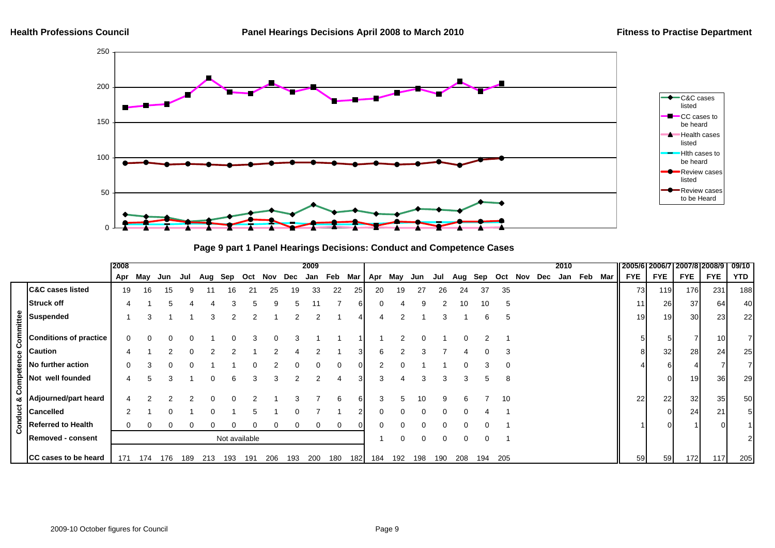

**Page 9 part 1 Panel Hearings Decisions: Conduct and Competence Cases**

|          |                               | 2008 |     |     |     |     |     |               |     |              | 2009 |     |          |     |     |     |     |     |          |              |     |     | 2010 |         |        | 2005/6 2006/7 |            | 2007/812008/9 |                 | 09/10      |
|----------|-------------------------------|------|-----|-----|-----|-----|-----|---------------|-----|--------------|------|-----|----------|-----|-----|-----|-----|-----|----------|--------------|-----|-----|------|---------|--------|---------------|------------|---------------|-----------------|------------|
|          |                               | Apr  | May | Jun | Jul | Aug | Sep | Oct           | Nov | Dec          | Jan  | Feb | Mar      | Apr | May | Jun | Jul | Aug | Sep      | Oct          | Nov | Dec |      | Jan Feb | Mar II | <b>FYE</b>    | <b>FYE</b> | <b>FYE</b>    | <b>FYE</b>      | <b>YTD</b> |
|          | <b>C&amp;C cases listed</b>   | 19   | 16  | 15  | 9   |     | 16  | 21            | 25  | 19           | 33   | 22  | 251      | 20  | 19  | 27  | 26  | 24  | 37       | 35           |     |     |      |         |        | 73            | 119        | 176           | 231             | 188        |
|          | Struck off                    |      |     | ۰.  |     |     | з   |               | 9   | $\mathbf{b}$ |      |     | 61       | 0   |     | 9   |     | 10  | 10       | <sub>5</sub> |     |     |      |         |        | 11            | 26         | 37            | 64              | 40         |
| ommittee | Suspended                     |      |     |     |     | 3   |     |               |     |              |      |     |          |     |     |     |     |     |          | 5            |     |     |      |         |        | 19            | 19         | 30            | 23 <sub>l</sub> | 22         |
| Õ        | <b>Conditions of practice</b> |      |     |     |     |     |     |               |     |              |      |     |          |     |     |     |     |     |          |              |     |     |      |         |        |               |            |               | 10              |            |
|          | <b>Caution</b>                |      |     |     | 0   |     |     |               |     |              |      |     | 3        | 6   |     |     |     |     |          | 3            |     |     |      |         |        |               | 32         | 28            | 24              | 25         |
| etence   | No further action             |      |     |     |     |     |     |               |     |              |      |     | $\Omega$ |     |     |     |     |     |          |              |     |     |      |         |        |               | 6          |               |                 |            |
| emo      | Not well founded              |      |     | 3   |     | U   | 6   | 3             | 3   |              |      |     | $3 \mid$ | 3   |     | 3   | 3   | 3   | G.       | 8            |     |     |      |         |        |               |            | 19            | 36              | 29         |
| ت<br>ಂಶ  | Adjourned/part heard          |      |     |     |     |     |     |               |     |              |      |     | 6        |     |     | 10  |     |     |          | 10           |     |     |      |         |        | 22            | 22         | 32            | 35              | 50         |
|          | <b>Cancelled</b>              |      |     |     |     |     |     | :5            |     |              |      |     | 2        | 0   | 0   | 0   | 0   | 0   |          |              |     |     |      |         |        |               |            | 24            | 21              |            |
| Conduct  | <b>Referred to Health</b>     |      |     |     | 0   | U   |     | 0             | 0   | 0            | 0    | 0   | $\Omega$ |     |     |     |     |     |          |              |     |     |      |         |        |               |            |               |                 |            |
|          | <b>Removed - consent</b>      |      |     |     |     |     |     | Not available |     |              |      |     |          |     | 0   | 0   | 0   | 0   | $\Omega$ |              |     |     |      |         |        |               |            |               |                 |            |
|          | CC cases to be heard          | 171  | 174 | 176 | 189 | 213 | 193 | 191           | 206 | 193          | 200  | 180 | 182      | 184 | 192 | 198 | 190 | 208 | 194      | 205          |     |     |      |         |        | 59            | 59         | 172           | 117             | 205        |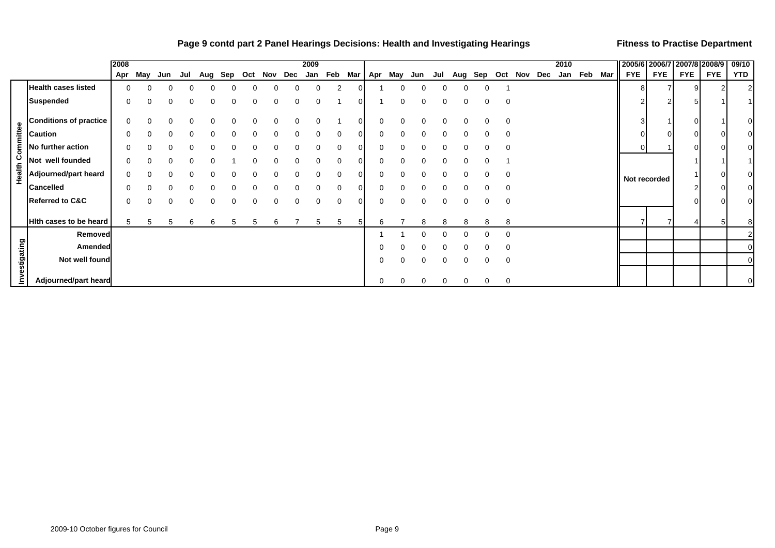#### **Page 9 contd part 2 Panel Hearings Decisions: Health and Investigating Hearings <b>Fitness to Practise Department**

|                         |                               | 2008 |     |     |     |     |     |     |              |             | 2009        |          |     |     |     |     |     |              |          |             |     |     | 2010 |             | 2005/6 2006/7 |            | 2007/8 2008/9 |            | 09/10          |
|-------------------------|-------------------------------|------|-----|-----|-----|-----|-----|-----|--------------|-------------|-------------|----------|-----|-----|-----|-----|-----|--------------|----------|-------------|-----|-----|------|-------------|---------------|------------|---------------|------------|----------------|
|                         |                               | Apr  | May | Jun | Jul | Aug | Sep | Oct | Nov          | Dec         | Jan         | Feb      | Mar | Apr | May | Jun | Jul | Aug          | Sep      | Oct         | Nov | Dec |      | Jan Feb Mar | <b>FYE</b>    | <b>FYE</b> | <b>FYE</b>    | <b>FYE</b> | <b>YTD</b>     |
|                         | <b>Health cases listed</b>    |      |     |     |     |     |     | 0   | 0            | $\Omega$    | $\mathbf 0$ | 2        |     |     |     |     |     | 0            | 0        |             |     |     |      |             | 81            |            | 9             |            | 2              |
|                         | <b>Suspended</b>              | 0    |     |     | 0   | 0   |     | 0   | 0            | 0           | 0           |          |     |     |     |     |     | 0            | 0        | 0           |     |     |      |             |               |            | 5             |            |                |
|                         | <b>Conditions of practice</b> | 0    |     |     |     |     |     | 0   | 0            | $\mathbf 0$ | $\Omega$    |          |     | 0   |     |     |     | <sup>0</sup> | ∩        | $\mathbf 0$ |     |     |      |             |               |            | 0             |            | $\overline{0}$ |
|                         | <b>Caution</b>                |      |     |     |     |     |     |     | <sup>0</sup> |             |             |          |     |     |     |     |     |              |          | $\Omega$    |     |     |      |             |               |            | $\Omega$      |            | 01             |
|                         | No further action             |      |     |     |     |     |     |     |              |             |             |          |     |     |     |     |     |              |          | $\Omega$    |     |     |      |             | 0             |            | $\Omega$      |            | $\Omega$       |
|                         | Not well founded              |      |     |     |     |     |     |     |              |             |             | 0        |     |     |     |     |     |              |          |             |     |     |      |             |               |            |               |            |                |
| <b>Health Committee</b> | Adjourned/part heard          | 0    |     |     |     |     |     |     | <sup>0</sup> |             | $\Omega$    | 0        |     |     |     |     |     | <sup>0</sup> | ∩        | 0           |     |     |      |             | Not recorded  |            |               |            | 0              |
|                         | <b>Cancelled</b>              |      |     |     |     |     |     |     | ∩            |             | $\Omega$    | 0        |     |     |     |     |     |              |          | $\Omega$    |     |     |      |             |               |            |               |            | $\overline{0}$ |
|                         | <b>Referred to C&amp;C</b>    |      |     |     |     |     |     | 0   | $\Omega$     | $\Omega$    | $\Omega$    | $\Omega$ |     |     |     |     |     | $\Omega$     | $\Omega$ | $\mathbf 0$ |     |     |      |             |               |            | $\Omega$      |            | $\overline{0}$ |
|                         | Hith cases to be heard        |      |     | 5   | h   |     |     | 5   | 6            |             | 5           | 5        |     | 6   |     |     |     |              |          | 8           |     |     |      |             |               |            |               |            | 8              |
|                         | Removed                       |      |     |     |     |     |     |     |              |             |             |          |     |     |     |     |     |              |          | 0           |     |     |      |             |               |            |               |            |                |
|                         | Amended                       |      |     |     |     |     |     |     |              |             |             |          |     |     |     |     |     |              |          | 0           |     |     |      |             |               |            |               |            |                |
| estigating              | Not well found                |      |     |     |     |     |     |     |              |             |             |          |     | 0   |     |     | 0   | $\Omega$     | 0        | 0           |     |     |      |             |               |            |               |            | $\overline{0}$ |
|                         | Adjourned/part heard          |      |     |     |     |     |     |     |              |             |             |          |     | 0   |     |     | 0   | $\Omega$     | 0        | 0           |     |     |      |             |               |            |               |            | 0              |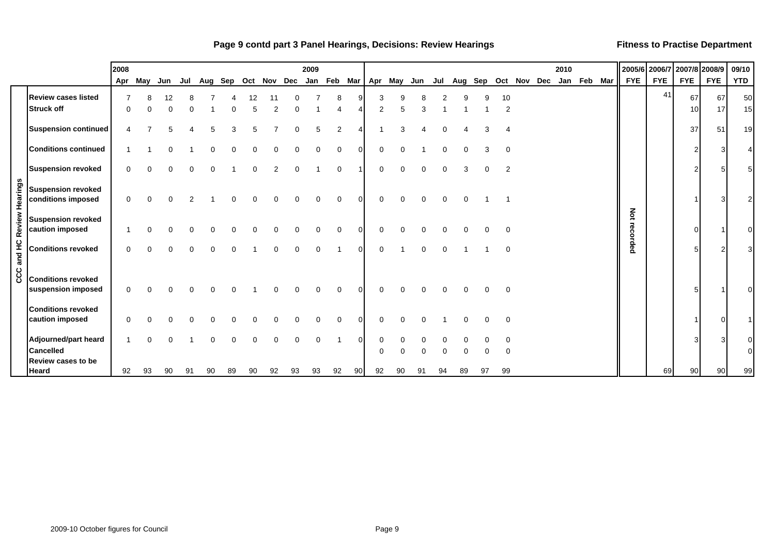#### Page 9 contd part 3 Panel Hearings, Decisions: Review Hearings **<b>Example 2 and Series 1** Fitness to Practise Department

|                 |                                                                       | 2008     |     |     |     |    |     |     |             |          |          | 2009     |                |    |               |                     |          |          |          |          |          |                 | 2010 |             |                 | 2005/6 2006/7 | 2007/8 2008/9 |            | 09/10           |
|-----------------|-----------------------------------------------------------------------|----------|-----|-----|-----|----|-----|-----|-------------|----------|----------|----------|----------------|----|---------------|---------------------|----------|----------|----------|----------|----------|-----------------|------|-------------|-----------------|---------------|---------------|------------|-----------------|
|                 |                                                                       | Apr      | May | Jun | Jul |    | Aug | Sep | Oct Nov Dec |          |          |          |                |    |               | Jan Feb Mar Apr May | Jun      | Jul      | Aug      |          |          | Sep Oct Nov Dec |      | Jan Feb Mar | <b>FYE</b>      | <b>FYE</b>    | <b>FYE</b>    | <b>FYE</b> | <b>YTD</b>      |
|                 | <b>Review cases listed</b><br><b>Struck off</b>                       | ∩        |     |     |     |    |     |     |             | 2        |          |          | 8              |    | 3<br>2        |                     | 3        |          |          |          | 10<br>2  |                 |      |             |                 | 41            | 67<br>10      | 67<br>17   | 50<br>15        |
|                 | <b>Suspension continued</b>                                           |          |     |     |     |    |     |     |             |          |          |          | $\overline{2}$ |    |               | Э                   |          |          |          |          |          |                 |      |             |                 |               | 37            | 51         | 19 <sup>l</sup> |
|                 | <b>Conditions continued</b>                                           |          |     |     |     |    |     |     |             |          |          |          | U              | U  | $\Omega$      |                     |          |          |          |          |          |                 |      |             |                 |               |               | 3          |                 |
|                 | <b>Suspension revoked</b>                                             | $\Omega$ |     |     |     |    |     |     | ი           | 2        | $\Omega$ |          | $\Omega$       |    | 0             | 0                   | $\Omega$ | 0        | 3        | $\Omega$ | 2        |                 |      |             |                 |               |               | 5          |                 |
| Review Hearings | <b>Suspension revoked</b><br>conditions imposed                       | $\Omega$ |     |     |     |    |     |     |             |          | $\Omega$ | $\Omega$ | $\Omega$       | U  | $\Omega$      | $\Omega$            | $\Omega$ | $\Omega$ | $\Omega$ |          |          |                 |      |             |                 |               |               | 3          |                 |
|                 | <b>Suspension revoked</b><br>caution imposed                          |          |     |     |     |    |     |     |             | U        | ∩        | $\Omega$ | $\Omega$       | O  | 0             | ∩                   | ∩        | O        | ∩        |          | $\Omega$ |                 |      |             | Not<br>recorded |               |               |            |                 |
| CCC and HC      | <b>Conditions revoked</b>                                             | $\Omega$ |     |     |     |    |     |     |             | $\Omega$ | $\Omega$ | $\Omega$ |                | 0  | 0             |                     | $\Omega$ | $\Omega$ |          |          | $\Omega$ |                 |      |             |                 |               |               | 2          |                 |
|                 | <b>Conditions revoked</b><br>suspension imposed                       | 0        |     |     |     |    |     |     |             | U        | ∩        | $\Omega$ | $\mathbf 0$    | 0  | 0             | <sup>0</sup>        | ∩        | $\Omega$ | ∩        |          | 0        |                 |      |             |                 |               |               |            |                 |
|                 | <b>Conditions revoked</b><br>caution imposed                          |          |     |     |     |    |     |     |             |          |          |          |                |    |               |                     |          |          |          |          | $\Omega$ |                 |      |             |                 |               |               | $\Omega$   |                 |
|                 | Adjourned/part heard<br><b>Cancelled</b><br><b>Review cases to be</b> |          |     |     |     |    |     |     | ი           | 0        | 0        | $\Omega$ |                | 0  | 0<br>$\Omega$ | ∩                   |          | 0        |          |          | $\Omega$ |                 |      |             |                 |               |               | 3          |                 |
|                 | <b>Heard</b>                                                          | 92       | 93  |     | 90  | 91 | 90  | 89  | 90          | 92       | 93       | 93       | 92             | 90 | 92            | 90                  | 91       | 94       | 89       | 97       | 99       |                 |      |             |                 | 69            | 90            | 90         | 99              |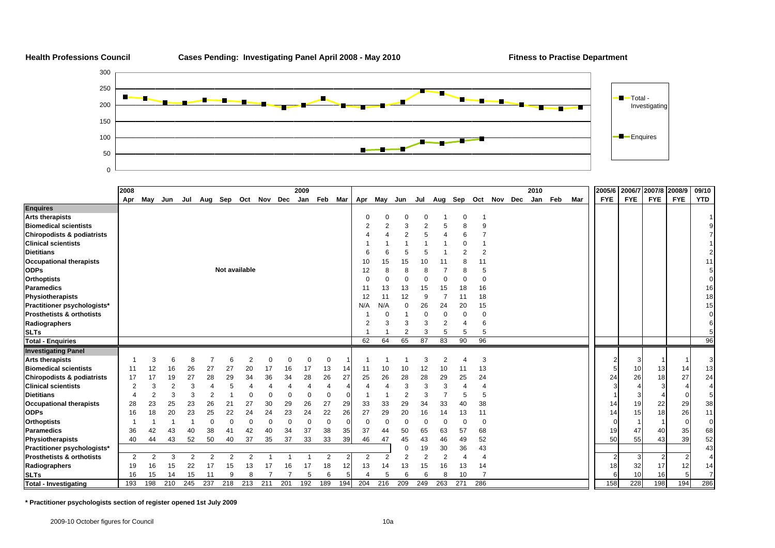

|                                       | 2008           |                |                |                |                |                |                |                     |          | 2009     |             |     |     |          |     |                |                |     |                |             | 2010 |     |     | 2005/6 |            |            | 2006/7 2007/8 2008/9 |            | 09/10          |
|---------------------------------------|----------------|----------------|----------------|----------------|----------------|----------------|----------------|---------------------|----------|----------|-------------|-----|-----|----------|-----|----------------|----------------|-----|----------------|-------------|------|-----|-----|--------|------------|------------|----------------------|------------|----------------|
|                                       | Apr            | May            | Jun            | Jul            |                |                |                | Aug Sep Oct Nov Dec |          | Jan      | Feb         | Mar | Apr | May      | Jun | Jul            | Aug Sep        |     |                | Oct Nov Dec | Jan  | Feb | Mar |        | <b>FYE</b> | <b>FYE</b> | <b>FYE</b>           | <b>FYE</b> | <b>YTD</b>     |
| <b>Enquires</b>                       |                |                |                |                |                |                |                |                     |          |          |             |     |     |          |     |                |                |     |                |             |      |     |     |        |            |            |                      |            |                |
| <b>Arts therapists</b>                |                |                |                |                |                |                |                |                     |          |          |             |     |     |          |     | 0              |                | C   |                |             |      |     |     |        |            |            |                      |            |                |
| <b>Biomedical scientists</b>          |                |                |                |                |                |                |                |                     |          |          |             |     | 2   |          | 3   | $\overline{2}$ |                | 8   | 9              |             |      |     |     |        |            |            |                      |            |                |
| <b>Chiropodists &amp; podiatrists</b> |                |                |                |                |                |                |                |                     |          |          |             |     |     |          |     | 5              |                |     |                |             |      |     |     |        |            |            |                      |            |                |
| <b>Clinical scientists</b>            |                |                |                |                |                |                |                |                     |          |          |             |     |     |          |     |                |                |     |                |             |      |     |     |        |            |            |                      |            |                |
| <b>Dietitians</b>                     |                |                |                |                |                |                |                |                     |          |          |             |     |     |          |     | 5              |                | 2   | $\overline{2}$ |             |      |     |     |        |            |            |                      |            | $\mathfrak{p}$ |
| <b>Occupational therapists</b>        |                |                |                |                |                |                |                |                     |          |          |             |     | 10  | 15       | 15  | 10             |                |     | 11             |             |      |     |     |        |            |            |                      |            | 11             |
| <b>ODPs</b>                           |                |                |                |                |                | Not available  |                |                     |          |          |             |     | 12  |          | 8   | 8              |                | 8   |                |             |      |     |     |        |            |            |                      |            |                |
| <b>Orthoptists</b>                    |                |                |                |                |                |                |                |                     |          |          |             |     |     |          |     | 0              |                |     | ∩              |             |      |     |     |        |            |            |                      |            |                |
| <b>Paramedics</b>                     |                |                |                |                |                |                |                |                     |          |          |             |     | 11  | 13       | 13  | 15             | 15             | 18  | 16             |             |      |     |     |        |            |            |                      |            | 16             |
| Physiotherapists                      |                |                |                |                |                |                |                |                     |          |          |             |     | 12  | 11       | 12  | 9              | $\overline{7}$ |     | 18             |             |      |     |     |        |            |            |                      |            | 18             |
| Practitioner psychologists*           |                |                |                |                |                |                |                |                     |          |          |             |     | N/A | N/A      | 0   | 26             | 24             | 20  | 15             |             |      |     |     |        |            |            |                      |            | 15             |
| <b>Prosthetists &amp; orthotists</b>  |                |                |                |                |                |                |                |                     |          |          |             |     |     |          |     | $\Omega$       |                | C   | $\Omega$       |             |      |     |     |        |            |            |                      |            |                |
| Radiographers                         |                |                |                |                |                |                |                |                     |          |          |             |     |     |          |     | 3              | $\overline{2}$ |     | 6              |             |      |     |     |        |            |            |                      |            |                |
| <b>SLTs</b>                           |                |                |                |                |                |                |                |                     |          |          |             |     |     |          |     | 3              | 5              | 5   | 5              |             |      |     |     |        |            |            |                      |            |                |
| <b>Total - Enquiries</b>              |                |                |                |                |                |                |                |                     |          |          |             |     | 62  | 64       | 65  | 87             | 83             | 90  | 96             |             |      |     |     |        |            |            |                      |            | 96             |
| <b>Investigating Panel</b>            |                |                |                |                |                |                |                |                     |          |          |             |     |     |          |     |                |                |     |                |             |      |     |     |        |            |            |                      |            |                |
| <b>Arts therapists</b>                |                | 3              | 6              | 8              |                | 6              | $\overline{2}$ | $\Omega$            | $\Omega$ | $\Omega$ | $\mathbf 0$ |     |     |          |     | 3              | $\overline{2}$ | 4   | 3              |             |      |     |     |        |            |            |                      |            | 3              |
| <b>Biomedical scientists</b>          | 11             | 12             | 16             | 26             | 27             | 27             | 20             | 17                  | 16       | 17       | 13          | 14  | 11  | 10       | 10  | 12             | 10             | 11  | 13             |             |      |     |     |        |            | 10         | 13                   | 14         | 13             |
| Chiropodists & podiatrists            | 17             | 17             | 19             | 27             | 28             | 29             | 34             | 36                  | 34       | 28       | 26          | 27  | 25  | 26       | 28  | 28             | 29             | 25  | 24             |             |      |     |     |        | 24         | 26         | 18                   | 27         | 24             |
| <b>Clinical scientists</b>            | $\overline{2}$ | 3              | $\overline{2}$ | 3              |                | 5              |                |                     |          | 4        | 4           |     |     |          | 3   | 3              | 3              |     |                |             |      |     |     |        |            |            |                      |            | 4              |
| <b>Dietitians</b>                     |                | $\overline{2}$ | 3              | 3              | $\overline{2}$ |                | $\Omega$       |                     |          | 0        | $\mathbf 0$ |     |     |          | 2   | 3              |                | 5   | 5              |             |      |     |     |        |            |            |                      | $\Omega$   |                |
| <b>Occupational therapists</b>        | 28             | 23             | 25             | 23             | 26             | 21             | 27             | 30                  | 29       | 26       | 27          | 29  | 33  | 33       | 29  | 34             | 33             | 40  | 38             |             |      |     |     |        | 14         | 19         | 22                   | 29         | 38             |
| <b>ODPs</b>                           | 16             | 18             | 20             | 23             | 25             | 22             | 24             | 24                  | 23       | 24       | 22          | 26  | 27  | 29       | 20  | 16             | 14             | 13  | 11             |             |      |     |     |        | 14         | 15         | 18                   | 26         | 11             |
| <b>Orthoptists</b>                    |                |                |                |                | 0              | $\Omega$       | $\Omega$       | $\Omega$            | $\Omega$ | 0        | $\Omega$    |     |     | $\Omega$ | 0   | $\Omega$       | $\Omega$       | C.  | $\Omega$       |             |      |     |     |        |            |            |                      | $\Omega$   | $\overline{0}$ |
| <b>Paramedics</b>                     | 36             | 42             | 43             | 40             | 38             | 41             | 42             | 40                  | 34       | 37       | 38          | 35  | 37  | 44       | 50  | 65             | 63             | 57  | 68             |             |      |     |     |        | 19         | 47         | 40                   | 35         | 68             |
| Physiotherapists                      | 40             | 44             | 43             | 52             | 50             | 40             | 37             | 35                  | 37       | 33       | 33          | 39  | 46  | 47       | 45  | 43             | 46             | 49  | 52             |             |      |     |     |        | 50         | 55         | 43                   | 39         | 52             |
| Practitioner psychologists*           |                |                |                |                |                |                |                |                     |          |          |             |     |     |          |     | 19             | 30             | 36  | 43             |             |      |     |     |        |            |            |                      |            | 43             |
| <b>Prosthetists &amp; orthotists</b>  | 2              | 2              | 3              | $\overline{2}$ | $\overline{2}$ | $\overline{2}$ | 2              |                     |          |          | 2           | 2   | 2   |          | 2   | $\overline{2}$ | $\overline{2}$ |     |                |             |      |     |     |        |            | 3          |                      |            |                |
| Radiographers                         | 19             | 16             | 15             | 22             | 17             | 15             | 13             | 17                  | 16       | 17       | 18          | 12  | 13  | 14       | 13  | 15             | 16             | 13  | 14             |             |      |     |     |        | 18         | 32         | 17                   | 12         | 14             |
| <b>SLTs</b>                           | 16             | 15             | 14             | 15             |                | 9              | 8              |                     |          | 5        | 6           | 5   |     | 5        | 6   | 6              |                | 10  |                |             |      |     |     |        |            | 10         | 16                   | 5          | $\overline{7}$ |
| <b>Total - Investigating</b>          | 193            | 198            | 210            | 245            | 237            | 218            | 213            | 211                 | 201      | 192      | 189         | 194 | 204 | 216      | 209 | 249            | 263            | 271 | 286            |             |      |     |     |        | 158        | 228        | 198                  | 194        | 286            |

**\* Practitioner psychologists section of register opened 1st July 2009**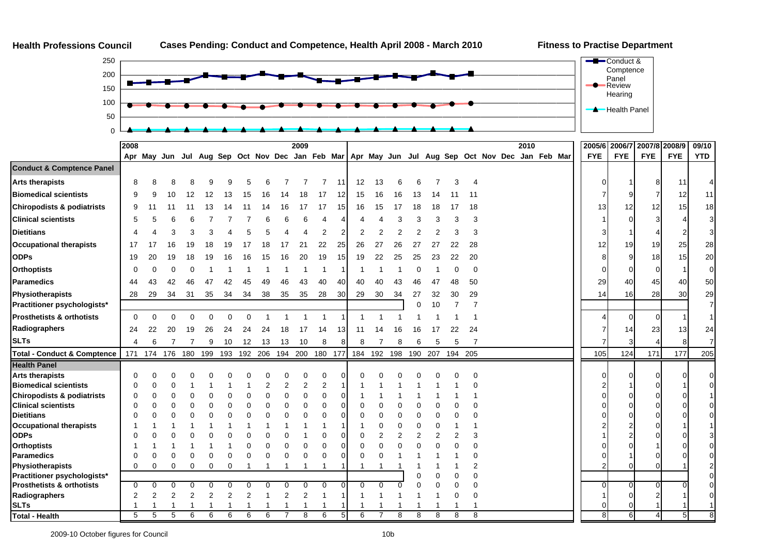



|                                        | 2008     |                |          |                |          |                |          |    |    | 2009            |          |    |          |          |     |          |         |         |                                                                                                 | 2010 |  |            | 2005/6 2006/7 2007/8 2008/9 |                |                |            | 09/10          |
|----------------------------------------|----------|----------------|----------|----------------|----------|----------------|----------|----|----|-----------------|----------|----|----------|----------|-----|----------|---------|---------|-------------------------------------------------------------------------------------------------|------|--|------------|-----------------------------|----------------|----------------|------------|----------------|
|                                        |          |                |          |                |          |                |          |    |    |                 |          |    |          |          |     |          |         |         | Apr May Jun Jul Aug Sep Oct Nov Dec Jan Feb Mar Apr May Jun Jul Aug Sep Oct Nov Dec Jan Feb Mar |      |  | <b>FYE</b> | <b>FYE</b>                  |                | <b>FYE</b>     | <b>FYE</b> | <b>YTD</b>     |
| <b>Conduct &amp; Comptence Panel</b>   |          |                |          |                |          |                |          |    |    |                 |          |    |          |          |     |          |         |         |                                                                                                 |      |  |            |                             |                |                |            |                |
| <b>Arts therapists</b>                 | 8        |                |          |                |          |                |          |    |    |                 |          | 11 | 12       | 13       |     |          |         |         |                                                                                                 |      |  |            |                             |                | 8              | 11         |                |
| <b>Biomedical scientists</b>           | 9        |                | 10       | 12             | 12       | 13             | 15       | 16 | 14 | 18              | 17       | 12 | 15       | 16       | 16  | 13       | 14      |         |                                                                                                 |      |  |            |                             | 9              |                | 12         | 11             |
| <b>Chiropodists &amp; podiatrists</b>  | 9        |                | 11       | 11             | 13       | 14             | 11       | 14 | 16 | 17              | 17       | 15 | 16       | 15       | 17  | 18       | 18      | 17      | 18                                                                                              |      |  |            | 13                          | 12             | 12             | 15         | 18             |
| <b>Clinical scientists</b>             | 5        |                |          |                |          |                |          |    |    |                 |          |    |          |          |     |          |         |         | Э                                                                                               |      |  |            |                             | $\Omega$       |                |            | 3 <sup>l</sup> |
| <b>Dietitians</b>                      |          |                |          |                |          |                |          |    |    |                 |          |    |          |          |     |          |         |         |                                                                                                 |      |  |            |                             |                |                |            | 31             |
| <b>Occupational therapists</b>         | 17       |                | 16       | 19             | 18       | 19             |          | 18 |    | 21              | 22       | 25 | 26       | 27       | 26  | 27       | 27      | 22      | 28                                                                                              |      |  |            | 12                          | 19             | 19             | 25         | 28             |
| <b>ODPs</b>                            | 19       | 20             | 19       | 18             | 19       | 16             | 16       | 15 | 16 | 20              | 19       | 15 | 19       | 22       | 25  | 25       | 23      | 22      | 20                                                                                              |      |  |            | 8                           | 9              | 18             | 15         | 20             |
| <b>Orthoptists</b>                     |          |                |          |                |          |                |          |    |    |                 |          |    |          |          |     |          |         |         | C                                                                                               |      |  |            |                             | $\Omega$       | $\Omega$       |            | $\overline{0}$ |
| <b>Paramedics</b>                      | 44       | 43             | 42       | 46             | 47       | 42             |          |    | 46 | 43              | 40       | 40 | 40       | 40       | 43  | 46       |         |         | 50                                                                                              |      |  |            | 29                          | 40             | 45             | 40         | 50             |
| <b>Physiotherapists</b>                | 28       | 29             | 34       | 31             | 35       | 34             | 34       | 38 | 35 | 35              | 28       | 30 | 29       | 30       | 34  | 27       | 32      | 30      | 29                                                                                              |      |  |            | 14                          | 16             | 28             | 30         | 29             |
| Practitioner psychologists*            |          |                |          |                |          |                |          |    |    |                 |          |    |          |          |     | $\Omega$ | 10      |         |                                                                                                 |      |  |            |                             |                |                |            | $\overline{7}$ |
| <b>Prosthetists &amp; orthotists</b>   | $\Omega$ | $\Omega$       | $\Omega$ | $\Omega$       | $\Omega$ | $\Omega$       | $\Omega$ |    |    |                 |          |    |          |          |     |          |         |         |                                                                                                 |      |  |            |                             | $\overline{0}$ | $\overline{0}$ |            |                |
| Radiographers                          | 24       | 22             | 20       | 19             | 26       | 24             | 24       | 24 | 18 | 17              | 14       | 13 | 11       | 14       | 16  | 16       | 17      | 22      | 24                                                                                              |      |  |            |                             | 14             | 23             | 13         | 24             |
| <b>SLTs</b>                            | 4        | 6              |          |                | 9        | 10             | 12       | 13 | 13 | 10              | 8        | 8  | 8        |          | 8   | 6        | 5       | 5       | 7                                                                                               |      |  |            |                             |                |                |            | $\overline{7}$ |
| <b>Total - Conduct &amp; Comptence</b> |          | 171 174        | 176      | 180            | 199      | 193            | 192 206  |    |    | 194 200 180 177 |          |    | 184      | 192      | 198 |          | 190 207 | 194 205 |                                                                                                 |      |  | 105        |                             | 124            | 171            | 177        | 205            |
| <b>Health Panel</b>                    |          |                |          |                |          |                |          |    |    |                 |          |    |          |          |     |          |         |         |                                                                                                 |      |  |            |                             |                |                |            |                |
| <b>Arts therapists</b>                 | C        |                |          |                |          |                |          |    |    |                 |          |    |          |          |     |          |         |         |                                                                                                 |      |  |            |                             | $\Omega$       | 0              |            |                |
| <b>Biomedical scientists</b>           | 0        |                |          |                |          |                |          |    | 2  | 2               | 2        |    |          |          |     |          |         |         |                                                                                                 |      |  |            |                             |                |                |            |                |
| <b>Chiropodists &amp; podiatrists</b>  | 0        | 0              | C        |                |          |                |          |    | C  | 0               | 0        |    |          |          |     |          |         |         |                                                                                                 |      |  |            |                             | ∩              |                |            |                |
| <b>Clinical scientists</b>             | 0        | O              | C        |                |          |                |          |    |    | ſ               |          |    |          |          |     |          |         |         |                                                                                                 |      |  |            |                             | $\Omega$       |                |            |                |
| <b>Dietitians</b>                      | C        |                |          |                |          |                |          |    |    |                 |          |    |          |          |     |          |         |         |                                                                                                 |      |  |            |                             | $\Omega$       |                |            |                |
| <b>Occupational therapists</b>         |          |                |          |                |          |                |          |    |    |                 |          |    |          |          |     |          |         |         |                                                                                                 |      |  |            |                             |                |                |            |                |
| <b>ODPs</b>                            | C        |                |          |                |          |                |          |    |    |                 |          |    |          |          |     |          |         |         |                                                                                                 |      |  |            |                             |                |                |            |                |
| <b>Orthoptists</b>                     |          |                |          |                |          |                |          |    |    |                 |          |    |          |          |     |          |         |         |                                                                                                 |      |  |            |                             | ∩              |                |            |                |
| <b>Paramedics</b>                      |          | ი              | C        | C              | C        | ſ              |          |    |    |                 |          |    |          |          |     |          |         |         |                                                                                                 |      |  |            |                             |                |                |            |                |
| Physiotherapists                       | $\Omega$ | O              | U        | 0              | O        | U              |          |    |    |                 |          |    |          |          |     |          |         |         |                                                                                                 |      |  |            |                             | $\Omega$       |                |            |                |
| Practitioner psychologists*            |          |                |          |                |          |                |          |    |    |                 |          |    |          |          |     |          |         |         |                                                                                                 |      |  |            |                             |                |                |            |                |
| <b>Prosthetists &amp; orthotists</b>   | 0        | $\Omega$       | 0        | $\Omega$       | $\Omega$ | $\Omega$       | 0        | 0  | 0  | $\Omega$        | $\Omega$ | U  | $\Omega$ | $\Omega$ | ŋ   |          |         |         |                                                                                                 |      |  |            | ∩                           | $\overline{0}$ | $\Omega$       |            |                |
| Radiographers                          | 2        | $\overline{2}$ | 2        | $\overline{2}$ | 2        | $\overline{2}$ | 2        |    | 2  | $\overline{2}$  |          |    |          |          |     |          |         |         | C                                                                                               |      |  |            |                             | $\overline{0}$ |                |            |                |
| <b>SLTs</b>                            |          |                |          |                |          |                |          |    |    |                 |          |    |          |          |     |          |         |         |                                                                                                 |      |  |            |                             | 0              |                |            |                |
| Total - Health                         | 5        | 5              | 5        | 6              | 6        | 6              | 6        | 6  |    | 8               | 6        | 5  | 6        | 7        | 8   | 8        | 8       | 8       | 8                                                                                               |      |  |            | 81                          | 6              | 4              | 5          | 8              |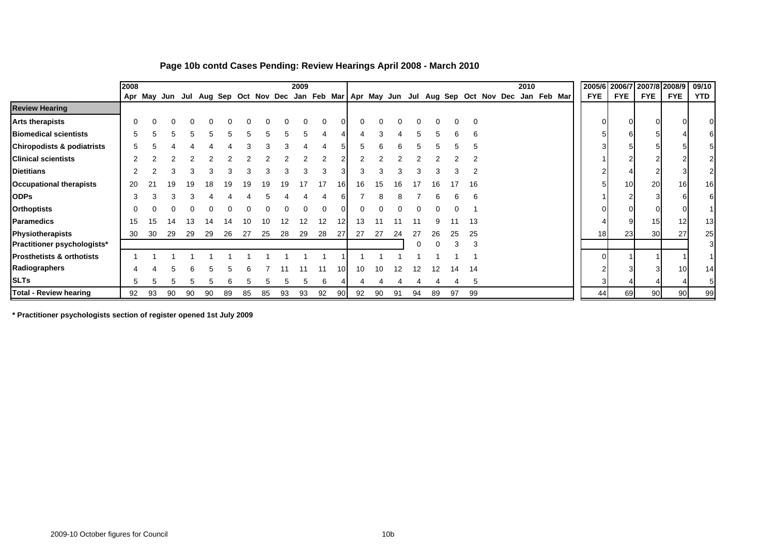|                                       | 2008 |    |    |    |              |    |    |    |    | 2009 |    |     |    |    |    |    |    |    |    |                                                                                       | 2010 |             |  |                 |                 | 2005/6 2006/7 2007/8 2008/9 |            | 09/10           |
|---------------------------------------|------|----|----|----|--------------|----|----|----|----|------|----|-----|----|----|----|----|----|----|----|---------------------------------------------------------------------------------------|------|-------------|--|-----------------|-----------------|-----------------------------|------------|-----------------|
|                                       |      |    |    |    |              |    |    |    |    |      |    |     |    |    |    |    |    |    |    | Apr May Jun Jul Aug Sep Oct Nov Dec Jan Feb Mar   Apr May Jun Jul Aug Sep Oct Nov Dec |      | Jan Feb Mar |  | <b>FYE</b>      | <b>FYE</b>      | <b>FYE</b>                  | <b>FYE</b> | <b>YTD</b>      |
| <b>Review Hearing</b>                 |      |    |    |    |              |    |    |    |    |      |    |     |    |    |    |    |    |    |    |                                                                                       |      |             |  |                 |                 |                             |            |                 |
| <b>Arts therapists</b>                | 0    | ∩  |    |    |              |    |    |    |    |      |    |     |    |    |    |    |    |    | 0  |                                                                                       |      |             |  | 0               | $\overline{0}$  |                             |            |                 |
| <b>Biomedical scientists</b>          | 5    | h  | 'n | ∽  | $\mathbf{h}$ | h  |    |    |    |      |    |     |    |    |    |    |    |    | 6  |                                                                                       |      |             |  | 5               | 61              |                             |            |                 |
| <b>Chiropodists &amp; podiatrists</b> |      |    |    |    |              |    |    |    |    |      |    |     |    |    |    |    |    |    |    |                                                                                       |      |             |  |                 | -51             |                             |            |                 |
| <b>Clinical scientists</b>            |      |    |    |    |              |    |    |    |    |      |    |     |    |    |    |    |    |    |    |                                                                                       |      |             |  |                 | 2               |                             |            |                 |
| <b>Dietitians</b>                     |      |    |    |    |              |    |    |    |    |      |    |     |    |    |    |    |    |    |    |                                                                                       |      |             |  |                 |                 |                             |            |                 |
| <b>Occupational therapists</b>        | 20   |    |    |    |              |    | 19 |    |    |      |    | 161 | 16 | 15 | 16 |    | 16 |    | 16 |                                                                                       |      |             |  |                 | 10 <sup>1</sup> | 20                          | 16         | 16 <sup>l</sup> |
| <b>ODPs</b>                           | 3    | З  |    |    |              |    |    |    |    |      |    |     |    |    |    |    |    |    |    |                                                                                       |      |             |  |                 |                 |                             |            | 6               |
| <b>Orthoptists</b>                    |      |    |    |    |              |    |    |    |    |      |    |     |    |    |    |    |    |    |    |                                                                                       |      |             |  | 0               | $\overline{0}$  |                             |            |                 |
| <b>Paramedics</b>                     | 15   | 15 | 14 | 13 | 14           | 14 | 10 | 10 | 12 | 12   | 12 | 12  | 13 |    |    |    |    |    | 13 |                                                                                       |      |             |  |                 | 9               | 15 <sup>1</sup>             | 12         | 13 <sub>l</sub> |
| Physiotherapists                      | 30   | 30 | 29 | 29 | 29           | 26 | 27 | 25 | 28 | 29   | 28 | 27  | 27 | 27 | 24 | 27 | 26 | 25 | 25 |                                                                                       |      |             |  | 18 <sup>l</sup> | 23              | 30 <sup>1</sup>             | 27         | 25              |
| <b>Practitioner psychologists*</b>    |      |    |    |    |              |    |    |    |    |      |    |     |    |    |    |    |    |    |    |                                                                                       |      |             |  |                 |                 |                             |            | 3I              |
| <b>Prosthetists &amp; orthotists</b>  |      |    |    |    |              |    |    |    |    |      |    |     |    |    |    |    |    |    |    |                                                                                       |      |             |  |                 |                 |                             |            |                 |
| Radiographers                         |      |    |    | ค  | $\mathbf{h}$ | 'n |    |    |    |      |    | 10  | 10 | 10 | 12 | 12 | 12 | 14 | 14 |                                                                                       |      |             |  |                 |                 |                             | 10         | 14              |
| <b>SLTs</b>                           | 5    | 5  | 5  | 5  | 5            | 6  | 5  | 5  | 5  | 5    | 6  |     |    |    |    |    |    |    | 5  |                                                                                       |      |             |  |                 |                 |                             |            |                 |
| <b>Total - Review hearing</b>         | 92   | 93 | 90 | 90 | 90           | 89 | 85 | 85 | 93 | 93   | 92 | 90  | 92 | 90 | 91 | 94 | 89 | 97 | 99 |                                                                                       |      |             |  | 44              | 69              | 90 <sup>1</sup>             | 90         | 99              |

#### **Page 10b contd Cases Pending: Review Hearings April 2008 - March 2010**

**\* Practitioner psychologists section of register opened 1st July 2009**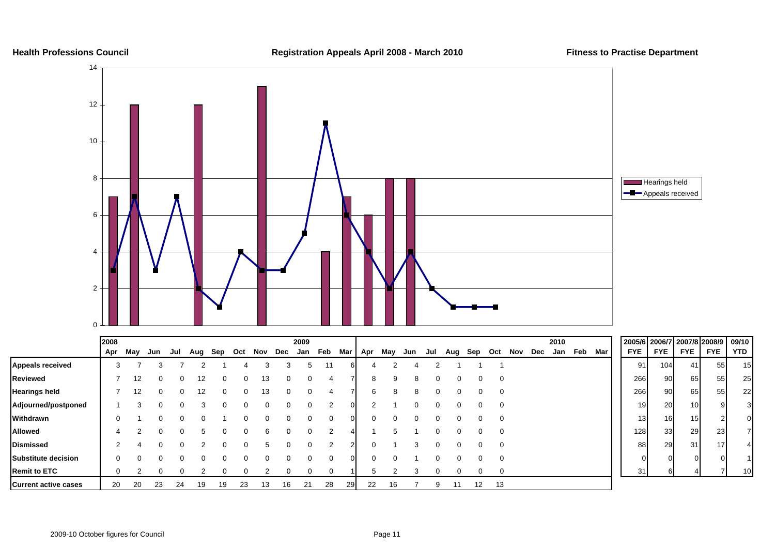#### **Health Professions Council Registration Appeals April 2008 - March 201 0**



|                             | 2008 |     |     |     |     |          |    |     |          | 2009        |          |          |     |     |          |     |     |          |     |                |     | 2010 |     |     |            | 2005/6 2006/7 2007/8 2008/9 |            |            | 09/10           |
|-----------------------------|------|-----|-----|-----|-----|----------|----|-----|----------|-------------|----------|----------|-----|-----|----------|-----|-----|----------|-----|----------------|-----|------|-----|-----|------------|-----------------------------|------------|------------|-----------------|
|                             | Apr  | May | Jun | Jul | Aug | Sep Oct  |    | Nov | Dec      | Jan         | Feb      | Mar      | Apr | May | Jun      | Jul | Aug | Sep      | Oct | Nov            | Dec | Jan  | Feb | Mar | <b>FYE</b> | <b>FYE</b>                  | <b>FYE</b> | <b>FYE</b> | <b>YTD</b>      |
| <b>Appeals received</b>     | 3    |     |     |     |     |          |    |     |          | $\mathbf b$ |          |          |     | ◠   |          |     |     |          |     |                |     |      |     |     | 91         | 104                         | 41         | 55         | 15              |
| Reviewed                    |      | 12  | 0   |     | 12  | 0        | 0  | 13  | $\Omega$ |             | 4        |          | 8   | 9   | 8        | 0   |     | 0        |     | $\mathbf{0}$   |     |      |     |     | 266        | 90                          | 65         | 55         | 25              |
| Hearings held               |      | 12  | 0   |     | 12  | $\Omega$ | 0  | 13  |          |             | 4        |          | 6   | 8   | 8        |     |     | 0        |     | $\mathbf 0$    |     |      |     |     | 266        | 90                          | 65         | 55         | 22              |
| Adjourned/postponed         |      |     | 0   |     |     |          | 0  |     |          |             | 2        | $\Omega$ | 2   |     | $\Omega$ |     |     |          |     | $\overline{0}$ |     |      |     |     | 19         | 20                          | 10         |            |                 |
| Withdrawn                   | 0    |     | 0   |     |     |          | 0  |     |          |             | $\Omega$ |          | ი   | 0   | $\Omega$ |     |     |          |     | $\mathbf 0$    |     |      |     |     | 13         | 16                          | 15         |            | OΙ              |
| Allowed                     |      |     | 0   |     |     | $\Omega$ | 0  | h   |          |             |          |          |     | 5   |          |     |     | $\Omega$ |     | $\mathbf 0$    |     |      |     |     | 128        | 33                          | 29         | 23         |                 |
| Dismissed                   | 2    |     | 0   |     |     | 0        | 0  |     |          |             |          |          |     |     | 3        |     |     |          |     | $\mathbf 0$    |     |      |     |     | 88         | 29                          | 31         | 17         |                 |
| Substitute decision         | 0    |     | 0   |     |     |          | 0  |     |          |             | 0        | ∩        | n   | 0   |          |     |     |          |     | $\mathbf 0$    |     |      |     |     |            | $\Omega$<br>ΟI              |            |            |                 |
| <b>Remit to ETC</b>         | 0    |     | 0   |     |     | 0        | 0  |     |          |             | 0        |          | 5   | ◠   |          |     |     | 0        |     | $\mathbf 0$    |     |      |     |     | 31         |                             |            |            | 10 <sup>1</sup> |
| <b>Current active cases</b> | 20   | 20  | 23  | 24  | 19  | 19       | 23 | 13  | 16       | 21          | 28       | 29       | 22  | 16  |          |     |     | 12       | 13  |                |     |      |     |     |            |                             |            |            |                 |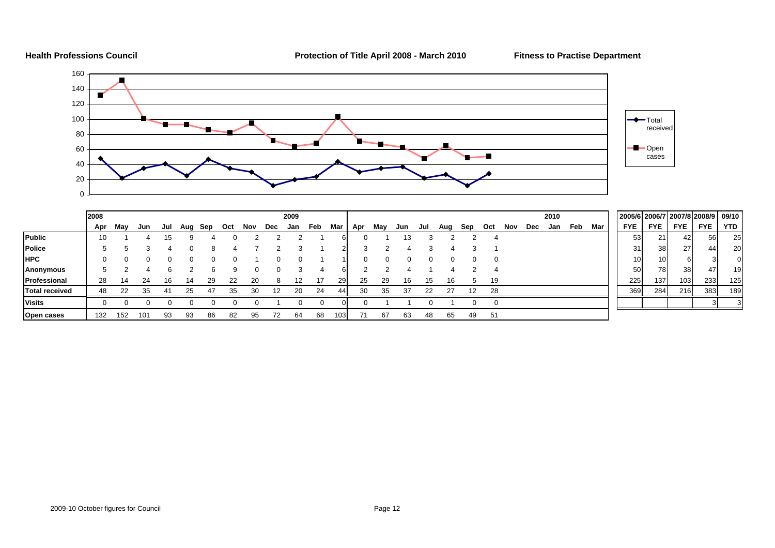**Health Professions Council Protection of Title April 2008 - March 2010 Fitness to Practise Department**



|                       | 2008 |     |     |     |     |     |     |     |     | 2009 |     |      |     |     |     |     |     |     |          |     |     | 2010 |     |     |                 |                 |            | 2005/6 2006/7 2007/8 2008/9 | 09/10 |
|-----------------------|------|-----|-----|-----|-----|-----|-----|-----|-----|------|-----|------|-----|-----|-----|-----|-----|-----|----------|-----|-----|------|-----|-----|-----------------|-----------------|------------|-----------------------------|-------|
|                       | Apr  | May | Jun | Jul | Aug | Sep | Oct | Nov | Dec | Jan  | Feb | Mar  | Apr | May | Jun | Jul | Aug | Sep | Oct      | Nov | Dec | Jan  | Feb | Mar | <b>FYE</b>      | <b>FYE</b>      | <b>FYE</b> | <b>FYE</b>                  | YTD   |
| <b>Public</b>         | 10   |     |     |     |     |     |     |     |     |      |     |      |     |     | 13  |     |     |     |          |     |     |      |     |     | 53 <sub>l</sub> | 21              | 42         | 56                          | 25    |
| <b>Police</b>         | đ    |     |     |     |     |     |     |     |     |      |     |      |     |     |     |     |     |     |          |     |     |      |     |     | 31              | 38 I            | 27         | 44                          | 20    |
| <b>HPC</b>            | O    |     |     |     |     |     |     |     |     |      |     |      |     |     |     |     |     | 0   | $\Omega$ |     |     |      |     |     |                 | 10 <sup>1</sup> |            |                             | 0     |
| Anonymous             |      |     |     |     |     |     | q   |     |     |      |     |      |     |     |     |     |     |     |          |     |     |      |     |     | 50              | <b>78</b>       | 38         | 47                          | 19    |
| Professional          | 28   |     | 24  | 16  | 14  | 29  | 22  | 20  |     |      |     | 291  | 25  | -29 | 16  | 15  | 16  | .h  | 19       |     |     |      |     |     | 225             | 137             | 103        | 233                         | 125   |
| <b>Total received</b> | 48   | 22  | 35  |     | 25  | 47  | 35  | 30  |     | 20   | 24  | 441  | 30  | 35  | 37  | 22  | 27  | 12  | 28       |     |     |      |     |     | 369             | 284             | 216        | 383                         | 189   |
| <b>Visits</b>         |      |     |     |     |     |     |     |     |     |      |     |      |     |     |     |     |     |     | ∩        |     |     |      |     |     |                 |                 |            |                             |       |
| <b>Open cases</b>     | 132  | 152 | 101 | 93  | 93  | 86  | 82  | 95  |     | 64   | 68  | 1031 |     | 67  |     | 48  | 65  | 49  | 51       |     |     |      |     |     |                 |                 |            |                             |       |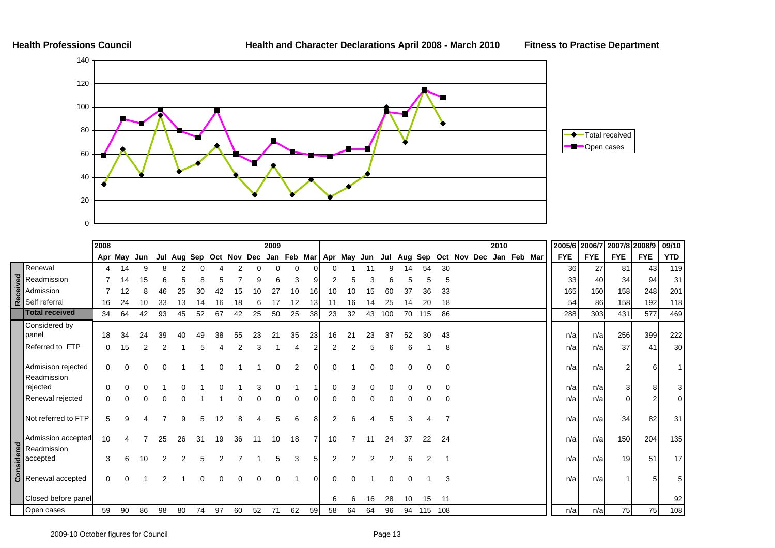

|                                                                                       | 2008 |          |     |    |    |    |    |    |                                                             | 2009 |          |     |          |    |          |          |          |         |          |             | 2010 |             | 2005/6     | 2006/7     | 2007/8 2008/9 |            | 09/10           |
|---------------------------------------------------------------------------------------|------|----------|-----|----|----|----|----|----|-------------------------------------------------------------|------|----------|-----|----------|----|----------|----------|----------|---------|----------|-------------|------|-------------|------------|------------|---------------|------------|-----------------|
|                                                                                       |      | Apr May  | Jun |    |    |    |    |    | Jul Aug Sep Oct Nov Dec Jan Feb Mar Apr May Jun Jul Aug Sep |      |          |     |          |    |          |          |          |         |          | Oct Nov Dec |      | Jan Feb Mar | <b>FYE</b> | <b>FYE</b> | <b>FYE</b>    | <b>FYE</b> | <b>YTD</b>      |
| Renewal                                                                               |      | 14       | 9   |    |    |    |    |    |                                                             |      | $\Omega$ |     |          |    |          | 9        | 14       | 54      | 30       |             |      |             | 36         | 27         | 81            | 43         | 119             |
|                                                                                       |      | 14       | 15  |    |    |    |    |    |                                                             |      | 3        |     |          |    | З        |          |          |         | 5        |             |      |             | 33         | 40         | 34            | 94         | 31              |
|                                                                                       |      | 12       | 8   | 46 | 25 | 30 |    | 15 | n                                                           |      | 10       | 161 |          |    | 15       |          | 37       | 36      | 33       |             |      |             | 165        | 150        | 158           | 248        | 201             |
| Readmission<br>admission<br><b>Readmission</b><br><b>Readmission</b><br>Self referral | 16   | 24       | 10  | 33 | 13 |    |    | 18 | 6                                                           |      | 12       |     |          | 16 |          | 25       |          |         | 18       |             |      |             | 54         | 86         | 158           | 192        | 118             |
| <b>Total received</b>                                                                 | 34   | 64       | 42  | 93 | 45 | 52 | 67 | 42 | 25                                                          | 50   | 25       | 38  | 23       | 32 | 43       | 100      |          | 70 115  | 86       |             |      |             | 288        | 303        | 431           | 577        | 469             |
| Considered by<br>panel                                                                | 18   | 34       | 24  | 39 | 40 | 49 | 38 | 55 | 23                                                          | 21   | 35       | 23  | 16       | 21 | 23       | 37       | 52       | 30      | 43       |             |      |             | n/a        | n/a        | 256           | 399        | 222             |
| Referred to FTP                                                                       | 0    | 15       |     |    |    |    |    |    |                                                             |      |          |     |          |    |          | 6        |          |         | 8        |             |      |             | n/a        | n/al       | 37            | 41         | 30              |
| Admisison rejected<br>Readmission                                                     | 0    | $\Omega$ |     |    |    |    |    |    |                                                             |      | 2        | ΩI  | $\Omega$ |    | $\Omega$ | $\Omega$ | $\Omega$ | ∩       | 0        |             |      |             | n/a        | n/a        |               |            |                 |
| rejected                                                                              | 0    | 0        |     |    |    |    |    |    |                                                             |      |          |     |          |    | 0        |          |          |         | 0        |             |      |             | n/a        | n/a        |               |            | 3 <sup>1</sup>  |
| Renewal rejected                                                                      |      |          |     |    |    |    |    |    |                                                             |      |          |     |          |    |          |          |          |         | $\Omega$ |             |      |             | n/a        | n/a        |               |            | 01              |
| Not referred to FTP                                                                   | 5    | a        |     |    | 9  | 5  | 12 | 8  | Δ                                                           | 5    | 6        | 81  | 2        | 6  |          | 5        | 3        |         |          |             |      |             | n/a        | n/al       | 34            | 82         | 31              |
| Admission accepted                                                                    | 10   |          |     | 25 | 26 | 31 | 19 | 36 | 11                                                          | 10   | 18       |     | 10       | 7  | 11       | 24       | 37       | 22      | 24       |             |      |             | n/a        | n/a        | 150           | 204        | 135             |
| ed Readmission<br>accepted<br>galaccepted                                             | 3    | 6        | 10  |    |    |    |    |    |                                                             |      |          |     |          |    |          |          |          |         |          |             |      |             | n/a        | n/a        | 19            | 51         | 17 <sup>1</sup> |
| $\begin{array}{ c c }\n\hline \mathbf{5} & \mathbf{R}\n\end{array}$ Renewal accepted  | 0    |          |     |    |    |    |    | O  | $\Omega$                                                    |      |          | ΩI  | 0        | U  |          | $\Omega$ |          |         | 3        |             |      |             | n/a        | n/a        |               |            | 5               |
| Closed before panel                                                                   |      |          |     |    |    |    |    |    |                                                             |      |          |     | 6        | 6  | 16       | 28       | 10       | 15      | 11       |             |      |             |            |            |               |            | 92              |
| Open cases                                                                            | 59   | 90       | 86  | 98 | 80 | 74 | 97 | 60 | 52                                                          | 71   | 62       | 59  | 58       | 64 | 64       | 96       | 94       | 115 108 |          |             |      |             | n/a        | n/a        | 75            | 75         | 108             |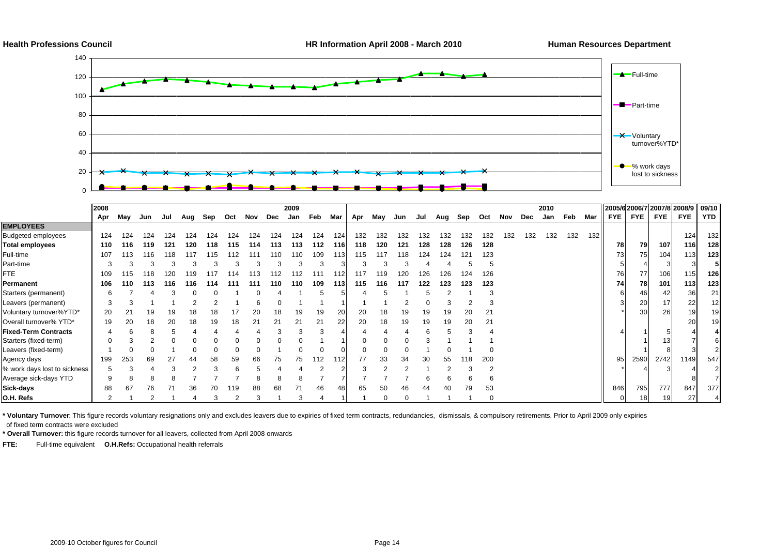

|                              | 2008 |     |     |     |     |     |     |     |     | 2009 |     |       |     |     |     |     |         |     |     |     |     | 2010 |     |       | 2005/6 2006/7 2007/8 2008/9 |            |                  |                 | 09/10 |
|------------------------------|------|-----|-----|-----|-----|-----|-----|-----|-----|------|-----|-------|-----|-----|-----|-----|---------|-----|-----|-----|-----|------|-----|-------|-----------------------------|------------|------------------|-----------------|-------|
|                              | Apr  | Mav | Jun | Jul | Aug | Sep | Oct | Nov | Dec | Jan  | Feb | Mar   | Apr | May | Jun | Jul | Aug Sep |     | Oct | Nov | Dec | Jan  | Feb | Mar   | FYE I                       | <b>FYE</b> | <b>FYE</b>       | <b>FYE</b>      | YTD   |
| <b>EMPLOYEES</b>             |      |     |     |     |     |     |     |     |     |      |     |       |     |     |     |     |         |     |     |     |     |      |     |       |                             |            |                  |                 |       |
| <b>Budgeted employees</b>    | 124  | 124 | 124 | 124 | 24  | 124 | 124 | 124 | 124 | 124  | 124 | 124   | 132 | 132 | 132 | 132 | 132     | 132 | 132 | 132 | 132 | 132  | 132 | $132$ |                             |            |                  | 124             | 132   |
| Total employees              | 110  | 116 | 119 | 121 | 120 | 118 | 115 | 114 | 113 | 113  | 112 | 116 I | 118 | 120 | 121 | 128 | 128     | 126 | 128 |     |     |      |     |       | 78                          | 79         | 107              | 116             | 128   |
| Full-time                    | 107  | 113 | 116 | 118 | 117 | 115 | 112 | 111 | 110 | 110  | 109 | 113   | 115 | 117 | 118 | 124 | 124     |     | 123 |     |     |      |     |       | 73                          | 75         | 104 <sub>1</sub> | 113             | 123   |
| Part-time                    |      |     |     |     |     |     |     |     |     |      |     |       |     |     |     |     |         |     |     |     |     |      |     |       |                             |            |                  |                 |       |
| FTE.                         | 109  |     | 118 | 120 |     |     |     |     |     |      |     |       | 117 | 119 | 20  | 126 | 126     | 24  | 126 |     |     |      |     |       | 76                          | 77         | 106              | 115             | 126   |
| Permanent                    | 106  | 110 | 113 | 116 | 116 | 114 | 111 | 111 | 110 | 110  | 109 | 113 I | 115 | 116 | 117 | 122 | 123     | 123 | 123 |     |     |      |     |       | 74                          | 781        | 101              | 113             | 123   |
| Starters (permanent)         |      |     |     |     |     |     |     |     |     |      |     |       |     |     |     |     |         |     |     |     |     |      |     |       |                             | 46         | 42               | 36              | 21    |
| Leavers (permanent)          |      |     |     |     |     |     |     |     |     |      |     |       |     |     |     |     |         |     |     |     |     |      |     |       |                             | 20         | 17               | 22              | 12    |
| Voluntary turnover%YTD*      | 20   | 21  | 19  | 19  |     | 18  |     | 20  |     | 19   | 19  | 20    | 20  |     |     | 19  | 19      | 20  | 21  |     |     |      |     |       |                             | 30         | 26               | 19 <sup>1</sup> | 19    |
| Overall turnover% YTD*       | 19   | 20  | 18  | 20  | 18  | 19  | 18  | 21  |     |      |     | 22    | 20  | 18  | 19  | 19  | 19      | 20  | 21  |     |     |      |     |       |                             |            |                  | 20              | 19    |
| Fixed-Term Contracts         |      |     |     |     |     |     |     |     |     |      |     |       |     |     |     | 6   |         |     |     |     |     |      |     |       |                             |            |                  |                 |       |
| Starters (fixed-term)        |      |     |     |     |     |     |     |     |     |      |     |       |     |     |     |     |         |     |     |     |     |      |     |       |                             |            |                  |                 |       |
| Leavers (fixed-term)         |      |     |     |     |     |     |     |     |     |      |     |       |     |     |     |     |         |     |     |     |     |      |     |       |                             |            |                  |                 |       |
| Agency days                  | 199  | 253 | 69  | 27  | 44  | 58  | 59  | 66  | 75  | 75   | 112 | 112   | 77  | 33  | 34  | 30  | 55      | 18  | 200 |     |     |      |     |       | 95                          | 2590       | 2742             | 1149            | 547   |
| % work days lost to sickness |      |     |     |     |     |     |     |     |     |      |     |       |     |     |     |     |         |     |     |     |     |      |     |       |                             |            |                  |                 |       |
| Average sick-days YTD        |      |     |     |     |     |     |     |     |     |      |     |       |     |     |     |     |         |     |     |     |     |      |     |       |                             |            |                  |                 |       |
| Sick-days                    | 88   | 67  | 76  |     | 36  | 70  | 119 | 88  | 68  |      | 46  |       | 65  |     |     |     | 40      | 79  | 53  |     |     |      |     |       | 846                         | 795        | 777              | 847             | 377   |
| O.H. Refs                    |      |     |     |     |     |     |     |     |     |      |     |       |     |     |     |     |         |     |     |     |     |      |     |       |                             | 18         | 19 <sup>1</sup>  | 27              |       |

**\* Voluntary Turnover**: This figure records voluntary resignations only and excludes leavers due to expiries of fixed term contracts, redundancies, dismissals, & compulsory retirements. Prior to April 2009 only expiries of fixed term contracts were excluded

**\* Overall Turnover:** this figure records turnover for all leavers, collected from April 2008 onwards

**FTE:** Full-time equivalent **O.H.Refs:** Occupational health referrals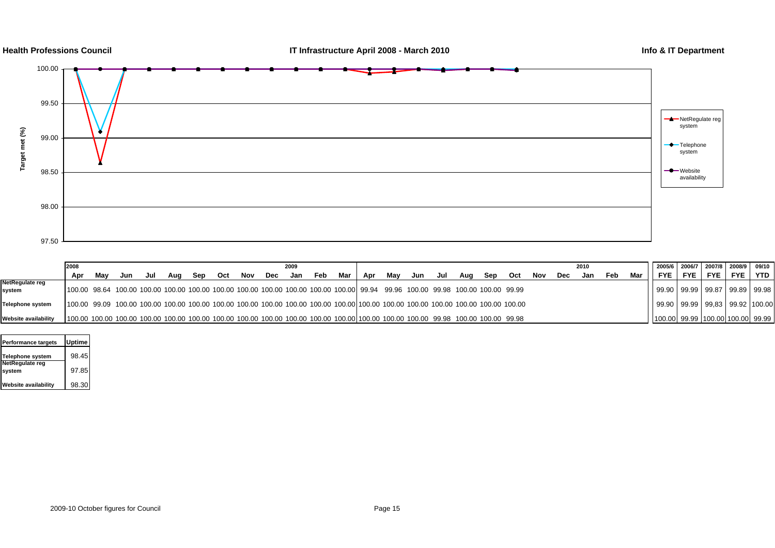

|                      | 2008                                                                                                                                       |     |     |     |     |     |     | 2009 |     |     |     |     |     |     |     |     |     |     |     | 2010 |     |     | 2005/6 2006/7 2007/8 2008/9 09/10 |       |                                        |            |            |                |  |
|----------------------|--------------------------------------------------------------------------------------------------------------------------------------------|-----|-----|-----|-----|-----|-----|------|-----|-----|-----|-----|-----|-----|-----|-----|-----|-----|-----|------|-----|-----|-----------------------------------|-------|----------------------------------------|------------|------------|----------------|--|
|                      | Apr                                                                                                                                        | Mav | Jun | Jul | Aua | Sep | Oct | Nov  | Dec | Jan | Feb | Mar | Apr | Mav | Jun | Jul | Aua | Sep | Oct | Nov  | Dec | Jan | Feb                               | Mar I | FYE I                                  | <b>FYE</b> | <b>FYE</b> | <b>FYE</b> YTD |  |
| NetRegulate reg      |                                                                                                                                            |     |     |     |     |     |     |      |     |     |     |     |     |     |     |     |     |     |     |      |     |     |                                   |       |                                        |            |            |                |  |
| system               | 100.00 98.64 100.00 100.00 100.00 100.00 100.00 100.00 100.00 100.00 100.00 100.00 99.94 99.96 100.00 99.98 100.00 100.00 99.98            |     |     |     |     |     |     |      |     |     |     |     |     |     |     |     |     |     |     |      |     |     |                                   |       | 99.90   99.99   99.87   99.89   99.98  |            |            |                |  |
| Telephone system     | 100.00 99.09 100.00 100.00 100.00 100.00 100.00 100.00 100.00 100.00 100.00 100.00 100.00 100.00 100.00 100.00 100.00 100.00 100.00 100.00 |     |     |     |     |     |     |      |     |     |     |     |     |     |     |     |     |     |     |      |     |     |                                   |       | 99.90   99.99   99.83   99.92   100.00 |            |            |                |  |
| Website availability | 100.00 100.00 100.00 100.00 100.00 100.00 100.00 100.00 100.00 100.00 100.00 100.00 100.00 100.00 100.00 99.98 100.00 100.00 99.98         |     |     |     |     |     |     |      |     |     |     |     |     |     |     |     |     |     |     |      |     |     |                                   |       | 100.00  99.99  100.00  100.00  99.99   |            |            |                |  |

| <b>Performance targets</b> | <b>Uptime</b> |  |
|----------------------------|---------------|--|
| <b>Telephone system</b>    | 98.45         |  |
| NetRegulate reg<br>system  | 97.85         |  |
| Website availability       | 98.30         |  |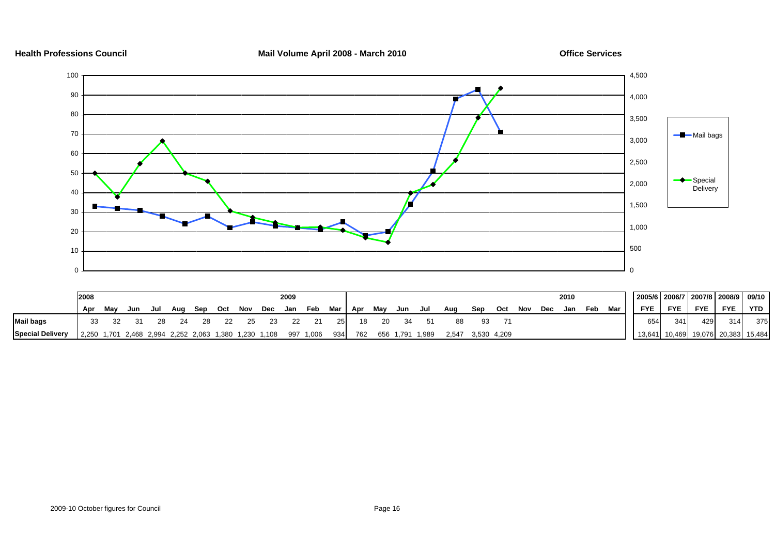

**Health Professions Council Mail Volume April 2008 - March 2010 Office Services**

|                         | 2008 |     |     |     |     |     |         |     |                                                       | 2009 |               |           |     |     |         |                 |       |             |     |     |     | 2010 |     |     | 2005/6   2006/7   2007/8   2008/9 |     |            |                             | 09/10      |
|-------------------------|------|-----|-----|-----|-----|-----|---------|-----|-------------------------------------------------------|------|---------------|-----------|-----|-----|---------|-----------------|-------|-------------|-----|-----|-----|------|-----|-----|-----------------------------------|-----|------------|-----------------------------|------------|
|                         | Apr  | May | Jun | Jul | Aug | Sep | Oct Nov |     | Dec                                                   | Jan  | Feb           | Mar   Apr |     | Mav | Jun Jul |                 | Aug   | Sep         | Oct | Nov | Dec | Jan  | Feb | Mar | <b>FYE</b>                        | FYE | <b>FYE</b> | <b>FYE</b>                  | <b>YTD</b> |
| <b>Mail bags</b>        |      |     |     | 28  | -24 | 28  | 22      | -25 |                                                       |      |               | 25        | 18  | -20 |         |                 | 88    | 93          |     |     |     |      |     |     | 654                               | 341 | 429        | 314                         | 375        |
| <b>Special Delivery</b> |      |     |     |     |     |     |         |     | 2,250 1,701 2,468 2,994 2,252 2,063 1,380 1,230 1,108 |      | 997 1,006 934 |           | 762 |     |         | 656 1,791 1,989 | 2.547 | 3,530 4,209 |     |     |     |      |     |     | 13.641                            |     |            | 10,469 19,076 20,383 15,484 |            |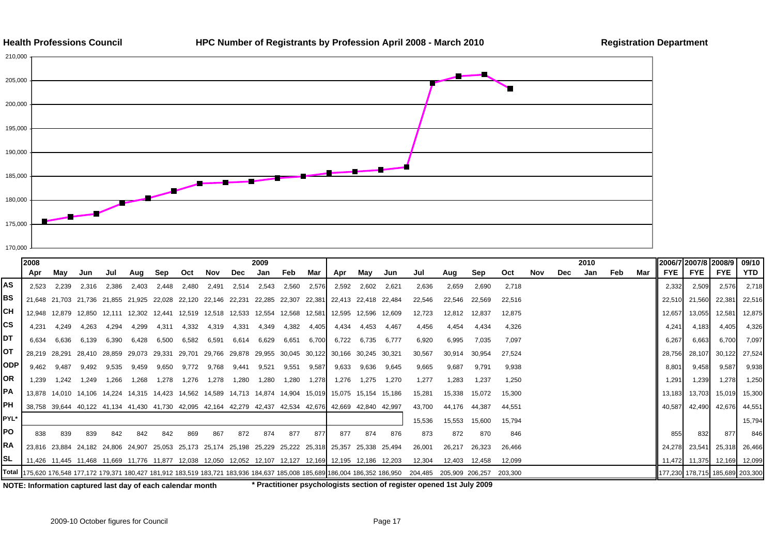



|            | 2008                                                                                                                           |       |       |                             |                                                                |       |        |       |                                                                                     | 2009                                                                                      |       |       |                                                                                                          |                      |        |                         |        |        |         |     |     | 2010 |     |     | 2006/7 2007/8 2008/9 |               |                                 | 09/10         |
|------------|--------------------------------------------------------------------------------------------------------------------------------|-------|-------|-----------------------------|----------------------------------------------------------------|-------|--------|-------|-------------------------------------------------------------------------------------|-------------------------------------------------------------------------------------------|-------|-------|----------------------------------------------------------------------------------------------------------|----------------------|--------|-------------------------|--------|--------|---------|-----|-----|------|-----|-----|----------------------|---------------|---------------------------------|---------------|
|            | Apr                                                                                                                            | Mav   | Jun   | Jul                         | Aua                                                            | Sep   | Oct    | Nov   | Dec                                                                                 | Jan                                                                                       | Feb   | Mar   | Apr                                                                                                      | Mav                  | Jun    | Jul                     | Aua    | Sep    | Oct     | Nov | Dec | Jan  | Feb | Mar | FYE I                | <b>FYE</b>    | <b>FYE</b>                      | YTD           |
| AS         | 2.523                                                                                                                          | 2.239 | 2.316 | 2.386                       | 2.403                                                          | 2.448 | 2.480  | 2.491 | 2.514                                                                               | 2.543                                                                                     | 2.560 | 2.576 | 2.592                                                                                                    | 2.602                | 2,621  | 2,636                   | 2,659  | 2,690  | 2.718   |     |     |      |     |     | 2,332                | 2,509         | 2,576                           | 2,718         |
| BS         |                                                                                                                                |       |       |                             | 21,648 21,703 21,736 21,855 21,925 22,028 22,120 22,146 22,231 |       |        |       |                                                                                     | 22.285 22.307 22.381                                                                      |       |       | 22.413 22.418 22.484                                                                                     |                      |        | 22,546                  | 22,546 | 22,569 | 22,516  |     |     |      |     |     | 22,510               | 21,560        | 22,381                          | 22,516        |
| CН         |                                                                                                                                |       |       |                             |                                                                |       |        |       | 12,948 12,879 12,850 12,111 12,302 12,441 12,519 12,518 12,533 12,554 12,568 12,581 |                                                                                           |       |       |                                                                                                          | 12,595 12,596 12,609 |        | 12,723                  | 12,812 | 12,837 | 12,875  |     |     |      |     |     | 12,657               | 13,055        | 12,581                          | 12,875        |
| CS         | 4.231                                                                                                                          | 4.249 | 4.263 | 4.294                       | 4.299                                                          | 4,311 | 4,332  | 4,319 | 4,331                                                                               | 4,349                                                                                     | 4,382 | 4,405 | 4.434                                                                                                    | 4.453                | 4.467  | 4,456                   | 4,454  | 4.434  | 4,326   |     |     |      |     |     | 4.241                | 4,183         | 4,405                           | 4,326         |
| DT         | 6.634                                                                                                                          | 6.636 | 6.139 | 6,390                       | 6.428                                                          | 6,500 | 6.582  | 6,591 | 6,614                                                                               | 6.629                                                                                     | 6.651 | 6.700 | 6.722                                                                                                    | 6.735                | 6,777  | 6,920                   | 6,995  | 7,035  | 7,097   |     |     |      |     |     | 6.267                | 6,663         | 6,700                           | 7,097         |
| ОT         |                                                                                                                                |       |       | 28,219 28,291 28,410 28,859 | 29,073 29,331                                                  |       | 29,701 |       | 29,766 29,878 29,955 30,045 30,122                                                  |                                                                                           |       |       | 30,166 30,245 30,321                                                                                     |                      |        | 30,567                  | 30,914 | 30,954 | 27,524  |     |     |      |     |     | 28,756               | 28,107        | 30,122                          | 27,524        |
| <b>ODP</b> | 9.462                                                                                                                          | 9.487 | 9.492 | 9,535                       | 9.459                                                          | 9,650 | 9.772  | 9.768 | 9.441                                                                               | 9,521                                                                                     | 9,551 | 9,587 | 9,633                                                                                                    | 9.636                | 9,645  | 9,665                   | 9,687  | 9.791  | 9,938   |     |     |      |     |     | 8.801                | 9,458         | 9,587                           | 9,938         |
| OR         | 1.239                                                                                                                          | 1.242 | 1.249 | 1.266                       | 1.268                                                          | 1.278 | 1.276  | 1.278 | 1,280                                                                               | 1.280                                                                                     | 1.280 | 1.278 | 1.276                                                                                                    | 1.275                | 1,270  | 1.277                   | 1.283  | 1.237  | 1.250   |     |     |      |     |     | 1.291                | 1,239         | 1.278                           | 1,250         |
| РA         |                                                                                                                                |       |       |                             |                                                                |       |        |       | 13,878 14,010 14,106 14,224 14,315 14,423 14,562 14,589 14,713 14,874 14,904 15,019 |                                                                                           |       |       |                                                                                                          | 15,075 15,154        | 15,186 | 15,281                  | 15,338 | 15,072 | 15,300  |     |     |      |     |     | 13,183               | 13,703        | 15,019                          | 15,300        |
| PH         |                                                                                                                                |       |       |                             |                                                                |       |        |       |                                                                                     |                                                                                           |       |       | 38,758 39,644 40,122 41,134 41,430 41,730 42,095 42,164 42,279 42,437 42,534 42,676 42,669 42,840 42,997 |                      |        | 43,700                  | 44.176 | 44,387 | 44,551  |     |     |      |     |     | 40.587               | 42,490        | 42,676                          | 44,551        |
| PYL*       |                                                                                                                                |       |       |                             |                                                                |       |        |       |                                                                                     |                                                                                           |       |       |                                                                                                          |                      |        | 15,536                  | 15,553 | 15,600 | 15.794  |     |     |      |     |     |                      |               |                                 | 15,794        |
| PO         | 838                                                                                                                            | 839   | 839   | 842                         | 842                                                            | 842   | 869    | 867   | 872                                                                                 | 874                                                                                       | 877   | 877   | 877                                                                                                      | 874                  | 876    | 873                     | 872    | 870    | 846     |     |     |      |     |     | 855                  | 832           | 877                             | 846           |
| RA         |                                                                                                                                |       |       |                             |                                                                |       |        |       |                                                                                     |                                                                                           |       |       | 23,816 23,884 24,182 24,806 24,907 25,053 25,173 25,174 25,198 25,229 25,222 25,318 25,357 25,338 25,494 |                      |        | 26,001                  | 26,217 | 26,323 | 26.466  |     |     |      |     |     | 24.278               | 23,541        | 25,318                          | 26,466        |
| SL         |                                                                                                                                |       |       |                             |                                                                |       |        |       |                                                                                     |                                                                                           |       |       | 11.426 11.445 11.468 11.669 11.776 11.877 12.038 12.050 12.052 12.107 12.127 12.169 12.195 12.186 12.203 |                      |        | 12.304                  | 12.403 | 12.458 | 12.099  |     |     |      |     |     |                      | 11,472 11,375 |                                 | 12,169 12,099 |
|            | Total  175,620 176,548 177,172 179,371 180,427 181,912 183,519 183,721 183,936 184,637 185,008 185,689 186,004 186,352 186,950 |       |       |                             |                                                                |       |        |       |                                                                                     |                                                                                           |       |       |                                                                                                          |                      |        | 204,485 205,909 206,257 |        |        | 203.300 |     |     |      |     |     |                      |               | 177,230 178,715 185,689 203,300 |               |
|            |                                                                                                                                |       |       |                             |                                                                |       |        |       |                                                                                     | the company of the company of the company of the company of the company of the company of |       |       | .                                                                                                        |                      |        |                         | .      |        |         |     |     |      |     |     |                      |               |                                 |               |

**NOTE: Information captured last day of each calendar month \* Practitioner psychologists section of register opened 1st July 2009**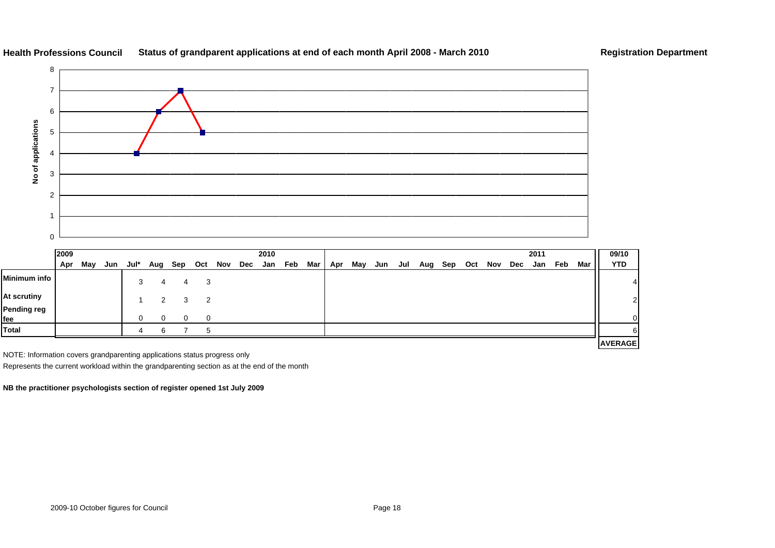

#### **Health Professions CouncilStatus of grandparent applications at end of each month April 2008 - March 2010 Registration Department**



|                    | 2009 |     |     |      |   |         |                |     |     | 2010 |     |            |     |     |     |     |     |     |     |     |     | 2011 |     |     | 09/10          |                |
|--------------------|------|-----|-----|------|---|---------|----------------|-----|-----|------|-----|------------|-----|-----|-----|-----|-----|-----|-----|-----|-----|------|-----|-----|----------------|----------------|
|                    | Apr  | May | Jun | Jul* |   | Aug Sep | Oct            | Nov | Dec | Jan  | Feb | <b>Mar</b> | Apr | May | Jun | Jul | Aug | Sep | Oct | Nov | Dec | Jan  | Feb | Mar | <b>YTD</b>     |                |
| Minimum info       |      |     |     | 3    |   | 4       | -3             |     |     |      |     |            |     |     |     |     |     |     |     |     |     |      |     |     |                |                |
| At scrutiny        |      |     |     |      | 2 | 3       | $\overline{2}$ |     |     |      |     |            |     |     |     |     |     |     |     |     |     |      |     |     |                | $\overline{2}$ |
| Pending reg<br>fee |      |     |     | 0    |   |         | $\Omega$       |     |     |      |     |            |     |     |     |     |     |     |     |     |     |      |     |     |                |                |
| <b>Total</b>       |      |     |     | 4    | ี |         |                |     |     |      |     |            |     |     |     |     |     |     |     |     |     |      |     |     |                |                |
|                    |      |     |     |      |   |         |                |     |     |      |     |            |     |     |     |     |     |     |     |     |     |      |     |     | <b>AVERAGE</b> |                |

NOTE: Information covers grandparenting applications status progress only

Represents the current workload within the grandparenting section as at the end of the month

**NB the practitioner psychologists section of register opened 1st July 2009**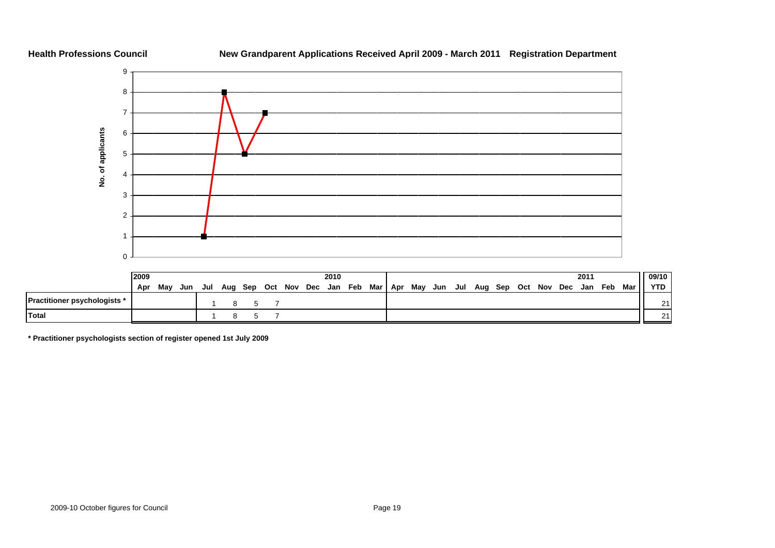#### **Health Professions Council**

#### **New Grandparent Applications Received April 2009 - March 2011 Registration Department**



|                                     | 2009 |     |     |     |  |                             | 2010 |           |         |     |                             |  | 2011 |       | 09/10 \ |
|-------------------------------------|------|-----|-----|-----|--|-----------------------------|------|-----------|---------|-----|-----------------------------|--|------|-------|---------|
|                                     | Apr  | Mav | Jun | Jul |  | Aug Sep Oct Nov Dec Jan Feb |      | Mar   Apr | May Jun | Jul | Aug Sep Oct Nov Dec Jan Feb |  |      | Mar I | YTD I   |
| <b>Practitioner psychologists *</b> |      |     |     |     |  |                             |      |           |         |     |                             |  |      |       | 211     |
| Total                               |      |     |     |     |  |                             |      |           |         |     |                             |  |      |       | 211     |

**\* Practitioner psychologists section of register opened 1st July 2009**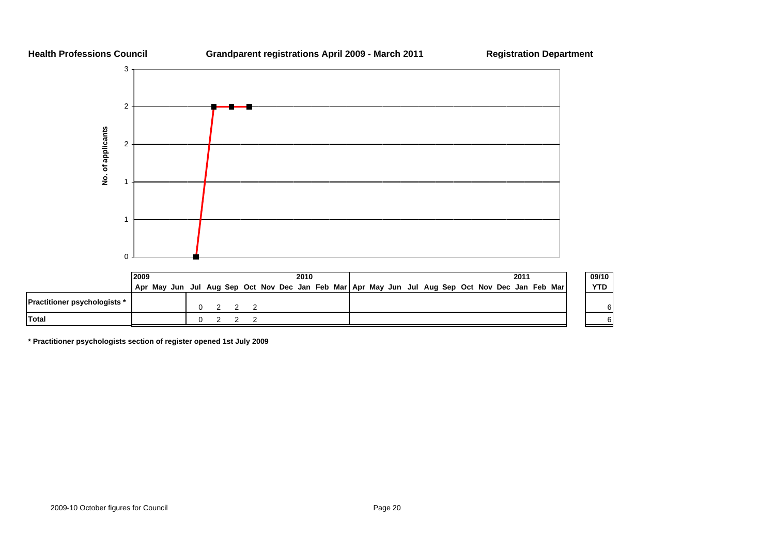

|                                     | 2009 |  |  |  |                                                                                                 | 2010 |  |  |  |  |  | 2011 |  | 09/10      |
|-------------------------------------|------|--|--|--|-------------------------------------------------------------------------------------------------|------|--|--|--|--|--|------|--|------------|
|                                     |      |  |  |  | Apr May Jun Jul Aug Sep Oct Nov Dec Jan Feb Mar Apr May Jun Jul Aug Sep Oct Nov Dec Jan Feb Mar |      |  |  |  |  |  |      |  | <b>YTD</b> |
| <b>Practitioner psychologists</b> * |      |  |  |  |                                                                                                 |      |  |  |  |  |  |      |  |            |
| Total                               |      |  |  |  |                                                                                                 |      |  |  |  |  |  |      |  |            |

**\* Practitioner psychologists section of register opened 1st July 2009**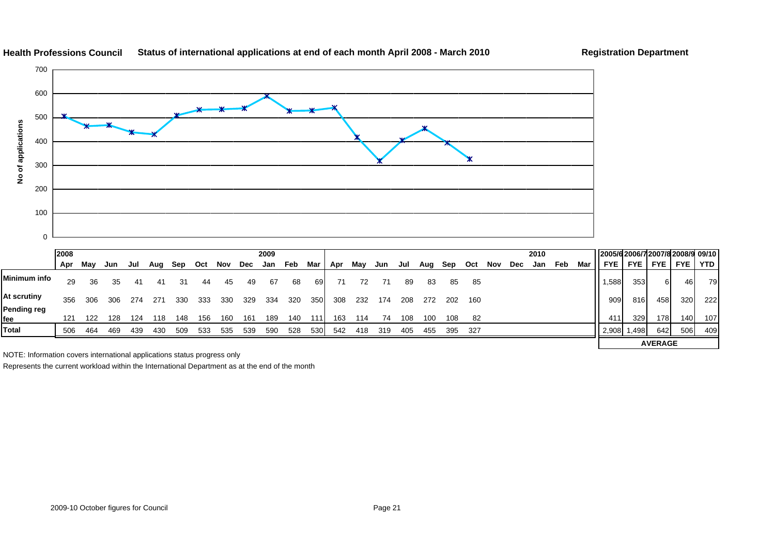

#### **Health Professions Council Status of international applications at end of each month April 2008 - March 2010 Registration Department**

222

**AVERAGE**

NOTE: Information covers international applications status progress only

Represents the current workload within the International Department as at the end of the month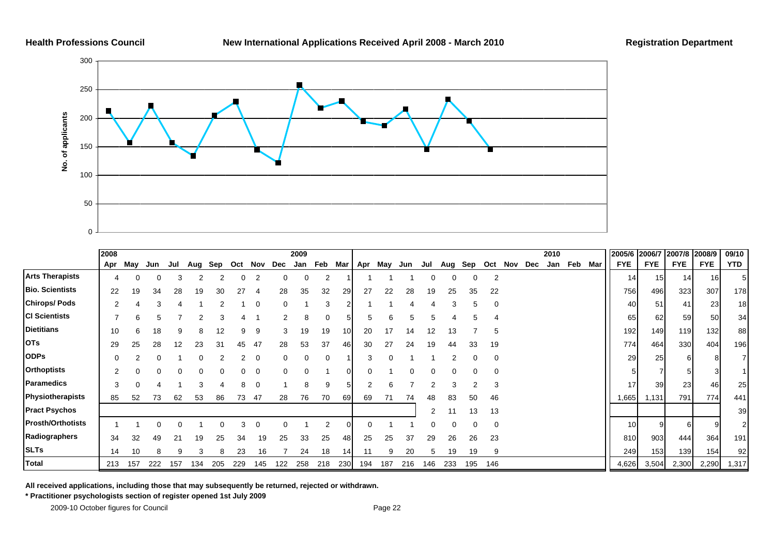

|                          | 2008     |     |     |     |     |     |     |          |     | 2009 |     |          |     |     |     |     |     |     |          |     |     | 2010 |     |     | 2005/6     | 2006/7     | 2007/8 2008/9 |            | 09/10          |
|--------------------------|----------|-----|-----|-----|-----|-----|-----|----------|-----|------|-----|----------|-----|-----|-----|-----|-----|-----|----------|-----|-----|------|-----|-----|------------|------------|---------------|------------|----------------|
|                          | Apr      | May | Jun | Jul | Aug | Sep | Oct | Nov      | Dec | Jan  | Feb | Mar      | Apr | May | Jun | Jul | Aug | Sep | Oct      | Nov | Dec | Jan  | Feb | Mar | <b>FYE</b> | <b>FYE</b> | <b>FYE</b>    | <b>FYE</b> | <b>YTD</b>     |
| <b>Arts Therapists</b>   |          |     | 0   | 3   |     |     | 0   | 2        |     | 0    | 2   |          |     |     |     |     | 0   |     | 2        |     |     |      |     |     | 14         | 15         | 14            | 16         |                |
| <b>Bio. Scientists</b>   | 22       | 19  | 34  | 28  | 19  | 30  |     | -4       | 28  | 35   | 32  | 29       | 27  | 22  | 28  | 19  | 25  | 35  | 22       |     |     |      |     |     | 756        | 496        | 323           | 307        | 178            |
| <b>Chirops/Pods</b>      |          |     |     |     |     |     |     | $\Omega$ |     |      |     |          |     |     |     |     |     |     | $\Omega$ |     |     |      |     |     | 40         | 51         | 41            | 23         | 18             |
| <b>CI Scientists</b>     |          | 6   | 5   |     |     | 3   |     |          |     | 8    |     | 5        |     |     |     | 5   |     | 5   |          |     |     |      |     |     | 65         | 62         | 59            | 50         | 34             |
| <b>Dietitians</b>        | 10       | 6   | 18  | 9   | 8   | 12  | 9   | 9        | 3   | 19   | 19  | 10       | 20  | 17  | 14  | 12  | 13  |     | 5        |     |     |      |     |     | 192        | 149        | 119           | 132        | 88             |
| <b>OTs</b>               | 29       | 25  | 28  | 12  | 23  | 31  | 45  | 47       | 28  | 53   | 37  | 46       | 30  | 27  | 24  | 19  | 44  | 33  | 19       |     |     |      |     |     | 774        | 464        | 330           | 404        | 196            |
| <b>ODPs</b>              | $\Omega$ |     |     |     |     |     |     |          |     | U    |     |          |     |     |     |     |     |     | $\Omega$ |     |     |      |     |     | 29         | 25         |               |            |                |
| <b>Orthoptists</b>       |          |     |     |     |     |     |     | 0        |     | 0    |     | $\Omega$ |     |     |     |     |     |     | $\Omega$ |     |     |      |     |     |            |            |               |            |                |
| Paramedics               | 3        |     |     |     |     |     | 8   | 0        |     | 8    | 9   | 5        |     |     |     |     | 3   |     |          |     |     |      |     |     | 17         | 39         | 23            | 461        | 25             |
| Physiotherapists         | 85       | 52  | 73  | 62  | 53  | 86  | 73  | 47       | 28  | 76   | 70  | 69       | 69  | 71  | 74  | 48  | 83  | 50  | 46       |     |     |      |     |     | 1,665      | 1,131      | 791           | 774        | 441            |
| <b>Pract Psychos</b>     |          |     |     |     |     |     |     |          |     |      |     |          |     |     |     | 2   |     | 13  | 13       |     |     |      |     |     |            |            |               |            | 39             |
| <b>Prosth/Orthotists</b> |          |     |     |     |     |     |     | 0        |     |      |     | 0        |     |     |     |     |     |     | $\Omega$ |     |     |      |     |     | 10         |            | 6             |            | $\overline{2}$ |
| Radiographers            | 34       | 32  | 49  | 21  | 19  | 25  | 34  | 19       | 25  | 33   | 25  | 48       | 25  | 25  | 37  | 29  | 26  | 26  | 23       |     |     |      |     |     | 810        | 903        | 444           | 364        | 191            |
| <b>SLTs</b>              | 14       | 10  |     |     |     | 8   | 23  | 16       |     | 24   | 18  | 14       | 11  |     | 20  | 5   | 19  | 19  | 9        |     |     |      |     |     | 249        | 153        | 139           | 154        | 92             |
| <b>Total</b>             | 213      | 157 | 222 | 157 | 134 | 205 | 229 | 145      | 122 | 258  | 218 | 230      | 194 | 187 | 216 | 146 | 233 | 195 | 146      |     |     |      |     |     | 4,626      | 3,504      | 2,300         | 2,290      | 1,317          |

**All received applications, including those that may subsequently be returned, rejected or withdrawn.**

**\* Practitioner psychologists section of register opened 1st July 2009**

2009-10 October figures for Council **Page 22** and 2009-10 October figures for Council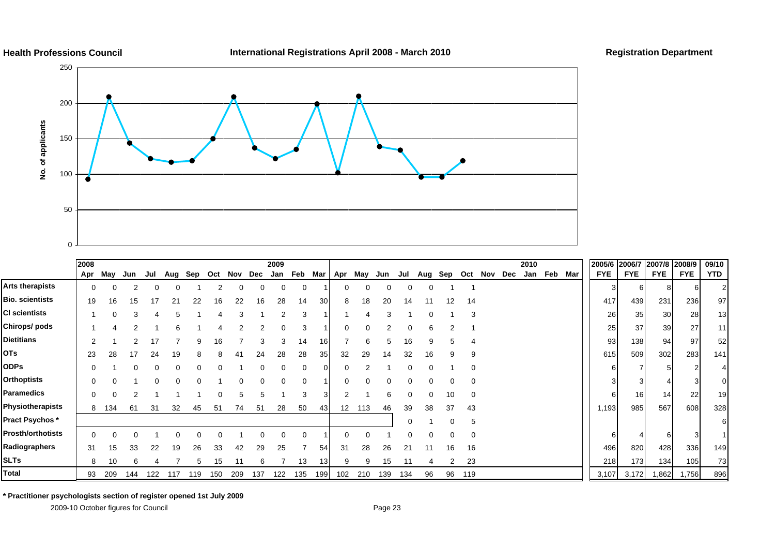

#### **International Registrations April 2008 - March 2010 Registration Department**



|                          | 2008     |          |     |     |     |     |     |             |     | 2009    |     |                 |     |     |     |     |     |              |          |         |     | 2010 |         |     | 2005/6     | 2006/7 2007/8 2008/9 |            |            | 09/10 |
|--------------------------|----------|----------|-----|-----|-----|-----|-----|-------------|-----|---------|-----|-----------------|-----|-----|-----|-----|-----|--------------|----------|---------|-----|------|---------|-----|------------|----------------------|------------|------------|-------|
|                          | Apr      | Mav      | Jun | Jul | Aug | Sep |     | Oct Nov Dec |     | Jan Feb |     | Mar             | Apr | May | Jun | Jul | Aug | Sep          |          | Oct Nov | Dec |      | Jan Feb | Mar | <b>FYE</b> | <b>FYE</b>           | <b>FYE</b> | <b>FYE</b> | YTD   |
| Arts therapists          | 0        | $\Omega$ |     | 0   |     |     | 2   |             | 0   | 0       |     |                 | 0   |     | 0   | 0   | 0   |              |          |         |     |      |         |     |            |                      |            |            |       |
| Bio. scientists          | 19       | 16       | 15  | 17  | 21  | 22  | 16  | 22          | 16  | 28      | 14  | 30 <sup>l</sup> | 8   | 18  | 20  | 14  |     | 12           | 14       |         |     |      |         |     | 417        | 439                  | 231        | 236        | 97    |
| CI scientists            |          | ŋ        |     |     |     |     |     |             |     |         |     |                 |     |     |     |     |     |              | 3        |         |     |      |         |     | 26         | 35                   | 30         | 28         | 13    |
| Chirops/pods             |          |          |     |     |     |     |     |             |     |         |     |                 |     |     |     |     |     |              |          |         |     |      |         |     | 25         | 37                   | 39         | 27         | 11    |
| Dietitians               |          |          |     | 17  |     | 9   | 16  |             | 3   | 3       | 14  | 16I             |     | 6   | 5   | 16  | 9   | $\mathbf{b}$ | 4        |         |     |      |         |     | 93         | 138                  | 94         | 97         | 52    |
| OTs                      | 23       | 28       | 17  | 24  | 19  | 8   | 8   | 41          | 24  | 28      | 28  | 35              | 32  | 29  | 14  | 32  | 16  | 9            | 9        |         |     |      |         |     | 615        | 509                  | 302        | 283        | 141   |
| <b>ODPs</b>              | 0        |          |     |     |     |     |     |             |     |         |     | $\Omega$        |     |     |     |     |     |              | $\Omega$ |         |     |      |         |     |            |                      |            |            |       |
| <b>Orthoptists</b>       | 0        |          |     |     |     |     |     |             |     |         |     |                 |     |     |     |     |     |              | 0        |         |     |      |         |     |            |                      |            |            |       |
| Paramedics               | 0        | $\Omega$ |     |     |     |     | 0   | 5           | 5   |         | 3   | 31              |     |     | 6   |     | 0   | 10           | 0        |         |     |      |         |     |            | 16                   | 14         | 22         | 19    |
| Physiotherapists         | 8        | 134      | 61  | 31  | 32  | 45  | 51  | 74          | 51  | 28      | 50  | 43              | 12  | 113 | 46  | 39  | 38  | 37           | 43       |         |     |      |         |     | 1,193      | 985                  | 567        | 608        | 328   |
| Pract Psychos *          |          |          |     |     |     |     |     |             |     |         |     |                 |     |     |     |     |     |              | 5        |         |     |      |         |     |            |                      |            |            |       |
| <b>Prosth/orthotists</b> | $\Omega$ |          |     |     |     |     |     |             |     |         |     |                 |     |     |     |     |     |              | 0        |         |     |      |         |     |            |                      | 6          |            |       |
| Radiographers            | 31       | 15       | 33  | 22  | 19  | 26  | 33  | 42          | 29  | 25      |     | 54              | 31  | 28  | 26  | 21  | 11  | 16           | 16       |         |     |      |         |     | 496        | 820                  | 428        | 336        | 149   |
| <b>SLTs</b>              | 8        | 10       | 6   |     |     | 5   | 15  | 11          | 6   |         | 13  | 13 <sup>l</sup> | 9   | 9   | 15  |     |     | 2            | 23       |         |     |      |         |     | 218        | 173                  | 134        | 105        | 73    |
| Total                    | 93       | 209      | 144 | 122 | 117 | 119 | 150 | 209         | 137 | 122     | 135 | 199             | 102 | 210 | 139 | 134 | 96  | 96           | 119      |         |     |      |         |     | 3,107      | 3,172                | 1,862      | 1,756      | 896   |

**\* Practitioner psychologists section of register opened 1st July 2009**

2009-10 October figures for Council **Page 23** Page 23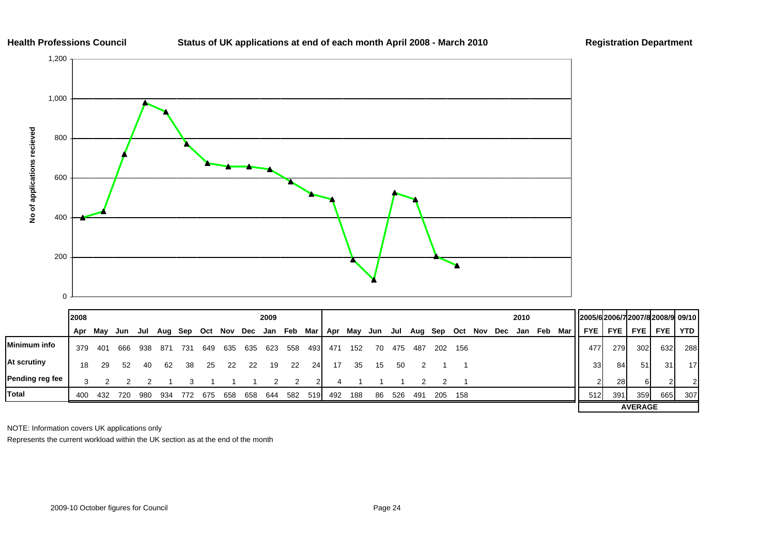#### **Status of UK applications at end of each month April 2008 - March 2010 Registration Department**



|                     | 2008 |     |     |     |     |     |     |     |     | 2009 |     |           |         |     |     |     |     |     |     |     |     | 2010 |     |     | 2005/62006/72007/82008/9 09/10 |              |                |            |                 |
|---------------------|------|-----|-----|-----|-----|-----|-----|-----|-----|------|-----|-----------|---------|-----|-----|-----|-----|-----|-----|-----|-----|------|-----|-----|--------------------------------|--------------|----------------|------------|-----------------|
|                     | Apr  | Mav | Jun | Jul | Aug | Sep | Oct | Nov | Dec | Jan  | Feb |           | Mar Apr | Mav | Jun | Jul | Aug | Sep | Oct | Nov | Dec | Jan  | Feb | Mar | <b>FYE</b>                     | <b>FYE</b> I | <b>FYE</b>     | <b>FYE</b> | <b>YTD</b>      |
| <b>Minimum info</b> | 379  | 401 | 666 | 938 | 871 | 731 | 649 | 635 | 635 | 623  | 558 | 4931      | 471     | 152 | 70  | 475 | 487 | 202 | 156 |     |     |      |     |     | 477                            | 279          | 302            | 632        | 288             |
| At scrutiny         | 18   | 29  | 52  | 40  | 62  | 38  | 25  | -22 | 22  | 19   | 22  | <b>24</b> |         | 35. | 15  | 50  |     |     |     |     |     |      |     |     | <b>33</b>                      | 84           | 51             | 31         | 17 <sup>1</sup> |
| Pending reg fee     | 3    |     |     |     |     |     |     |     |     |      |     | 21        |         |     |     |     |     |     |     |     |     |      |     |     |                                | <b>28</b>    | 6I             | ົ          | 21              |
| <b>Total</b>        | 400  | 432 | 720 | 980 | 934 | 772 | 675 | 658 | 658 | 644  | 582 | 519       | 492     | 188 | 86  | 526 | 491 | 205 | 158 |     |     |      |     |     | 512                            | 391          | 359            | 665        | 307             |
|                     |      |     |     |     |     |     |     |     |     |      |     |           |         |     |     |     |     |     |     |     |     |      |     |     |                                |              | <b>AVERAGE</b> |            |                 |

NOTE: Information covers UK applications only

Represents the current workload within the UK section as at the end of the month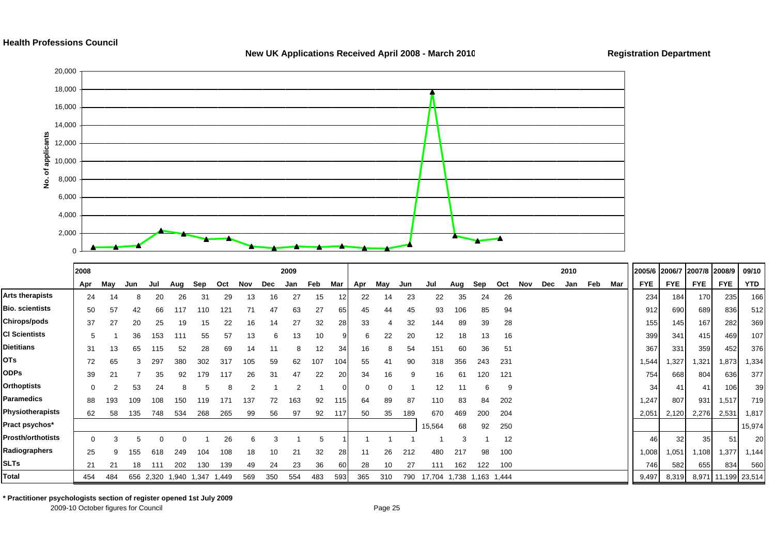#### **Health Professions Council**



#### **New UK Applications Received April 2008 - March 2010 Registration Department**

166

376

39

20

**\* Practitioner psychologists section of register opened 1st July 2009**

2009-10 October figures for Council **Page 25** and 2009-10 October figures for Council

**Total**

454 484 656 2,320 1,940 1,347 1,449 569 350 554 483 593 365 310 790 17,704 1,738 1,163 1,444 4 4 4 4 4 4 4 4 566 2,320 1,940 1,199 23,514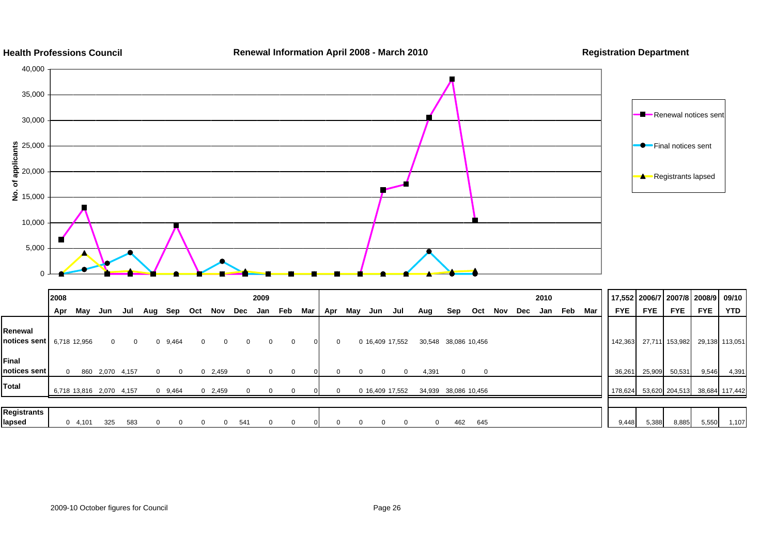

#### **Health Professions Council**

**Renewal Information April 2008 - March 2010 Registration Department**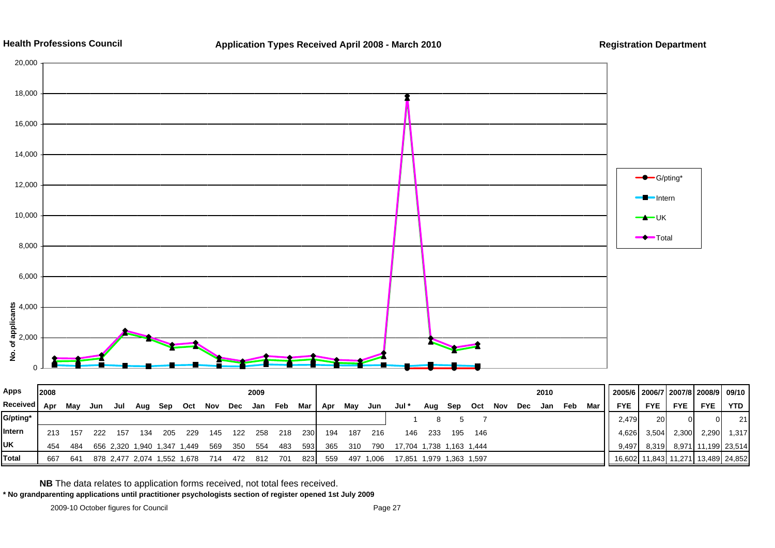



| <b>Apps</b>   | 2008 |     |     |     |                 |                             |     |     |     | 2009 |     |            |     |     |           |                          |     |     |                   |     |     | 2010 |     |     | 2005/6   2006/7   2007/8   2008/9   09/10 |            |                                    |               |       |
|---------------|------|-----|-----|-----|-----------------|-----------------------------|-----|-----|-----|------|-----|------------|-----|-----|-----------|--------------------------|-----|-----|-------------------|-----|-----|------|-----|-----|-------------------------------------------|------------|------------------------------------|---------------|-------|
| Received Apr  |      | Mav | Jun | Jul | Aug             | Sep                         | Oct | Nov | Dec | Jan  | Feb | Mar        | Apr | May | Jun       | Jul *                    | Aug | Sep | Oct               | Nov | Dec | Jan  | Feb | Mar | <b>FYE</b>                                | <b>FYE</b> | FYE I                              | <b>FYE</b>    | YTD   |
| G/pting*      |      |     |     |     |                 |                             |     |     |     |      |     |            |     |     |           |                          |     |     |                   |     |     |      |     |     | 2.479                                     | 20         |                                    |               | 21    |
| <b>Intern</b> | 213  | 157 | 222 | 157 | 134             | 205                         | 229 | 145 | 122 | 258  | 218 | <b>230</b> | 194 | 187 | 216       | 146                      | 233 | 195 | 146               |     |     |      |     |     | 4,626                                     | 3,504      | 2,300                              | 2,290         | 1,317 |
| <b>IUK</b>    | 454  | 484 |     |     |                 | 656 2,320 1,940 1,347 1,449 |     | 569 | 350 | 554  | 483 | 5931       | 365 | 310 | 790       | 17,704 1,738 1,163 1,444 |     |     |                   |     |     |      |     |     | 9,497                                     | 8,319      | 8,971                              | 11,199 23,514 |       |
| Total         | 667  | 641 |     |     | 878 2,477 2,074 | 1,552 1,678                 |     | 714 | 472 | -812 | 701 | 8231       | 559 |     | 497 1,006 | 17,851                   |     |     | 1,979 1,363 1,597 |     |     |      |     |     |                                           |            | 16,602 11,843 11,271 13,489 24,852 |               |       |
|               |      |     |     |     |                 |                             |     |     |     |      |     |            |     |     |           |                          |     |     |                   |     |     |      |     |     |                                           |            |                                    |               |       |

**NB** The data relates to application forms received, not total fees received.

**\* No grandparenting applications until practitioner psychologists section of register opened 1st July 2009**

0

2,000

**No. of applicants**

4,000

6,000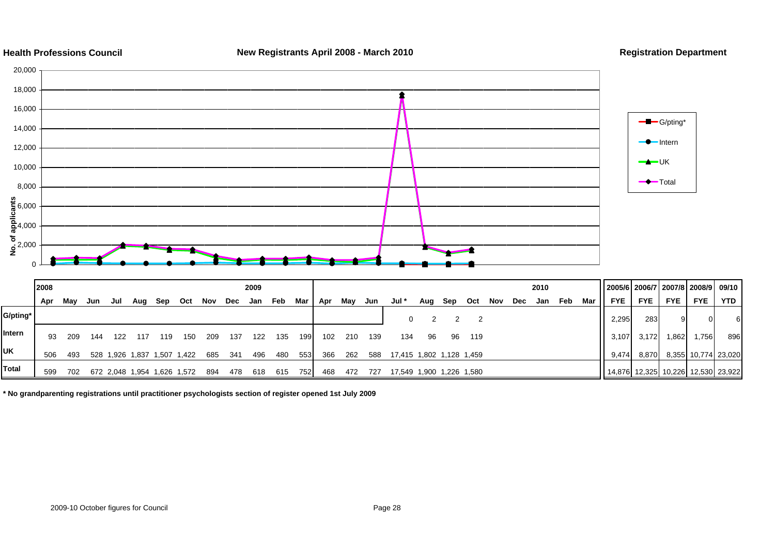

**\* No grandparenting registrations until practitioner psychologists section of register opened 1st July 2009**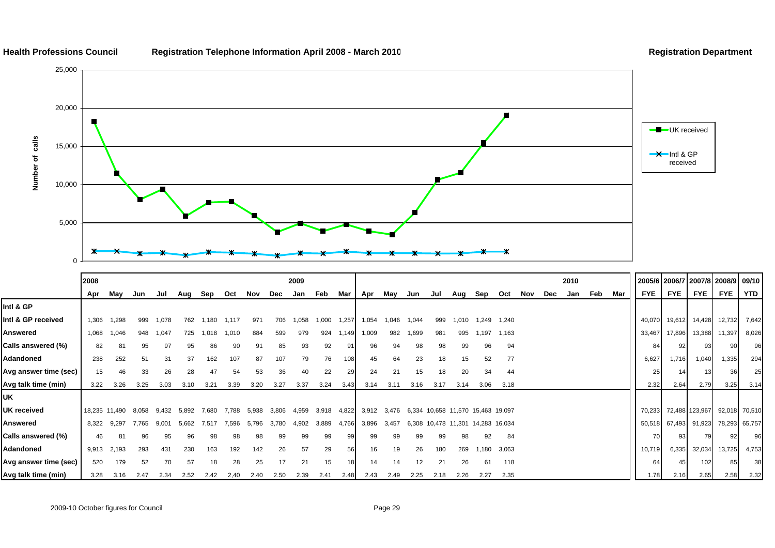

**Health Professions Council Registration Telephone Information April 2008 - March 201 0**

#### **Registration Department**

|                       | 2008  |               |       |       |       |       |       |       |       | 2009  |       |       |       |       |                                         |      |                                   |       |       |     |     | 2010 |     |     |            |            |                | 2005/6   2006/7   2007/8   2008/9   09/10 |       |
|-----------------------|-------|---------------|-------|-------|-------|-------|-------|-------|-------|-------|-------|-------|-------|-------|-----------------------------------------|------|-----------------------------------|-------|-------|-----|-----|------|-----|-----|------------|------------|----------------|-------------------------------------------|-------|
|                       | Apr   | May           | Jun   | Jul   | Aug   | Sep   | Oct   | Nov   | Dec   | Jan   | Feb   | Mar   | Apr   | May   | Jun                                     | Jul  | Aug                               | Sep   | Oct   | Nov | Dec | Jan  | Feb | Mar | <b>FYE</b> | <b>FYE</b> | <b>FYE</b>     | <b>FYE</b>                                | YTD   |
| Intl & GP             |       |               |       |       |       |       |       |       |       |       |       |       |       |       |                                         |      |                                   |       |       |     |     |      |     |     |            |            |                |                                           |       |
| Intl & GP received    | 1,306 | 1,298         | 999   | 1,078 | 762   | .180  | 1,117 | 971   | 706   | 1,058 | 1,000 | 1,257 | 1,054 | 1.046 | 1,044                                   | 999  | 1,010                             | 1,249 | 1,240 |     |     |      |     |     | 40,070     | 19,612     | 14,428         | 12,732                                    | 7,642 |
| Answered              | 1,068 | 1,046         | 948   | 1,047 | 725   | 1,018 | 1,010 | 884   | 599   | 979   | 924   | 1.149 | 1,009 | 982   | 1,699                                   | 981  | 995                               | 1,197 | 1,163 |     |     |      |     |     | 33,467     | 17,896     | 13,388         | 11,397                                    | 8,026 |
| Calls answered (%)    | 82    | 81            | 95    | 97    | 95    | 86    | 90    | 91    | 85    | 93    | 92    | 91    | 96    | 94    | 98                                      | 98   | 99                                | 96    | 94    |     |     |      |     |     | 84         | 92         | 93             | 90                                        | 96    |
| Adandoned             | 238   | 252           | 51    | 31    | 37    | 162   | 107   | 87    | 107   | 79    | 76    | 108   | 45    | 64    | 23                                      | 18   | 15                                | 52    | 77    |     |     |      |     |     | 6,627      | 1,716      | 1,040          | .335                                      | 294   |
| Avg answer time (sec) | 15    | 46            | 33    | 26    | 28    | 47    | 54    | 53    | 36    | 40    | 22    | 29    | 24    | 21    | 15                                      | 18   | 20                                | 34    | 44    |     |     |      |     |     | 25         |            | 13             | 36                                        | 25    |
| Avg talk time (min)   | 3.22  | 3.26          | 3.25  | 3.03  | 3.10  | 3.21  | 3.39  | 3.20  | 3.27  | 3.37  | 3.24  | 3.43  | 3.14  | 3.11  | 3.16                                    | 3.17 | 3.14                              | 3.06  | 3.18  |     |     |      |     |     | 2.32       | 2.64       | 2.79           | 3.25                                      | 3.14  |
| UK                    |       |               |       |       |       |       |       |       |       |       |       |       |       |       |                                         |      |                                   |       |       |     |     |      |     |     |            |            |                |                                           |       |
| <b>UK</b> received    |       | 18,235 11,490 | 8.058 | 9.432 | 5.892 | 7.680 | 7.788 | 5.938 | 3,806 | 4,959 | 3,918 | 4,822 | 3,912 |       | 3,476 6,334 10,658 11,570 15,463 19,097 |      |                                   |       |       |     |     |      |     |     | 70,233     |            | 72,488 123,967 | 92,018 70,510                             |       |
| <b>Answered</b>       | 8,322 | 9,297         | 7.765 | 9.001 | 5.662 | 7,517 | 7,596 | 5,796 | 3,780 | 4,902 | 3,889 | 4.766 | 3,896 | 3,457 |                                         |      | 6,308 10,478 11,301 14,283 16,034 |       |       |     |     |      |     |     | 50,518     | 67,493     | 91,923         | 78,293 65,757                             |       |
| Calls answered (%)    | 46    | 81            | 96    | 95    | 96    | 98    | 98    | 98    | 99    | 99    | 99    |       | 99    | 99    | 99                                      | 99   | 98                                | 92    | 84    |     |     |      |     |     | 70         | 93         | 79             | 92                                        | 96    |
| Adandoned             | 9,913 | 2,193         | 293   | 431   | 230   | 163   | 192   | 142   | 26    | 57    | 29    | 56    | 16    | 19    | 26                                      | 180  | 269                               | 1,180 | 3,063 |     |     |      |     |     | 10,719     | 6,335      | 32,034         | 13,725                                    | 4,753 |
| Avg answer time (sec) | 520   | 179           | 52    | 70    | 57    |       | 28    | 25    |       | 21    | 15    |       | 14    | 14    | 12                                      | 21   | 26                                | 61    | 118   |     |     |      |     |     | 64         |            | 102            | 85                                        | 38    |
| Avg talk time (min)   | 3.28  | 3.16          | 2.47  | 2.34  | 2.52  | 2.42  | 2,40  | 2.40  | 2.50  | 2.39  | 2.41  | 2.48  | 2.43  | 2.49  | 2.25                                    | 2.18 | 2.26                              | 2.27  | 2.35  |     |     |      |     |     | 1.78       | 2.16       | 2.65           | 2.58                                      | 2.32  |